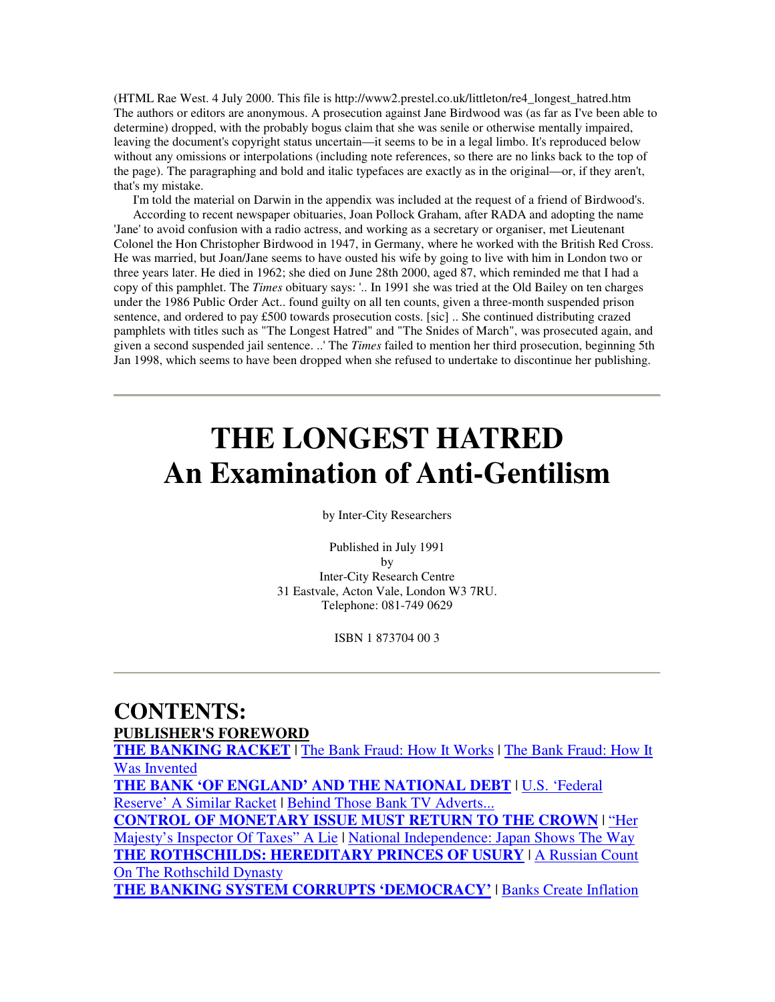(HTML Rae West. 4 July 2000. This file is http://www2.prestel.co.uk/littleton/re4\_longest\_hatred.htm The authors or editors are anonymous. A prosecution against Jane Birdwood was (as far as I've been able to determine) dropped, with the probably bogus claim that she was senile or otherwise mentally impaired, leaving the document's copyright status uncertain—it seems to be in a legal limbo. It's reproduced below without any omissions or interpolations (including note references, so there are no links back to the top of the page). The paragraphing and bold and italic typefaces are exactly as in the original—or, if they aren't, that's my mistake.

 I'm told the material on Darwin in the appendix was included at the request of a friend of Birdwood's. According to recent newspaper obituaries, Joan Pollock Graham, after RADA and adopting the name 'Jane' to avoid confusion with a radio actress, and working as a secretary or organiser, met Lieutenant Colonel the Hon Christopher Birdwood in 1947, in Germany, where he worked with the British Red Cross. He was married, but Joan/Jane seems to have ousted his wife by going to live with him in London two or three years later. He died in 1962; she died on June 28th 2000, aged 87, which reminded me that I had a copy of this pamphlet. The *Times* obituary says: '.. In 1991 she was tried at the Old Bailey on ten charges under the 1986 Public Order Act.. found guilty on all ten counts, given a three-month suspended prison sentence, and ordered to pay £500 towards prosecution costs. [sic] .. She continued distributing crazed pamphlets with titles such as "The Longest Hatred" and "The Snides of March", was prosecuted again, and given a second suspended jail sentence. ..' The *Times* failed to mention her third prosecution, beginning 5th Jan 1998, which seems to have been dropped when she refused to undertake to discontinue her publishing.

# **THE LONGEST HATRED An Examination of Anti-Gentilism**

by Inter-City Researchers

Published in July 1991 by Inter-City Research Centre 31 Eastvale, Acton Vale, London W3 7RU. Telephone: 081-749 0629

ISBN 1 873704 00 3

# **CONTENTS:**

**PUBLISHER'S FOREWORD**

**THE BANKING RACKET** | The Bank Fraud: How It Works | The Bank Fraud: How It Was Invented

**THE BANK 'OF ENGLAND' AND THE NATIONAL DEBT** | U.S. 'Federal Reserve' A Similar Racket | Behind Those Bank TV Adverts...

**CONTROL OF MONETARY ISSUE MUST RETURN TO THE CROWN** | "Her Majesty's Inspector Of Taxes" A Lie | National Independence: Japan Shows The Way **THE ROTHSCHILDS: HEREDITARY PRINCES OF USURY** | A Russian Count On The Rothschild Dynasty **THE BANKING SYSTEM CORRUPTS 'DEMOCRACY'** | Banks Create Inflation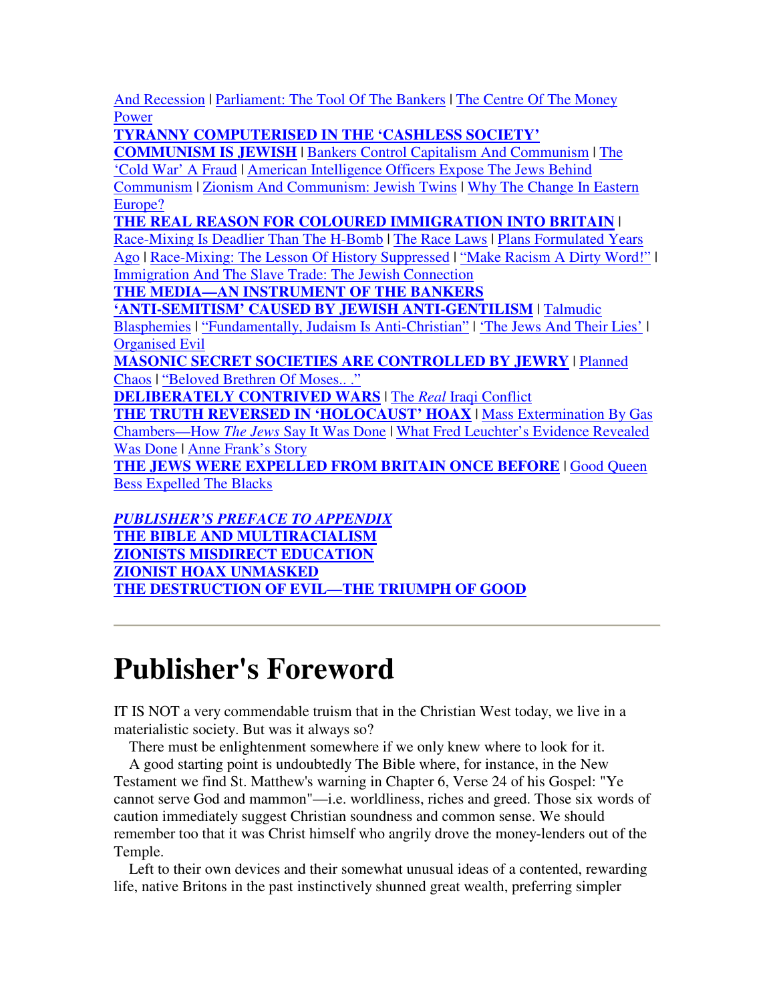And Recession | Parliament: The Tool Of The Bankers | The Centre Of The Money Power

**TYRANNY COMPUTERISED IN THE 'CASHLESS SOCIETY'**

**COMMUNISM IS JEWISH** | Bankers Control Capitalism And Communism | The 'Cold War' A Fraud | American Intelligence Officers Expose The Jews Behind Communism | Zionism And Communism: Jewish Twins | Why The Change In Eastern Europe?

#### **THE REAL REASON FOR COLOURED IMMIGRATION INTO BRITAIN** |

Race-Mixing Is Deadlier Than The H-Bomb | The Race Laws | Plans Formulated Years Ago | Race-Mixing: The Lesson Of History Suppressed | "Make Racism A Dirty Word!" | Immigration And The Slave Trade: The Jewish Connection

**THE MEDIA—AN INSTRUMENT OF THE BANKERS**

**'ANTI-SEMITISM' CAUSED BY JEWISH ANTI-GENTILISM** | Talmudic

Blasphemies | "Fundamentally, Judaism Is Anti-Christian" | 'The Jews And Their Lies' | Organised Evil

**MASONIC SECRET SOCIETIES ARE CONTROLLED BY JEWRY** | Planned Chaos | "Beloved Brethren Of Moses.. ."

**DELIBERATELY CONTRIVED WARS** | The *Real* Iraqi Conflict

**THE TRUTH REVERSED IN 'HOLOCAUST' HOAX** | Mass Extermination By Gas Chambers—How *The Jews* Say It Was Done | What Fred Leuchter's Evidence Revealed Was Done | Anne Frank's Story

**THE JEWS WERE EXPELLED FROM BRITAIN ONCE BEFORE** | Good Queen Bess Expelled The Blacks

*PUBLISHER'S PREFACE TO APPENDIX* **THE BIBLE AND MULTIRACIALISM ZIONISTS MISDIRECT EDUCATION ZIONIST HOAX UNMASKED THE DESTRUCTION OF EVIL—THE TRIUMPH OF GOOD**

# **Publisher's Foreword**

IT IS NOT a very commendable truism that in the Christian West today, we live in a materialistic society. But was it always so?

There must be enlightenment somewhere if we only knew where to look for it.

 A good starting point is undoubtedly The Bible where, for instance, in the New Testament we find St. Matthew's warning in Chapter 6, Verse 24 of his Gospel: "Ye cannot serve God and mammon"—i.e. worldliness, riches and greed. Those six words of caution immediately suggest Christian soundness and common sense. We should remember too that it was Christ himself who angrily drove the money-lenders out of the Temple.

 Left to their own devices and their somewhat unusual ideas of a contented, rewarding life, native Britons in the past instinctively shunned great wealth, preferring simpler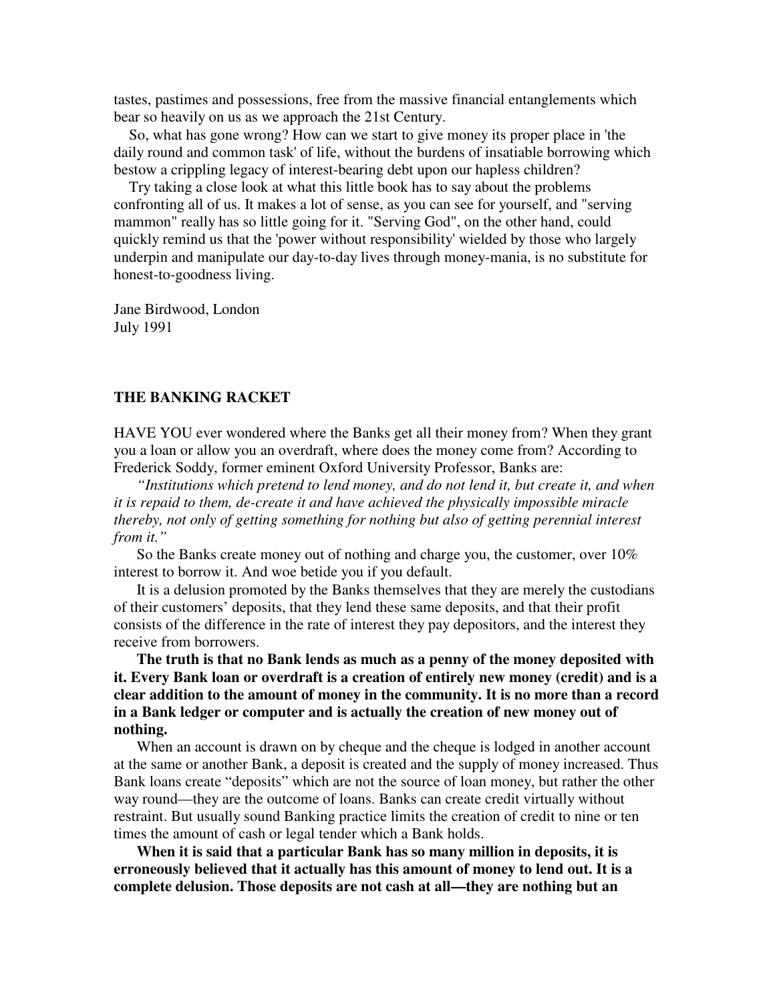tastes, pastimes and possessions, free from the massive financial entanglements which bear so heavily on us as we approach the 21st Century.

 So, what has gone wrong? How can we start to give money its proper place in 'the daily round and common task' of life, without the burdens of insatiable borrowing which bestow a crippling legacy of interest-bearing debt upon our hapless children?

 Try taking a close look at what this little book has to say about the problems confronting all of us. It makes a lot of sense, as you can see for yourself, and "serving mammon" really has so little going for it. "Serving God", on the other hand, could quickly remind us that the 'power without responsibility' wielded by those who largely underpin and manipulate our day-to-day lives through money-mania, is no substitute for honest-to-goodness living.

Jane Birdwood, London July 1991

#### **THE BANKING RACKET**

HAVE YOU ever wondered where the Banks get all their money from? When they grant you a loan or allow you an overdraft, where does the money come from? According to Frederick Soddy, former eminent Oxford University Professor, Banks are:

 *"Institutions which pretend to lend money, and do not lend it, but create it, and when it is repaid to them, de-create it and have achieved the physically impossible miracle thereby, not only of getting something for nothing but also of getting perennial interest from it."*

 So the Banks create money out of nothing and charge you, the customer, over 10% interest to borrow it. And woe betide you if you default.

 It is a delusion promoted by the Banks themselves that they are merely the custodians of their customers' deposits, that they lend these same deposits, and that their profit consists of the difference in the rate of interest they pay depositors, and the interest they receive from borrowers.

 **The truth is that no Bank lends as much as a penny of the money deposited with it. Every Bank loan or overdraft is a creation of entirely new money (credit) and is a clear addition to the amount of money in the community. It is no more than a record in a Bank ledger or computer and is actually the creation of new money out of nothing.**

 When an account is drawn on by cheque and the cheque is lodged in another account at the same or another Bank, a deposit is created and the supply of money increased. Thus Bank loans create "deposits" which are not the source of loan money, but rather the other way round—they are the outcome of loans. Banks can create credit virtually without restraint. But usually sound Banking practice limits the creation of credit to nine or ten times the amount of cash or legal tender which a Bank holds.

 **When it is said that a particular Bank has so many million in deposits, it is erroneously believed that it actually has this amount of money to lend out. It is a complete delusion. Those deposits are not cash at all—they are nothing but an**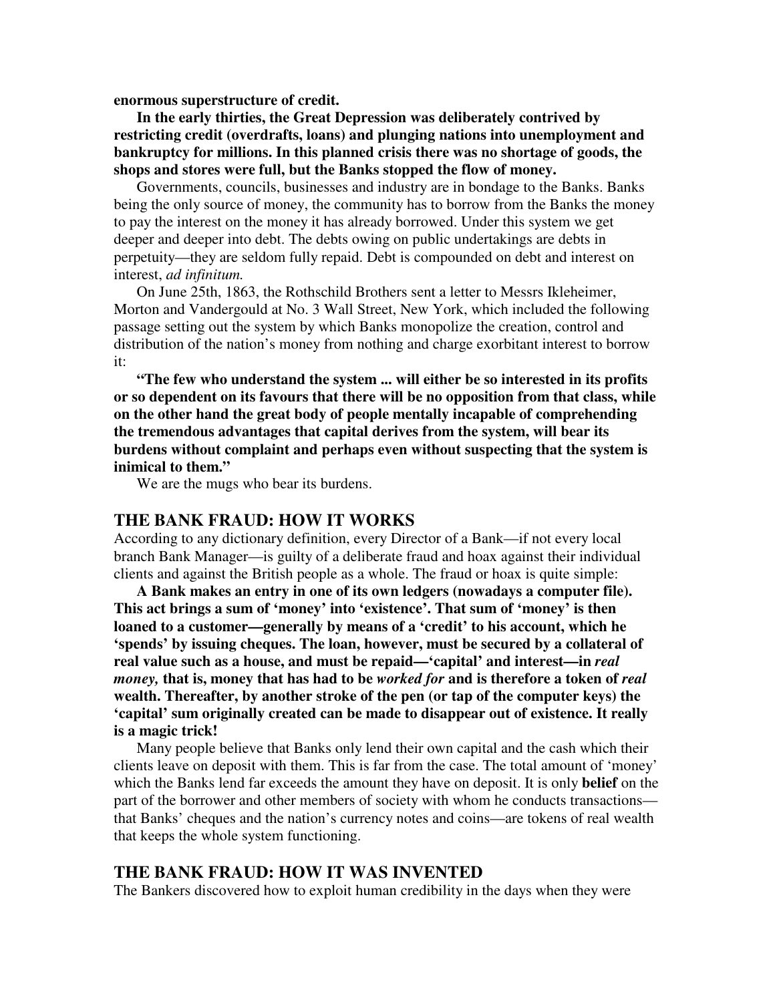**enormous superstructure of credit.** 

 **In the early thirties, the Great Depression was deliberately contrived by restricting credit (overdrafts, loans) and plunging nations into unemployment and bankruptcy for millions. In this planned crisis there was no shortage of goods, the shops and stores were full, but the Banks stopped the flow of money.**

 Governments, councils, businesses and industry are in bondage to the Banks. Banks being the only source of money, the community has to borrow from the Banks the money to pay the interest on the money it has already borrowed. Under this system we get deeper and deeper into debt. The debts owing on public undertakings are debts in perpetuity—they are seldom fully repaid. Debt is compounded on debt and interest on interest, *ad infinitum.*

 On June 25th, 1863, the Rothschild Brothers sent a letter to Messrs Ikleheimer, Morton and Vandergould at No. 3 Wall Street, New York, which included the following passage setting out the system by which Banks monopolize the creation, control and distribution of the nation's money from nothing and charge exorbitant interest to borrow it:

 **"The few who understand the system ... will either be so interested in its profits or so dependent on its favours that there will be no opposition from that class, while on the other hand the great body of people mentally incapable of comprehending the tremendous advantages that capital derives from the system, will bear its burdens without complaint and perhaps even without suspecting that the system is inimical to them."**

We are the mugs who bear its burdens.

#### **THE BANK FRAUD: HOW IT WORKS**

According to any dictionary definition, every Director of a Bank—if not every local branch Bank Manager—is guilty of a deliberate fraud and hoax against their individual clients and against the British people as a whole. The fraud or hoax is quite simple:

 **A Bank makes an entry in one of its own ledgers (nowadays a computer file). This act brings a sum of 'money' into 'existence'. That sum of 'money' is then loaned to a customer—generally by means of a 'credit' to his account, which he 'spends' by issuing cheques. The loan, however, must be secured by a collateral of real value such as a house, and must be repaid—'capital' and interest—in** *real money,* **that is, money that has had to be** *worked for* **and is therefore a token of** *real* **wealth. Thereafter, by another stroke of the pen (or tap of the computer keys) the 'capital' sum originally created can be made to disappear out of existence. It really is a magic trick!**

 Many people believe that Banks only lend their own capital and the cash which their clients leave on deposit with them. This is far from the case. The total amount of 'money' which the Banks lend far exceeds the amount they have on deposit. It is only **belief** on the part of the borrower and other members of society with whom he conducts transactions that Banks' cheques and the nation's currency notes and coins—are tokens of real wealth that keeps the whole system functioning.

#### **THE BANK FRAUD: HOW IT WAS INVENTED**

The Bankers discovered how to exploit human credibility in the days when they were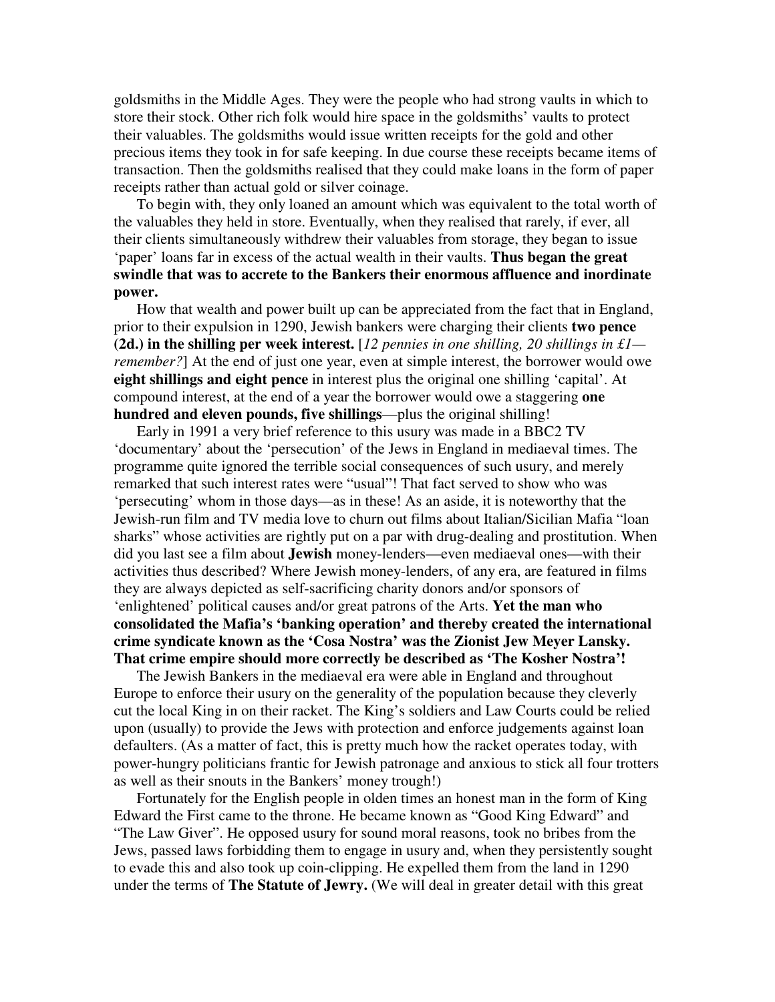goldsmiths in the Middle Ages. They were the people who had strong vaults in which to store their stock. Other rich folk would hire space in the goldsmiths' vaults to protect their valuables. The goldsmiths would issue written receipts for the gold and other precious items they took in for safe keeping. In due course these receipts became items of transaction. Then the goldsmiths realised that they could make loans in the form of paper receipts rather than actual gold or silver coinage.

 To begin with, they only loaned an amount which was equivalent to the total worth of the valuables they held in store. Eventually, when they realised that rarely, if ever, all their clients simultaneously withdrew their valuables from storage, they began to issue 'paper' loans far in excess of the actual wealth in their vaults. **Thus began the great swindle that was to accrete to the Bankers their enormous affluence and inordinate power.**

 How that wealth and power built up can be appreciated from the fact that in England, prior to their expulsion in 1290, Jewish bankers were charging their clients **two pence (2d.) in the shilling per week interest.** [*12 pennies in one shilling, 20 shillings in £1 remember?*] At the end of just one year, even at simple interest, the borrower would owe **eight shillings and eight pence** in interest plus the original one shilling 'capital'. At compound interest, at the end of a year the borrower would owe a staggering **one hundred and eleven pounds, five shillings**—plus the original shilling!

 Early in 1991 a very brief reference to this usury was made in a BBC2 TV 'documentary' about the 'persecution' of the Jews in England in mediaeval times. The programme quite ignored the terrible social consequences of such usury, and merely remarked that such interest rates were "usual"! That fact served to show who was 'persecuting' whom in those days—as in these! As an aside, it is noteworthy that the Jewish-run film and TV media love to churn out films about Italian/Sicilian Mafia "loan sharks" whose activities are rightly put on a par with drug-dealing and prostitution. When did you last see a film about **Jewish** money-lenders—even mediaeval ones—with their activities thus described? Where Jewish money-lenders, of any era, are featured in films they are always depicted as self-sacrificing charity donors and/or sponsors of 'enlightened' political causes and/or great patrons of the Arts. **Yet the man who consolidated the Mafia's 'banking operation' and thereby created the international crime syndicate known as the 'Cosa Nostra' was the Zionist Jew Meyer Lansky. That crime empire should more correctly be described as 'The Kosher Nostra'!**

 The Jewish Bankers in the mediaeval era were able in England and throughout Europe to enforce their usury on the generality of the population because they cleverly cut the local King in on their racket. The King's soldiers and Law Courts could be relied upon (usually) to provide the Jews with protection and enforce judgements against loan defaulters. (As a matter of fact, this is pretty much how the racket operates today, with power-hungry politicians frantic for Jewish patronage and anxious to stick all four trotters as well as their snouts in the Bankers' money trough!)

 Fortunately for the English people in olden times an honest man in the form of King Edward the First came to the throne. He became known as "Good King Edward" and "The Law Giver". He opposed usury for sound moral reasons, took no bribes from the Jews, passed laws forbidding them to engage in usury and, when they persistently sought to evade this and also took up coin-clipping. He expelled them from the land in 1290 under the terms of **The Statute of Jewry.** (We will deal in greater detail with this great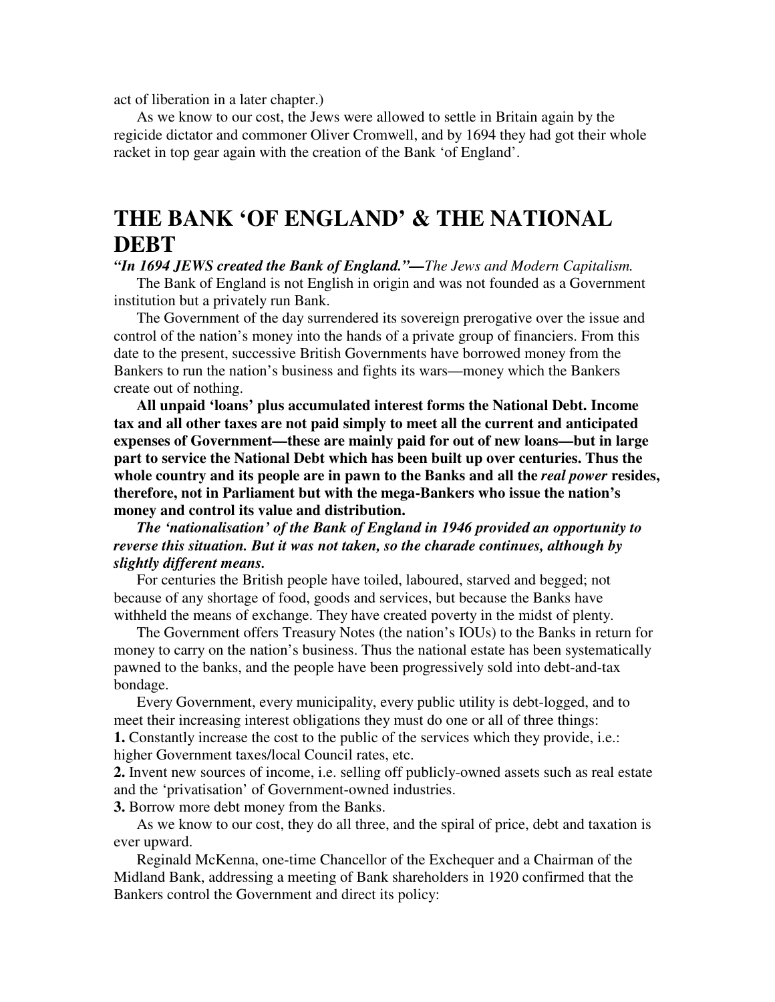act of liberation in a later chapter.)

 As we know to our cost, the Jews were allowed to settle in Britain again by the regicide dictator and commoner Oliver Cromwell, and by 1694 they had got their whole racket in top gear again with the creation of the Bank 'of England'.

## **THE BANK 'OF ENGLAND' & THE NATIONAL DEBT**

*"In 1694 JEWS created the Bank of England."—The Jews and Modern Capitalism.*

 The Bank of England is not English in origin and was not founded as a Government institution but a privately run Bank.

 The Government of the day surrendered its sovereign prerogative over the issue and control of the nation's money into the hands of a private group of financiers. From this date to the present, successive British Governments have borrowed money from the Bankers to run the nation's business and fights its wars—money which the Bankers create out of nothing.

 **All unpaid 'loans' plus accumulated interest forms the National Debt. Income tax and all other taxes are not paid simply to meet all the current and anticipated expenses of Government—these are mainly paid for out of new loans—but in large part to service the National Debt which has been built up over centuries. Thus the whole country and its people are in pawn to the Banks and all the** *real power* **resides, therefore, not in Parliament but with the mega-Bankers who issue the nation's money and control its value and distribution.** 

*The 'nationalisation' of the Bank of England in 1946 provided an opportunity to reverse this situation. But it was not taken, so the charade continues, although by slightly different means.*

 For centuries the British people have toiled, laboured, starved and begged; not because of any shortage of food, goods and services, but because the Banks have withheld the means of exchange. They have created poverty in the midst of plenty.

 The Government offers Treasury Notes (the nation's IOUs) to the Banks in return for money to carry on the nation's business. Thus the national estate has been systematically pawned to the banks, and the people have been progressively sold into debt-and-tax bondage.

 Every Government, every municipality, every public utility is debt-logged, and to meet their increasing interest obligations they must do one or all of three things:

**1.** Constantly increase the cost to the public of the services which they provide, i.e.: higher Government taxes/local Council rates, etc.

**2.** Invent new sources of income, i.e. selling off publicly-owned assets such as real estate and the 'privatisation' of Government-owned industries.

**3.** Borrow more debt money from the Banks.

 As we know to our cost, they do all three, and the spiral of price, debt and taxation is ever upward.

 Reginald McKenna, one-time Chancellor of the Exchequer and a Chairman of the Midland Bank, addressing a meeting of Bank shareholders in 1920 confirmed that the Bankers control the Government and direct its policy: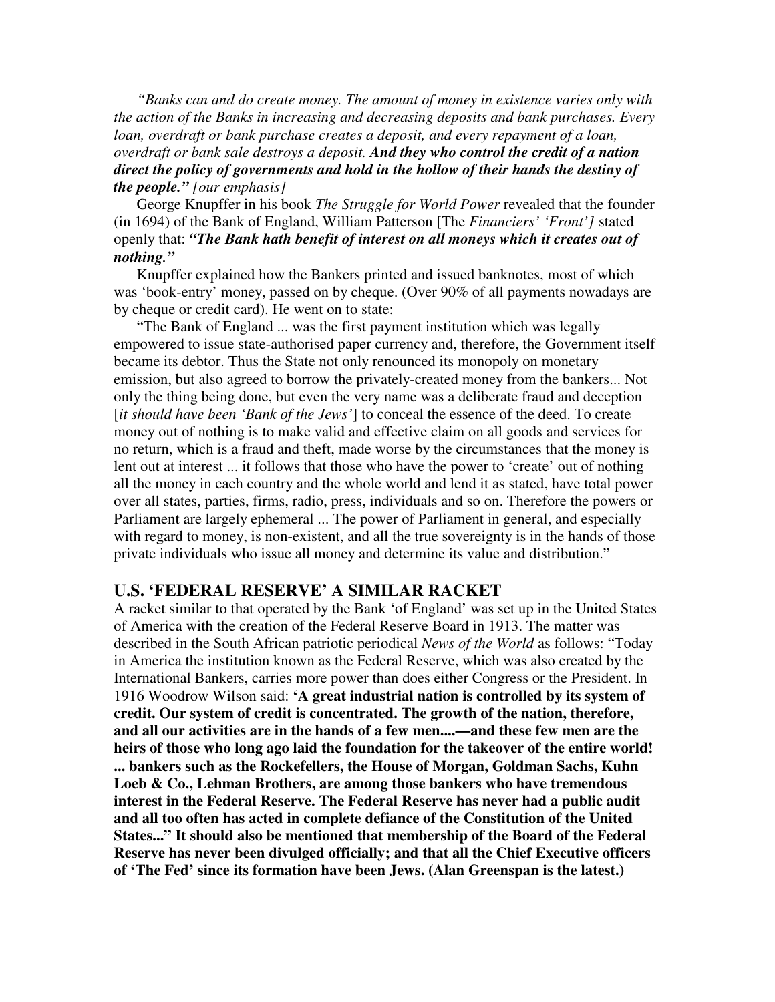*"Banks can and do create money. The amount of money in existence varies only with the action of the Banks in increasing and decreasing deposits and bank purchases. Every loan, overdraft or bank purchase creates a deposit, and every repayment of a loan, overdraft or bank sale destroys a deposit. And they who control the credit of a nation direct the policy of governments and hold in the hollow of their hands the destiny of the people." [our emphasis]*

 George Knupffer in his book *The Struggle for World Power* revealed that the founder (in 1694) of the Bank of England, William Patterson [The *Financiers' 'Front']* stated openly that: *"The Bank hath benefit of interest on all moneys which it creates out of nothing."*

 Knupffer explained how the Bankers printed and issued banknotes, most of which was 'book-entry' money, passed on by cheque. (Over 90% of all payments nowadays are by cheque or credit card). He went on to state:

 "The Bank of England ... was the first payment institution which was legally empowered to issue state-authorised paper currency and, therefore, the Government itself became its debtor. Thus the State not only renounced its monopoly on monetary emission, but also agreed to borrow the privately-created money from the bankers... Not only the thing being done, but even the very name was a deliberate fraud and deception [*it should have been 'Bank of the Jews'*] to conceal the essence of the deed. To create money out of nothing is to make valid and effective claim on all goods and services for no return, which is a fraud and theft, made worse by the circumstances that the money is lent out at interest ... it follows that those who have the power to 'create' out of nothing all the money in each country and the whole world and lend it as stated, have total power over all states, parties, firms, radio, press, individuals and so on. Therefore the powers or Parliament are largely ephemeral ... The power of Parliament in general, and especially with regard to money, is non-existent, and all the true sovereignty is in the hands of those private individuals who issue all money and determine its value and distribution."

#### **U.S. 'FEDERAL RESERVE' A SIMILAR RACKET**

A racket similar to that operated by the Bank 'of England' was set up in the United States of America with the creation of the Federal Reserve Board in 1913. The matter was described in the South African patriotic periodical *News of the World* as follows: "Today in America the institution known as the Federal Reserve, which was also created by the International Bankers, carries more power than does either Congress or the President. In 1916 Woodrow Wilson said: **'A great industrial nation is controlled by its system of credit. Our system of credit is concentrated. The growth of the nation, therefore, and all our activities are in the hands of a few men....—and these few men are the heirs of those who long ago laid the foundation for the takeover of the entire world! ... bankers such as the Rockefellers, the House of Morgan, Goldman Sachs, Kuhn Loeb & Co., Lehman Brothers, are among those bankers who have tremendous interest in the Federal Reserve. The Federal Reserve has never had a public audit and all too often has acted in complete defiance of the Constitution of the United States..." It should also be mentioned that membership of the Board of the Federal Reserve has never been divulged officially; and that all the Chief Executive officers of 'The Fed' since its formation have been Jews. (Alan Greenspan is the latest.)**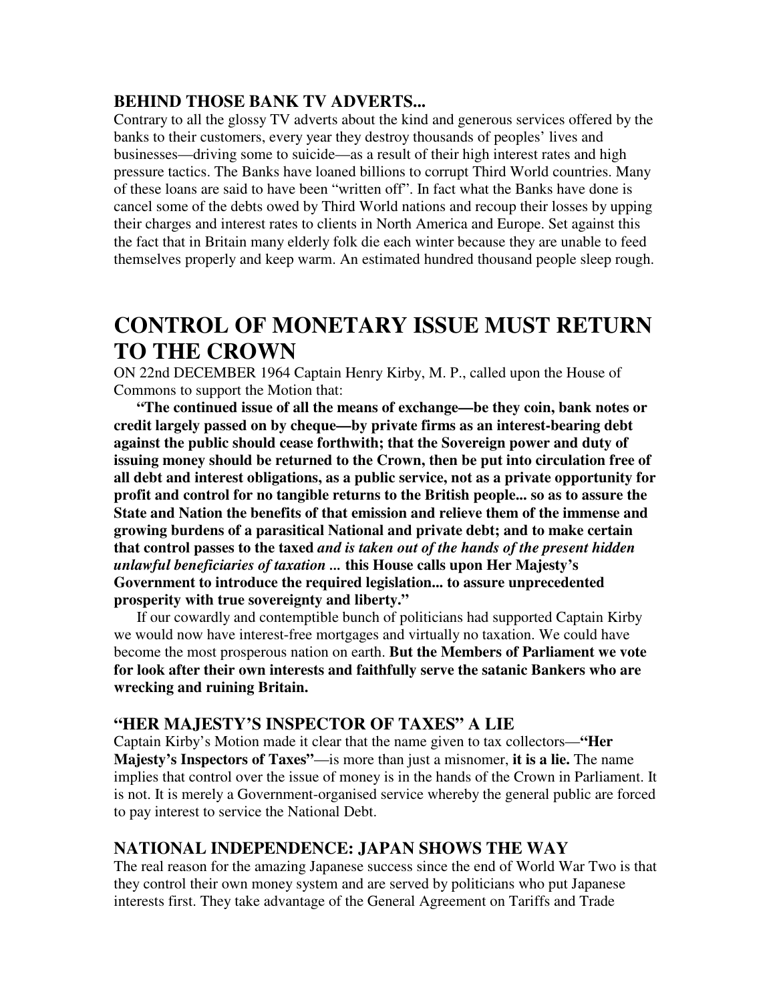#### **BEHIND THOSE BANK TV ADVERTS...**

Contrary to all the glossy TV adverts about the kind and generous services offered by the banks to their customers, every year they destroy thousands of peoples' lives and businesses—driving some to suicide—as a result of their high interest rates and high pressure tactics. The Banks have loaned billions to corrupt Third World countries. Many of these loans are said to have been "written off". In fact what the Banks have done is cancel some of the debts owed by Third World nations and recoup their losses by upping their charges and interest rates to clients in North America and Europe. Set against this the fact that in Britain many elderly folk die each winter because they are unable to feed themselves properly and keep warm. An estimated hundred thousand people sleep rough.

## **CONTROL OF MONETARY ISSUE MUST RETURN TO THE CROWN**

ON 22nd DECEMBER 1964 Captain Henry Kirby, M. P., called upon the House of Commons to support the Motion that:

 **"The continued issue of all the means of exchange—be they coin, bank notes or credit largely passed on by cheque—by private firms as an interest-bearing debt against the public should cease forthwith; that the Sovereign power and duty of issuing money should be returned to the Crown, then be put into circulation free of all debt and interest obligations, as a public service, not as a private opportunity for profit and control for no tangible returns to the British people... so as to assure the State and Nation the benefits of that emission and relieve them of the immense and growing burdens of a parasitical National and private debt; and to make certain that control passes to the taxed** *and is taken out of the hands of the present hidden unlawful beneficiaries of taxation ...* **this House calls upon Her Majesty's Government to introduce the required legislation... to assure unprecedented prosperity with true sovereignty and liberty."**

 If our cowardly and contemptible bunch of politicians had supported Captain Kirby we would now have interest-free mortgages and virtually no taxation. We could have become the most prosperous nation on earth. **But the Members of Parliament we vote for look after their own interests and faithfully serve the satanic Bankers who are wrecking and ruining Britain.**

#### **"HER MAJESTY'S INSPECTOR OF TAXES" A LIE**

Captain Kirby's Motion made it clear that the name given to tax collectors—**"Her Majesty's Inspectors of Taxes"**—is more than just a misnomer, **it is a lie.** The name implies that control over the issue of money is in the hands of the Crown in Parliament. It is not. It is merely a Government-organised service whereby the general public are forced to pay interest to service the National Debt.

#### **NATIONAL INDEPENDENCE: JAPAN SHOWS THE WAY**

The real reason for the amazing Japanese success since the end of World War Two is that they control their own money system and are served by politicians who put Japanese interests first. They take advantage of the General Agreement on Tariffs and Trade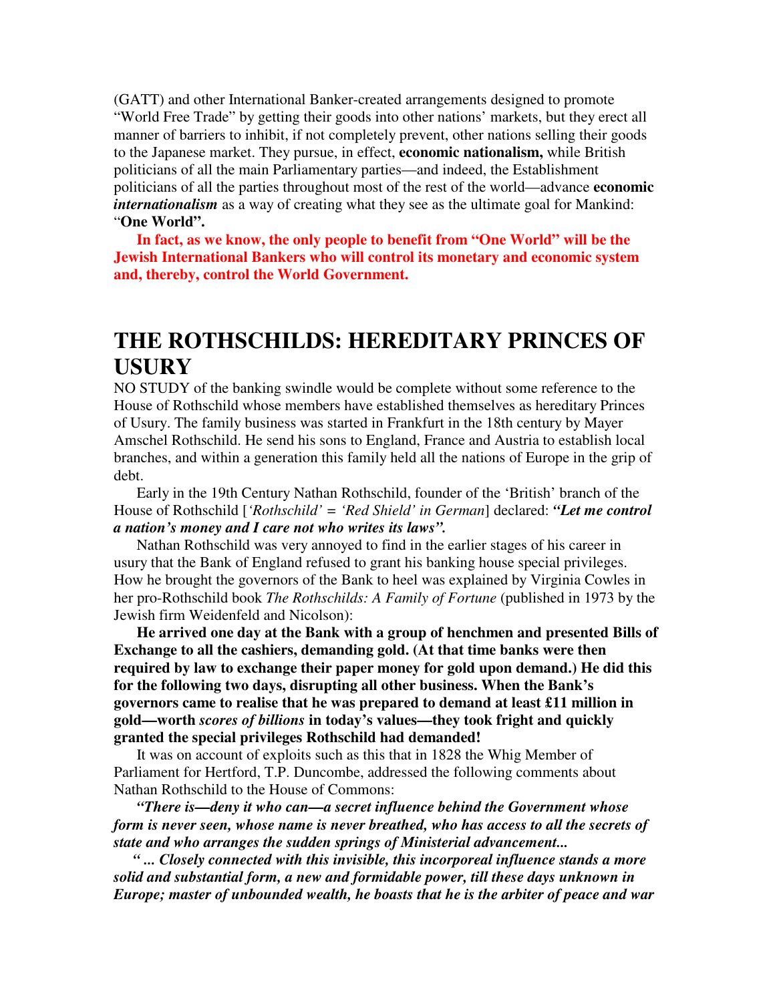(GATT) and other International Banker-created arrangements designed to promote "World Free Trade" by getting their goods into other nations' markets, but they erect all manner of barriers to inhibit, if not completely prevent, other nations selling their goods to the Japanese market. They pursue, in effect, **economic nationalism,** while British politicians of all the main Parliamentary parties—and indeed, the Establishment politicians of all the parties throughout most of the rest of the world—advance **economic**  *internationalism* as a way of creating what they see as the ultimate goal for Mankind: "**One World".** 

 **In fact, as we know, the only people to benefit from "One World" will be the Jewish International Bankers who will control its monetary and economic system and, thereby, control the World Government.**

### **THE ROTHSCHILDS: HEREDITARY PRINCES OF USURY**

NO STUDY of the banking swindle would be complete without some reference to the House of Rothschild whose members have established themselves as hereditary Princes of Usury. The family business was started in Frankfurt in the 18th century by Mayer Amschel Rothschild. He send his sons to England, France and Austria to establish local branches, and within a generation this family held all the nations of Europe in the grip of debt.

 Early in the 19th Century Nathan Rothschild, founder of the 'British' branch of the House of Rothschild [*'Rothschild' = 'Red Shield' in German*] declared: *"Let me control a nation's money and I care not who writes its laws".*

 Nathan Rothschild was very annoyed to find in the earlier stages of his career in usury that the Bank of England refused to grant his banking house special privileges. How he brought the governors of the Bank to heel was explained by Virginia Cowles in her pro-Rothschild book *The Rothschilds: A Family of Fortune* (published in 1973 by the Jewish firm Weidenfeld and Nicolson):

 **He arrived one day at the Bank with a group of henchmen and presented Bills of Exchange to all the cashiers, demanding gold. (At that time banks were then required by law to exchange their paper money for gold upon demand.) He did this for the following two days, disrupting all other business. When the Bank's governors came to realise that he was prepared to demand at least £11 million in gold—worth** *scores of billions* **in today's values—they took fright and quickly granted the special privileges Rothschild had demanded!**

 It was on account of exploits such as this that in 1828 the Whig Member of Parliament for Hertford, T.P. Duncombe, addressed the following comments about Nathan Rothschild to the House of Commons:

 *"There is—deny it who can—a secret influence behind the Government whose form is never seen, whose name is never breathed, who has access to all the secrets of state and who arranges the sudden springs of Ministerial advancement...* 

 *" ... Closely connected with this invisible, this incorporeal influence stands a more solid and substantial form, a new and formidable power, till these days unknown in Europe; master of unbounded wealth, he boasts that he is the arbiter of peace and war*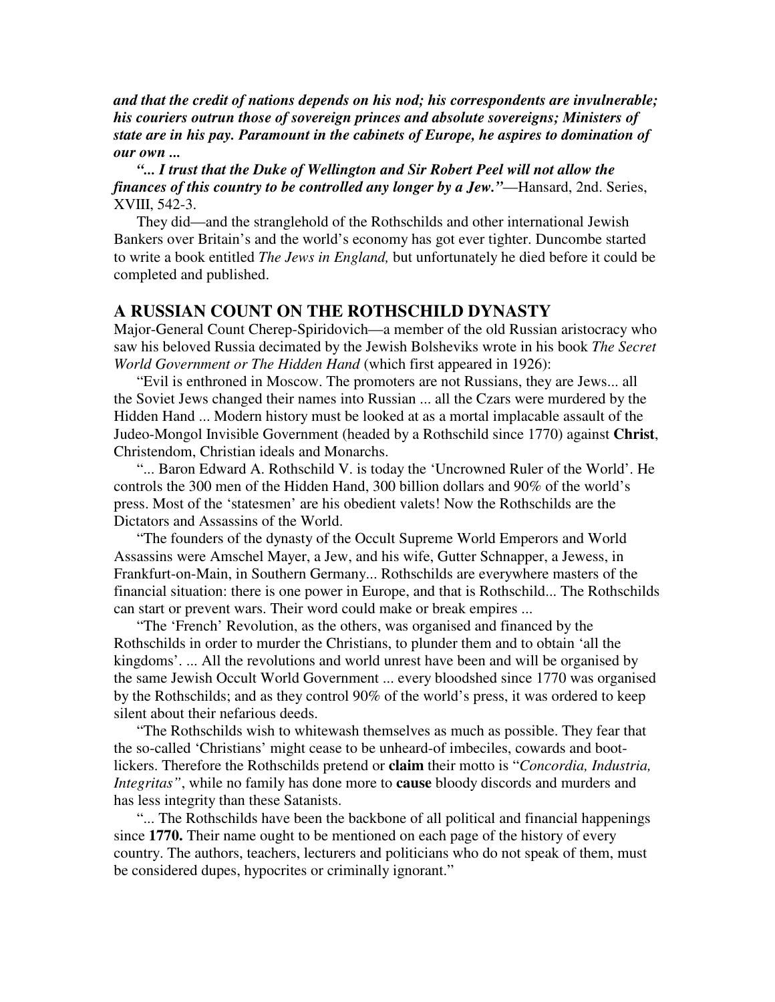*and that the credit of nations depends on his nod; his correspondents are invulnerable; his couriers outrun those of sovereign princes and absolute sovereigns; Ministers of state are in his pay. Paramount in the cabinets of Europe, he aspires to domination of our own ...* 

 *"... I trust that the Duke of Wellington and Sir Robert Peel will not allow the finances of this country to be controlled any longer by a Jew."*—Hansard, 2nd. Series, XVIII, 542-3.

 They did—and the stranglehold of the Rothschilds and other international Jewish Bankers over Britain's and the world's economy has got ever tighter. Duncombe started to write a book entitled *The Jews in England,* but unfortunately he died before it could be completed and published.

#### **A RUSSIAN COUNT ON THE ROTHSCHILD DYNASTY**

Major-General Count Cherep-Spiridovich—a member of the old Russian aristocracy who saw his beloved Russia decimated by the Jewish Bolsheviks wrote in his book *The Secret World Government or The Hidden Hand* (which first appeared in 1926):

 "Evil is enthroned in Moscow. The promoters are not Russians, they are Jews... all the Soviet Jews changed their names into Russian ... all the Czars were murdered by the Hidden Hand ... Modern history must be looked at as a mortal implacable assault of the Judeo-Mongol Invisible Government (headed by a Rothschild since 1770) against **Christ**, Christendom, Christian ideals and Monarchs.

 "... Baron Edward A. Rothschild V. is today the 'Uncrowned Ruler of the World'. He controls the 300 men of the Hidden Hand, 300 billion dollars and 90% of the world's press. Most of the 'statesmen' are his obedient valets! Now the Rothschilds are the Dictators and Assassins of the World.

 "The founders of the dynasty of the Occult Supreme World Emperors and World Assassins were Amschel Mayer, a Jew, and his wife, Gutter Schnapper, a Jewess, in Frankfurt-on-Main, in Southern Germany... Rothschilds are everywhere masters of the financial situation: there is one power in Europe, and that is Rothschild... The Rothschilds can start or prevent wars. Their word could make or break empires ...

 "The 'French' Revolution, as the others, was organised and financed by the Rothschilds in order to murder the Christians, to plunder them and to obtain 'all the kingdoms'. ... All the revolutions and world unrest have been and will be organised by the same Jewish Occult World Government ... every bloodshed since 1770 was organised by the Rothschilds; and as they control 90% of the world's press, it was ordered to keep silent about their nefarious deeds.

 "The Rothschilds wish to whitewash themselves as much as possible. They fear that the so-called 'Christians' might cease to be unheard-of imbeciles, cowards and bootlickers. Therefore the Rothschilds pretend or **claim** their motto is "*Concordia, Industria, Integritas"*, while no family has done more to **cause** bloody discords and murders and has less integrity than these Satanists.

 "... The Rothschilds have been the backbone of all political and financial happenings since **1770.** Their name ought to be mentioned on each page of the history of every country. The authors, teachers, lecturers and politicians who do not speak of them, must be considered dupes, hypocrites or criminally ignorant."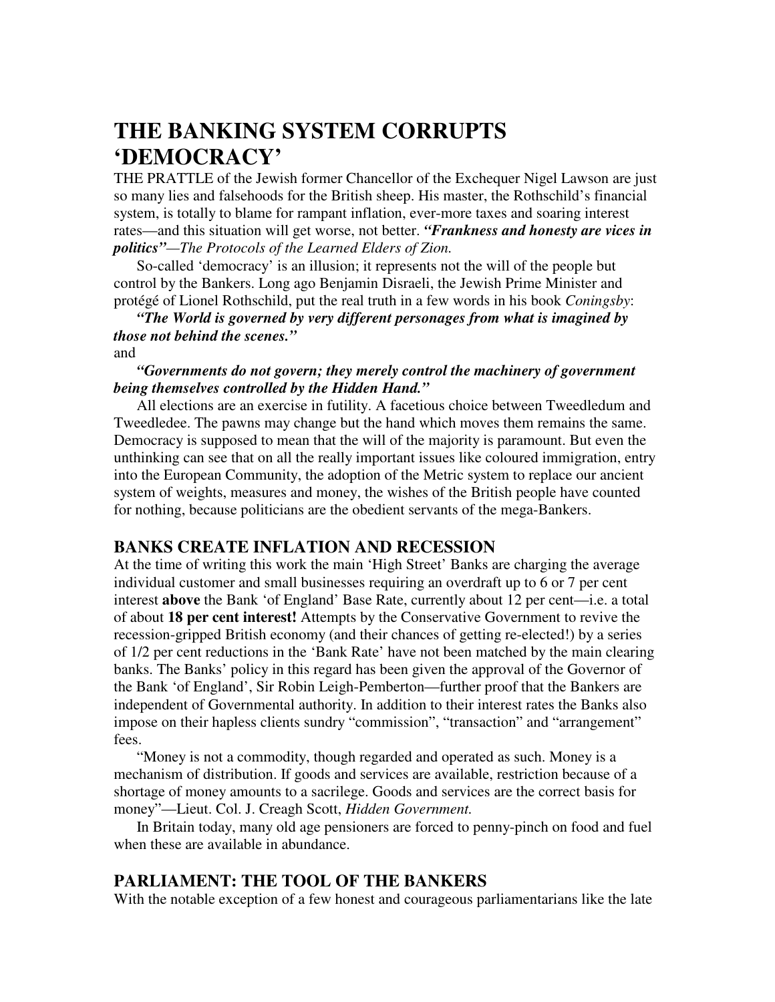# **THE BANKING SYSTEM CORRUPTS 'DEMOCRACY'**

THE PRATTLE of the Jewish former Chancellor of the Exchequer Nigel Lawson are just so many lies and falsehoods for the British sheep. His master, the Rothschild's financial system, is totally to blame for rampant inflation, ever-more taxes and soaring interest rates—and this situation will get worse, not better. *"Frankness and honesty are vices in politics"—The Protocols of the Learned Elders of Zion.*

 So-called 'democracy' is an illusion; it represents not the will of the people but control by the Bankers. Long ago Benjamin Disraeli, the Jewish Prime Minister and protégé of Lionel Rothschild, put the real truth in a few words in his book *Coningsby*:

 *"The World is governed by very different personages from what is imagined by those not behind the scenes."*

and

#### *"Governments do not govern; they merely control the machinery of government being themselves controlled by the Hidden Hand."*

 All elections are an exercise in futility. A facetious choice between Tweedledum and Tweedledee. The pawns may change but the hand which moves them remains the same. Democracy is supposed to mean that the will of the majority is paramount. But even the unthinking can see that on all the really important issues like coloured immigration, entry into the European Community, the adoption of the Metric system to replace our ancient system of weights, measures and money, the wishes of the British people have counted for nothing, because politicians are the obedient servants of the mega-Bankers.

#### **BANKS CREATE INFLATION AND RECESSION**

At the time of writing this work the main 'High Street' Banks are charging the average individual customer and small businesses requiring an overdraft up to 6 or 7 per cent interest **above** the Bank 'of England' Base Rate, currently about 12 per cent—i.e. a total of about **18 per cent interest!** Attempts by the Conservative Government to revive the recession-gripped British economy (and their chances of getting re-elected!) by a series of 1/2 per cent reductions in the 'Bank Rate' have not been matched by the main clearing banks. The Banks' policy in this regard has been given the approval of the Governor of the Bank 'of England', Sir Robin Leigh-Pemberton—further proof that the Bankers are independent of Governmental authority. In addition to their interest rates the Banks also impose on their hapless clients sundry "commission", "transaction" and "arrangement" fees.

 "Money is not a commodity, though regarded and operated as such. Money is a mechanism of distribution. If goods and services are available, restriction because of a shortage of money amounts to a sacrilege. Goods and services are the correct basis for money"—Lieut. Col. J. Creagh Scott, *Hidden Government.*

 In Britain today, many old age pensioners are forced to penny-pinch on food and fuel when these are available in abundance.

#### **PARLIAMENT: THE TOOL OF THE BANKERS**

With the notable exception of a few honest and courageous parliamentarians like the late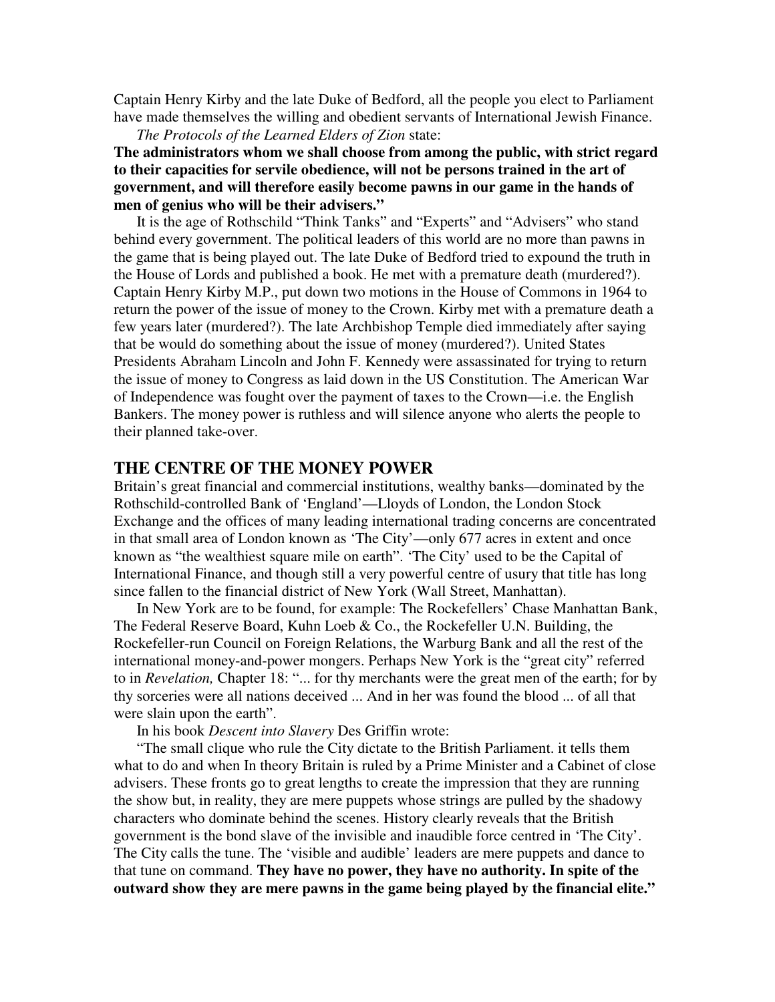Captain Henry Kirby and the late Duke of Bedford, all the people you elect to Parliament have made themselves the willing and obedient servants of International Jewish Finance.

*The Protocols of the Learned Elders of Zion* state:

**The administrators whom we shall choose from among the public, with strict regard to their capacities for servile obedience, will not be persons trained in the art of government, and will therefore easily become pawns in our game in the hands of men of genius who will be their advisers."**

 It is the age of Rothschild "Think Tanks" and "Experts" and "Advisers" who stand behind every government. The political leaders of this world are no more than pawns in the game that is being played out. The late Duke of Bedford tried to expound the truth in the House of Lords and published a book. He met with a premature death (murdered?). Captain Henry Kirby M.P., put down two motions in the House of Commons in 1964 to return the power of the issue of money to the Crown. Kirby met with a premature death a few years later (murdered?). The late Archbishop Temple died immediately after saying that be would do something about the issue of money (murdered?). United States Presidents Abraham Lincoln and John F. Kennedy were assassinated for trying to return the issue of money to Congress as laid down in the US Constitution. The American War of Independence was fought over the payment of taxes to the Crown—i.e. the English Bankers. The money power is ruthless and will silence anyone who alerts the people to their planned take-over.

#### **THE CENTRE OF THE MONEY POWER**

Britain's great financial and commercial institutions, wealthy banks—dominated by the Rothschild-controlled Bank of 'England'—Lloyds of London, the London Stock Exchange and the offices of many leading international trading concerns are concentrated in that small area of London known as 'The City'—only 677 acres in extent and once known as "the wealthiest square mile on earth". 'The City' used to be the Capital of International Finance, and though still a very powerful centre of usury that title has long since fallen to the financial district of New York (Wall Street, Manhattan).

 In New York are to be found, for example: The Rockefellers' Chase Manhattan Bank, The Federal Reserve Board, Kuhn Loeb & Co., the Rockefeller U.N. Building, the Rockefeller-run Council on Foreign Relations, the Warburg Bank and all the rest of the international money-and-power mongers. Perhaps New York is the "great city" referred to in *Revelation,* Chapter 18: "... for thy merchants were the great men of the earth; for by thy sorceries were all nations deceived ... And in her was found the blood ... of all that were slain upon the earth".

In his book *Descent into Slavery* Des Griffin wrote:

 "The small clique who rule the City dictate to the British Parliament. it tells them what to do and when In theory Britain is ruled by a Prime Minister and a Cabinet of close advisers. These fronts go to great lengths to create the impression that they are running the show but, in reality, they are mere puppets whose strings are pulled by the shadowy characters who dominate behind the scenes. History clearly reveals that the British government is the bond slave of the invisible and inaudible force centred in 'The City'. The City calls the tune. The 'visible and audible' leaders are mere puppets and dance to that tune on command. **They have no power, they have no authority. In spite of the outward show they are mere pawns in the game being played by the financial elite."**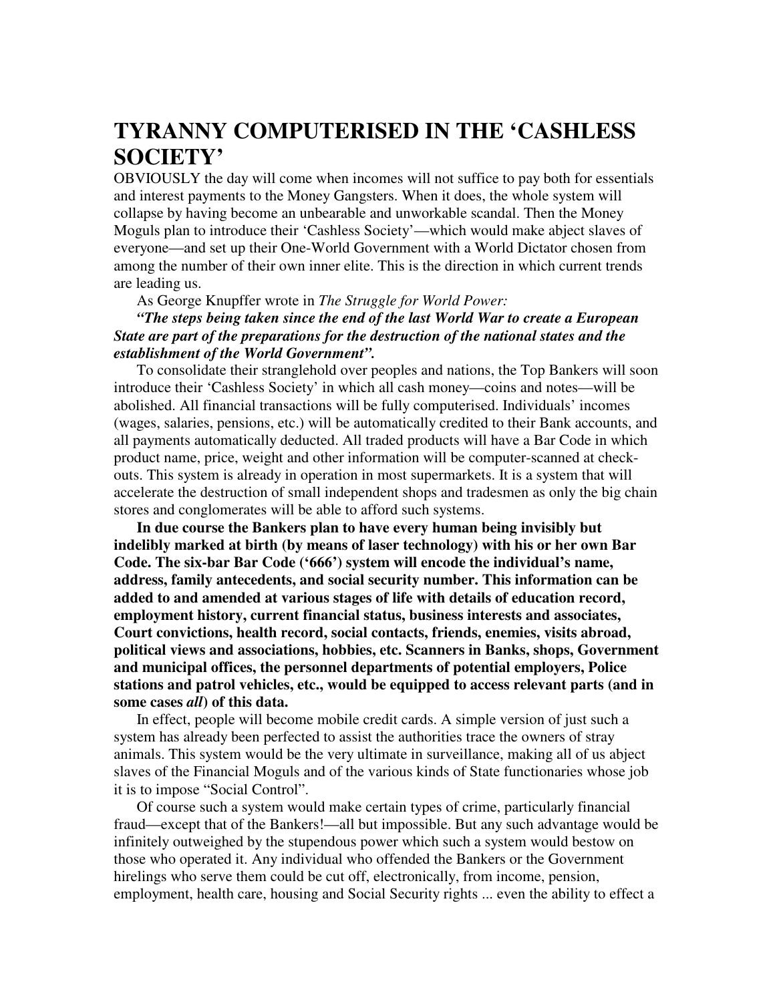### **TYRANNY COMPUTERISED IN THE 'CASHLESS SOCIETY'**

OBVIOUSLY the day will come when incomes will not suffice to pay both for essentials and interest payments to the Money Gangsters. When it does, the whole system will collapse by having become an unbearable and unworkable scandal. Then the Money Moguls plan to introduce their 'Cashless Society'—which would make abject slaves of everyone—and set up their One-World Government with a World Dictator chosen from among the number of their own inner elite. This is the direction in which current trends are leading us.

As George Knupffer wrote in *The Struggle for World Power:* 

 *"The steps being taken since the end of the last World War to create a European State are part of the preparations for the destruction of the national states and the establishment of the World Government".*

 To consolidate their stranglehold over peoples and nations, the Top Bankers will soon introduce their 'Cashless Society' in which all cash money—coins and notes—will be abolished. All financial transactions will be fully computerised. Individuals' incomes (wages, salaries, pensions, etc.) will be automatically credited to their Bank accounts, and all payments automatically deducted. All traded products will have a Bar Code in which product name, price, weight and other information will be computer-scanned at checkouts. This system is already in operation in most supermarkets. It is a system that will accelerate the destruction of small independent shops and tradesmen as only the big chain stores and conglomerates will be able to afford such systems.

 **In due course the Bankers plan to have every human being invisibly but indelibly marked at birth (by means of laser technology) with his or her own Bar Code. The six-bar Bar Code ('666') system will encode the individual's name, address, family antecedents, and social security number. This information can be added to and amended at various stages of life with details of education record, employment history, current financial status, business interests and associates, Court convictions, health record, social contacts, friends, enemies, visits abroad, political views and associations, hobbies, etc. Scanners in Banks, shops, Government and municipal offices, the personnel departments of potential employers, Police stations and patrol vehicles, etc., would be equipped to access relevant parts (and in some cases** *all***) of this data.**

 In effect, people will become mobile credit cards. A simple version of just such a system has already been perfected to assist the authorities trace the owners of stray animals. This system would be the very ultimate in surveillance, making all of us abject slaves of the Financial Moguls and of the various kinds of State functionaries whose job it is to impose "Social Control".

 Of course such a system would make certain types of crime, particularly financial fraud—except that of the Bankers!—all but impossible. But any such advantage would be infinitely outweighed by the stupendous power which such a system would bestow on those who operated it. Any individual who offended the Bankers or the Government hirelings who serve them could be cut off, electronically, from income, pension, employment, health care, housing and Social Security rights ... even the ability to effect a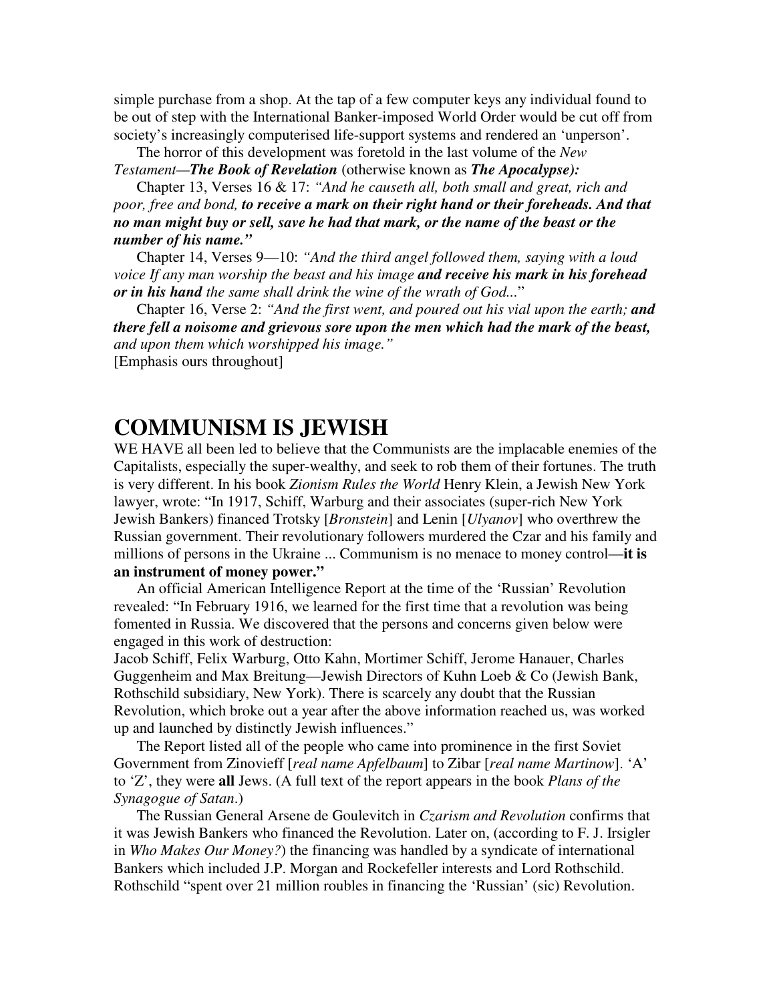simple purchase from a shop. At the tap of a few computer keys any individual found to be out of step with the International Banker-imposed World Order would be cut off from society's increasingly computerised life-support systems and rendered an 'unperson'.

 The horror of this development was foretold in the last volume of the *New Testament—The Book of Revelation* (otherwise known as *The Apocalypse):*

 Chapter 13, Verses 16 & 17: *"And he causeth all, both small and great, rich and poor, free and bond, to receive a mark on their right hand or their foreheads. And that no man might buy or sell, save he had that mark, or the name of the beast or the number of his name."*

 Chapter 14, Verses 9—10: *"And the third angel followed them, saying with a loud voice If any man worship the beast and his image and receive his mark in his forehead or in his hand the same shall drink the wine of the wrath of God...*"

 Chapter 16, Verse 2: *"And the first went, and poured out his vial upon the earth; and there fell a noisome and grievous sore upon the men which had the mark of the beast, and upon them which worshipped his image."* [Emphasis ours throughout]

### **COMMUNISM IS JEWISH**

WE HAVE all been led to believe that the Communists are the implacable enemies of the Capitalists, especially the super-wealthy, and seek to rob them of their fortunes. The truth is very different. In his book *Zionism Rules the World* Henry Klein, a Jewish New York lawyer, wrote: "In 1917, Schiff, Warburg and their associates (super-rich New York Jewish Bankers) financed Trotsky [*Bronstein*] and Lenin [*Ulyanov*] who overthrew the Russian government. Their revolutionary followers murdered the Czar and his family and millions of persons in the Ukraine ... Communism is no menace to money control—**it is an instrument of money power."**

 An official American Intelligence Report at the time of the 'Russian' Revolution revealed: "In February 1916, we learned for the first time that a revolution was being fomented in Russia. We discovered that the persons and concerns given below were engaged in this work of destruction:

Jacob Schiff, Felix Warburg, Otto Kahn, Mortimer Schiff, Jerome Hanauer, Charles Guggenheim and Max Breitung—Jewish Directors of Kuhn Loeb & Co (Jewish Bank, Rothschild subsidiary, New York). There is scarcely any doubt that the Russian Revolution, which broke out a year after the above information reached us, was worked up and launched by distinctly Jewish influences."

 The Report listed all of the people who came into prominence in the first Soviet Government from Zinovieff [*real name Apfelbaum*] to Zibar [*real name Martinow*]. 'A' to 'Z', they were **all** Jews. (A full text of the report appears in the book *Plans of the Synagogue of Satan*.)

 The Russian General Arsene de Goulevitch in *Czarism and Revolution* confirms that it was Jewish Bankers who financed the Revolution. Later on, (according to F. J. Irsigler in *Who Makes Our Money?*) the financing was handled by a syndicate of international Bankers which included J.P. Morgan and Rockefeller interests and Lord Rothschild. Rothschild "spent over 21 million roubles in financing the 'Russian' (sic) Revolution.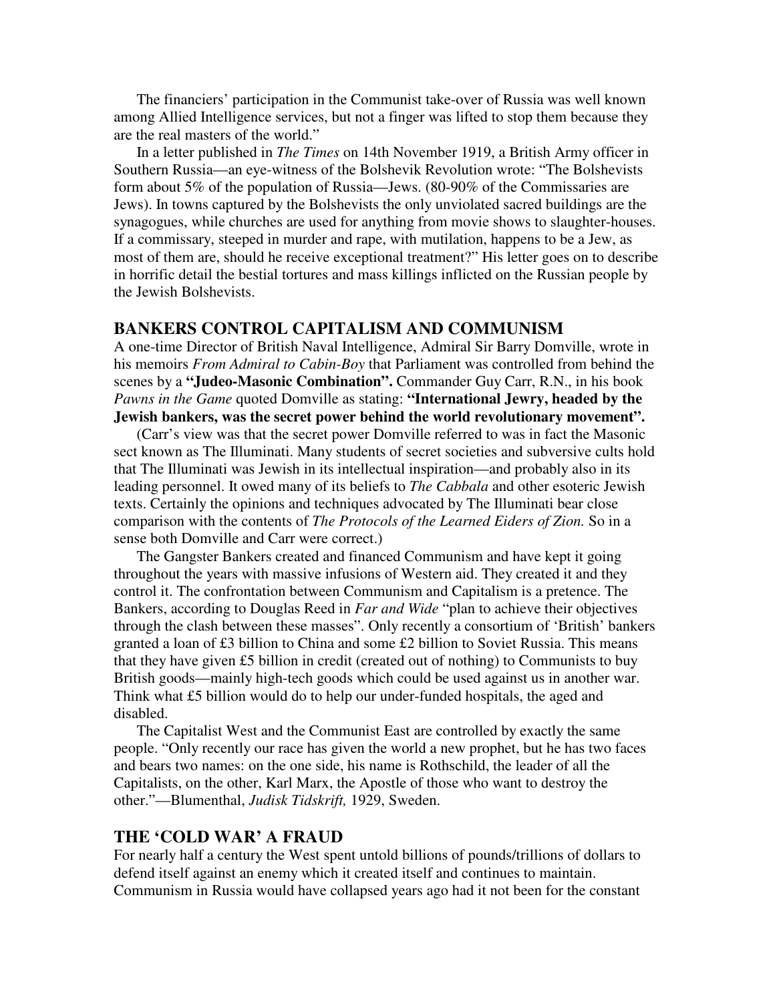The financiers' participation in the Communist take-over of Russia was well known among Allied Intelligence services, but not a finger was lifted to stop them because they are the real masters of the world."

 In a letter published in *The Times* on 14th November 1919, a British Army officer in Southern Russia—an eye-witness of the Bolshevik Revolution wrote: "The Bolshevists form about 5% of the population of Russia—Jews. (80-90% of the Commissaries are Jews). In towns captured by the Bolshevists the only unviolated sacred buildings are the synagogues, while churches are used for anything from movie shows to slaughter-houses. If a commissary, steeped in murder and rape, with mutilation, happens to be a Jew, as most of them are, should he receive exceptional treatment?" His letter goes on to describe in horrific detail the bestial tortures and mass killings inflicted on the Russian people by the Jewish Bolshevists.

#### **BANKERS CONTROL CAPITALISM AND COMMUNISM**

A one-time Director of British Naval Intelligence, Admiral Sir Barry Domville, wrote in his memoirs *From Admiral to Cabin-Boy* that Parliament was controlled from behind the scenes by a **"Judeo-Masonic Combination".** Commander Guy Carr, R.N., in his book *Pawns in the Game* quoted Domville as stating: **"International Jewry, headed by the Jewish bankers, was the secret power behind the world revolutionary movement".**

 (Carr's view was that the secret power Domville referred to was in fact the Masonic sect known as The Illuminati. Many students of secret societies and subversive cults hold that The Illuminati was Jewish in its intellectual inspiration—and probably also in its leading personnel. It owed many of its beliefs to *The Cabbala* and other esoteric Jewish texts. Certainly the opinions and techniques advocated by The Illuminati bear close comparison with the contents of *The Protocols of the Learned Eiders of Zion.* So in a sense both Domville and Carr were correct.)

 The Gangster Bankers created and financed Communism and have kept it going throughout the years with massive infusions of Western aid. They created it and they control it. The confrontation between Communism and Capitalism is a pretence. The Bankers, according to Douglas Reed in *Far and Wide* "plan to achieve their objectives through the clash between these masses". Only recently a consortium of 'British' bankers granted a loan of £3 billion to China and some £2 billion to Soviet Russia. This means that they have given £5 billion in credit (created out of nothing) to Communists to buy British goods—mainly high-tech goods which could be used against us in another war. Think what £5 billion would do to help our under-funded hospitals, the aged and disabled.

 The Capitalist West and the Communist East are controlled by exactly the same people. "Only recently our race has given the world a new prophet, but he has two faces and bears two names: on the one side, his name is Rothschild, the leader of all the Capitalists, on the other, Karl Marx, the Apostle of those who want to destroy the other."—Blumenthal, *Judisk Tidskrift,* 1929, Sweden.

#### **THE 'COLD WAR' A FRAUD**

For nearly half a century the West spent untold billions of pounds/trillions of dollars to defend itself against an enemy which it created itself and continues to maintain. Communism in Russia would have collapsed years ago had it not been for the constant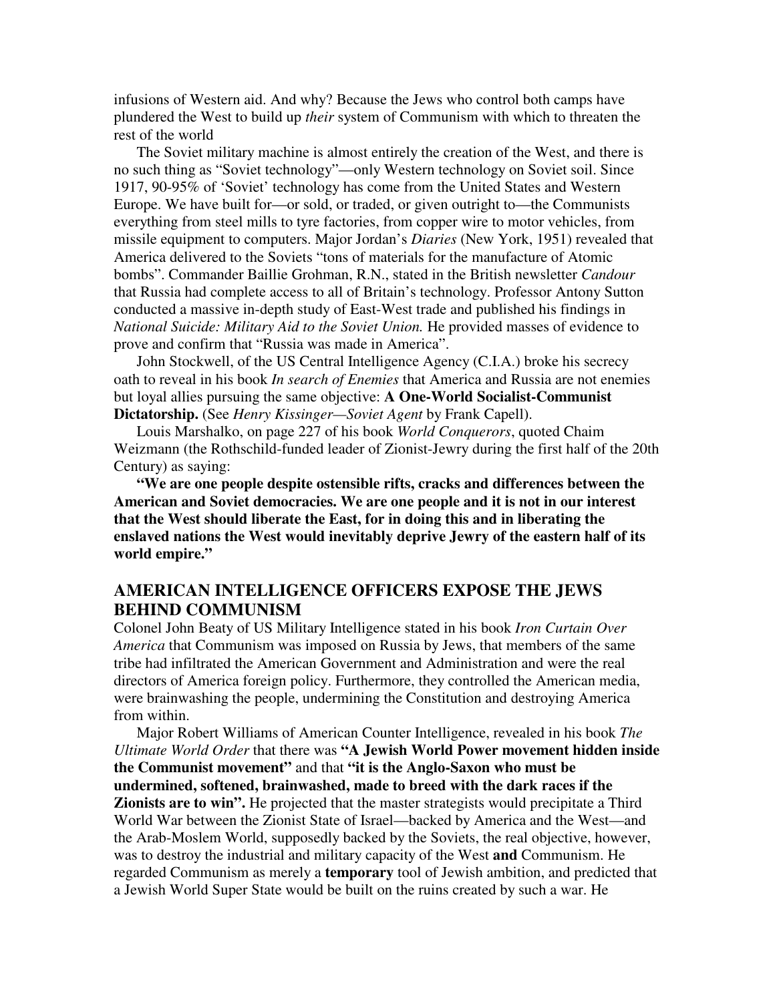infusions of Western aid. And why? Because the Jews who control both camps have plundered the West to build up *their* system of Communism with which to threaten the rest of the world

 The Soviet military machine is almost entirely the creation of the West, and there is no such thing as "Soviet technology"—only Western technology on Soviet soil. Since 1917, 90-95% of 'Soviet' technology has come from the United States and Western Europe. We have built for—or sold, or traded, or given outright to—the Communists everything from steel mills to tyre factories, from copper wire to motor vehicles, from missile equipment to computers. Major Jordan's *Diaries* (New York, 1951) revealed that America delivered to the Soviets "tons of materials for the manufacture of Atomic bombs". Commander Baillie Grohman, R.N., stated in the British newsletter *Candour* that Russia had complete access to all of Britain's technology. Professor Antony Sutton conducted a massive in-depth study of East-West trade and published his findings in *National Suicide: Military Aid to the Soviet Union.* He provided masses of evidence to prove and confirm that "Russia was made in America".

 John Stockwell, of the US Central Intelligence Agency (C.I.A.) broke his secrecy oath to reveal in his book *In search of Enemies* that America and Russia are not enemies but loyal allies pursuing the same objective: **A One-World Socialist-Communist Dictatorship.** (See *Henry Kissinger—Soviet Agent* by Frank Capell).

 Louis Marshalko, on page 227 of his book *World Conquerors*, quoted Chaim Weizmann (the Rothschild-funded leader of Zionist-Jewry during the first half of the 20th Century) as saying:

 **"We are one people despite ostensible rifts, cracks and differences between the American and Soviet democracies. We are one people and it is not in our interest that the West should liberate the East, for in doing this and in liberating the enslaved nations the West would inevitably deprive Jewry of the eastern half of its world empire."**

#### **AMERICAN INTELLIGENCE OFFICERS EXPOSE THE JEWS BEHIND COMMUNISM**

Colonel John Beaty of US Military Intelligence stated in his book *Iron Curtain Over America* that Communism was imposed on Russia by Jews, that members of the same tribe had infiltrated the American Government and Administration and were the real directors of America foreign policy. Furthermore, they controlled the American media, were brainwashing the people, undermining the Constitution and destroying America from within.

 Major Robert Williams of American Counter Intelligence, revealed in his book *The Ultimate World Order* that there was **"A Jewish World Power movement hidden inside the Communist movement"** and that **"it is the Anglo-Saxon who must be undermined, softened, brainwashed, made to breed with the dark races if the Zionists are to win".** He projected that the master strategists would precipitate a Third World War between the Zionist State of Israel—backed by America and the West—and the Arab-Moslem World, supposedly backed by the Soviets, the real objective, however, was to destroy the industrial and military capacity of the West **and** Communism. He regarded Communism as merely a **temporary** tool of Jewish ambition, and predicted that a Jewish World Super State would be built on the ruins created by such a war. He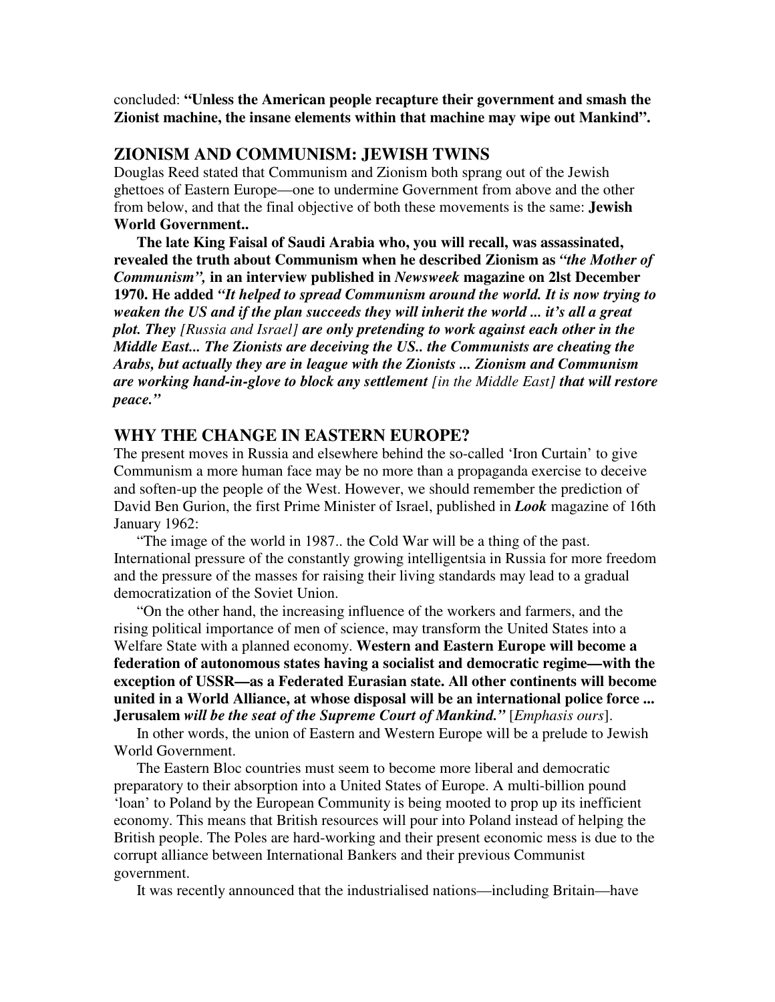concluded: **"Unless the American people recapture their government and smash the Zionist machine, the insane elements within that machine may wipe out Mankind".**

#### **ZIONISM AND COMMUNISM: JEWISH TWINS**

Douglas Reed stated that Communism and Zionism both sprang out of the Jewish ghettoes of Eastern Europe—one to undermine Government from above and the other from below, and that the final objective of both these movements is the same: **Jewish World Government..** 

 **The late King Faisal of Saudi Arabia who, you will recall, was assassinated, revealed the truth about Communism when he described Zionism as** *"the Mother of Communism",* **in an interview published in** *Newsweek* **magazine on 2lst December 1970. He added** *"It helped to spread Communism around the world. It is now trying to weaken the US and if the plan succeeds they will inherit the world ... it's all a great plot. They [Russia and Israel] are only pretending to work against each other in the Middle East... The Zionists are deceiving the US.. the Communists are cheating the Arabs, but actually they are in league with the Zionists ... Zionism and Communism are working hand-in-glove to block any settlement [in the Middle East] that will restore peace."*

#### **WHY THE CHANGE IN EASTERN EUROPE?**

The present moves in Russia and elsewhere behind the so-called 'Iron Curtain' to give Communism a more human face may be no more than a propaganda exercise to deceive and soften-up the people of the West. However, we should remember the prediction of David Ben Gurion, the first Prime Minister of Israel, published in *Look* magazine of 16th January 1962:

 "The image of the world in 1987.. the Cold War will be a thing of the past. International pressure of the constantly growing intelligentsia in Russia for more freedom and the pressure of the masses for raising their living standards may lead to a gradual democratization of the Soviet Union.

 "On the other hand, the increasing influence of the workers and farmers, and the rising political importance of men of science, may transform the United States into a Welfare State with a planned economy. **Western and Eastern Europe will become a federation of autonomous states having a socialist and democratic regime—with the exception of USSR—as a Federated Eurasian state. All other continents will become united in a World Alliance, at whose disposal will be an international police force ... Jerusalem** *will be the seat of the Supreme Court of Mankind."* [*Emphasis ours*].

 In other words, the union of Eastern and Western Europe will be a prelude to Jewish World Government.

 The Eastern Bloc countries must seem to become more liberal and democratic preparatory to their absorption into a United States of Europe. A multi-billion pound 'loan' to Poland by the European Community is being mooted to prop up its inefficient economy. This means that British resources will pour into Poland instead of helping the British people. The Poles are hard-working and their present economic mess is due to the corrupt alliance between International Bankers and their previous Communist government.

It was recently announced that the industrialised nations—including Britain—have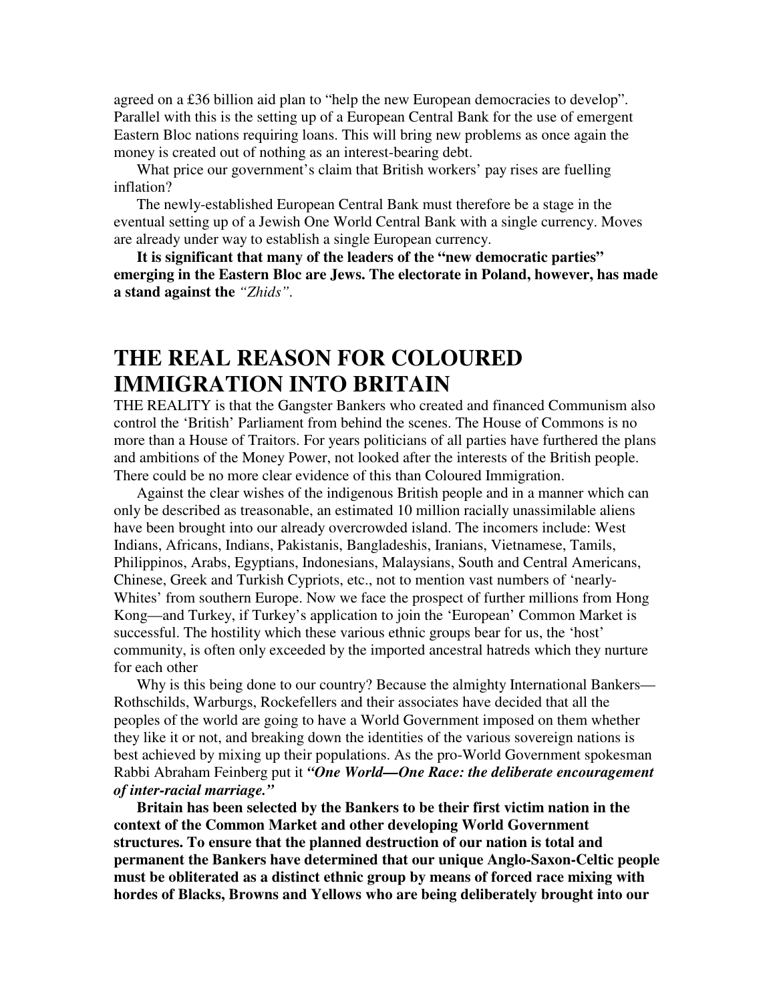agreed on a £36 billion aid plan to "help the new European democracies to develop". Parallel with this is the setting up of a European Central Bank for the use of emergent Eastern Bloc nations requiring loans. This will bring new problems as once again the money is created out of nothing as an interest-bearing debt.

 What price our government's claim that British workers' pay rises are fuelling inflation?

 The newly-established European Central Bank must therefore be a stage in the eventual setting up of a Jewish One World Central Bank with a single currency. Moves are already under way to establish a single European currency.

 **It is significant that many of the leaders of the "new democratic parties" emerging in the Eastern Bloc are Jews. The electorate in Poland, however, has made a stand against the** *"Zhids".*

# **THE REAL REASON FOR COLOURED IMMIGRATION INTO BRITAIN**

THE REALITY is that the Gangster Bankers who created and financed Communism also control the 'British' Parliament from behind the scenes. The House of Commons is no more than a House of Traitors. For years politicians of all parties have furthered the plans and ambitions of the Money Power, not looked after the interests of the British people. There could be no more clear evidence of this than Coloured Immigration.

 Against the clear wishes of the indigenous British people and in a manner which can only be described as treasonable, an estimated 10 million racially unassimilable aliens have been brought into our already overcrowded island. The incomers include: West Indians, Africans, Indians, Pakistanis, Bangladeshis, Iranians, Vietnamese, Tamils, Philippinos, Arabs, Egyptians, Indonesians, Malaysians, South and Central Americans, Chinese, Greek and Turkish Cypriots, etc., not to mention vast numbers of 'nearly-Whites' from southern Europe. Now we face the prospect of further millions from Hong Kong—and Turkey, if Turkey's application to join the 'European' Common Market is successful. The hostility which these various ethnic groups bear for us, the 'host' community, is often only exceeded by the imported ancestral hatreds which they nurture for each other

Why is this being done to our country? Because the almighty International Bankers— Rothschilds, Warburgs, Rockefellers and their associates have decided that all the peoples of the world are going to have a World Government imposed on them whether they like it or not, and breaking down the identities of the various sovereign nations is best achieved by mixing up their populations. As the pro-World Government spokesman Rabbi Abraham Feinberg put it *"One World—One Race: the deliberate encouragement of inter-racial marriage."*

 **Britain has been selected by the Bankers to be their first victim nation in the context of the Common Market and other developing World Government structures. To ensure that the planned destruction of our nation is total and permanent the Bankers have determined that our unique Anglo-Saxon-Celtic people must be obliterated as a distinct ethnic group by means of forced race mixing with hordes of Blacks, Browns and Yellows who are being deliberately brought into our**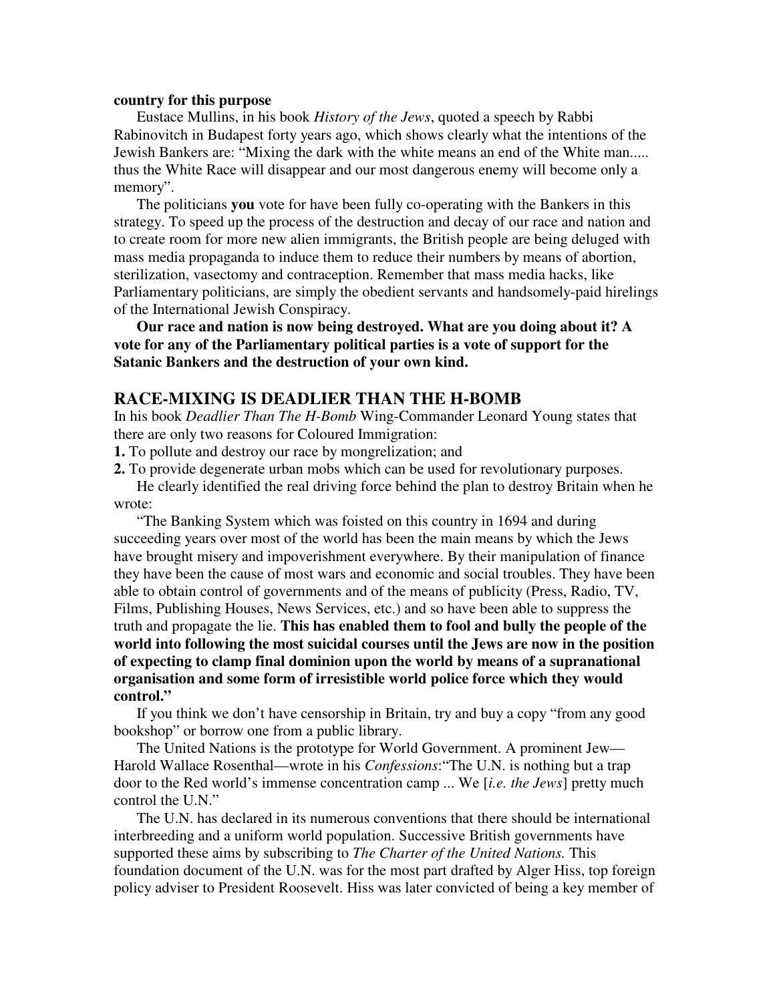#### **country for this purpose**

 Eustace Mullins, in his book *History of the Jews*, quoted a speech by Rabbi Rabinovitch in Budapest forty years ago, which shows clearly what the intentions of the Jewish Bankers are: "Mixing the dark with the white means an end of the White man..... thus the White Race will disappear and our most dangerous enemy will become only a memory".

 The politicians **you** vote for have been fully co-operating with the Bankers in this strategy. To speed up the process of the destruction and decay of our race and nation and to create room for more new alien immigrants, the British people are being deluged with mass media propaganda to induce them to reduce their numbers by means of abortion, sterilization, vasectomy and contraception. Remember that mass media hacks, like Parliamentary politicians, are simply the obedient servants and handsomely-paid hirelings of the International Jewish Conspiracy.

 **Our race and nation is now being destroyed. What are you doing about it? A vote for any of the Parliamentary political parties is a vote of support for the Satanic Bankers and the destruction of your own kind.**

#### **RACE-MIXING IS DEADLIER THAN THE H-BOMB**

In his book *Deadlier Than The H-Bomb* Wing-Commander Leonard Young states that there are only two reasons for Coloured Immigration:

**1.** To pollute and destroy our race by mongrelization; and

**2.** To provide degenerate urban mobs which can be used for revolutionary purposes.

 He clearly identified the real driving force behind the plan to destroy Britain when he wrote:

 "The Banking System which was foisted on this country in 1694 and during succeeding years over most of the world has been the main means by which the Jews have brought misery and impoverishment everywhere. By their manipulation of finance they have been the cause of most wars and economic and social troubles. They have been able to obtain control of governments and of the means of publicity (Press, Radio, TV, Films, Publishing Houses, News Services, etc.) and so have been able to suppress the truth and propagate the lie. **This has enabled them to fool and bully the people of the world into following the most suicidal courses until the Jews are now in the position of expecting to clamp final dominion upon the world by means of a supranational organisation and some form of irresistible world police force which they would control."**

 If you think we don't have censorship in Britain, try and buy a copy "from any good bookshop" or borrow one from a public library.

 The United Nations is the prototype for World Government. A prominent Jew— Harold Wallace Rosenthal—wrote in his *Confessions*:"The U.N. is nothing but a trap door to the Red world's immense concentration camp ... We [*i.e. the Jews*] pretty much control the U.N."

 The U.N. has declared in its numerous conventions that there should be international interbreeding and a uniform world population. Successive British governments have supported these aims by subscribing to *The Charter of the United Nations.* This foundation document of the U.N. was for the most part drafted by Alger Hiss, top foreign policy adviser to President Roosevelt. Hiss was later convicted of being a key member of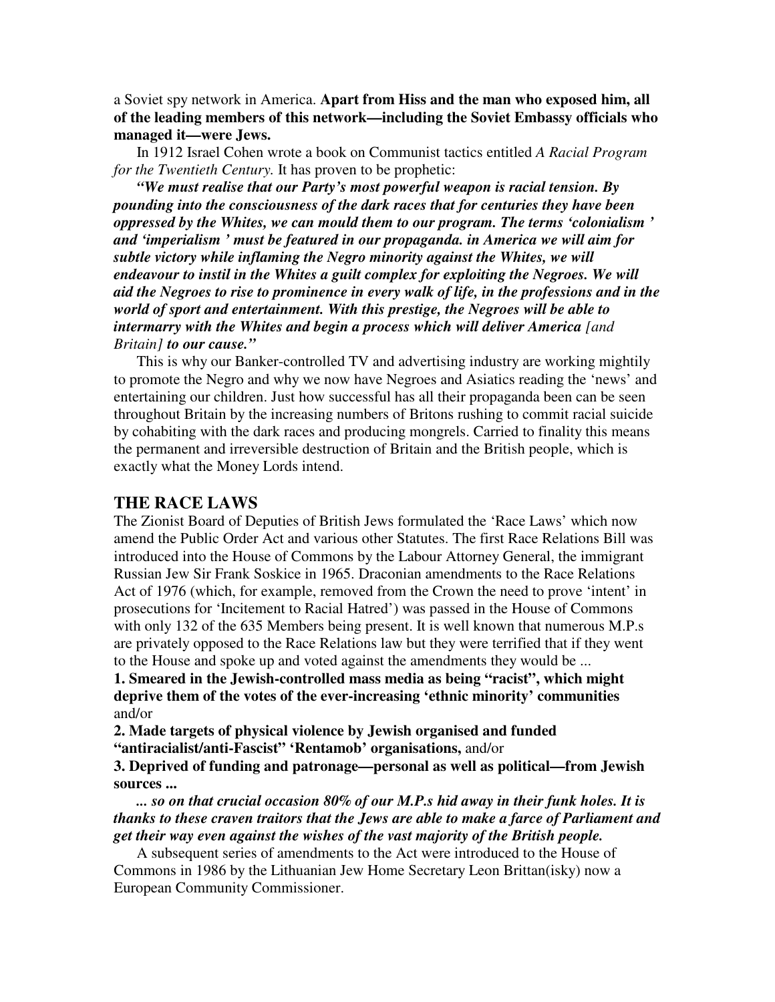a Soviet spy network in America. **Apart from Hiss and the man who exposed him, all of the leading members of this network—including the Soviet Embassy officials who managed it—were Jews.**

 In 1912 Israel Cohen wrote a book on Communist tactics entitled *A Racial Program for the Twentieth Century.* It has proven to be prophetic:

 *"We must realise that our Party's most powerful weapon is racial tension. By pounding into the consciousness of the dark races that for centuries they have been oppressed by the Whites, we can mould them to our program. The terms 'colonialism ' and 'imperialism ' must be featured in our propaganda. in America we will aim for subtle victory while inflaming the Negro minority against the Whites, we will endeavour to instil in the Whites a guilt complex for exploiting the Negroes. We will aid the Negroes to rise to prominence in every walk of life, in the professions and in the world of sport and entertainment. With this prestige, the Negroes will be able to intermarry with the Whites and begin a process which will deliver America [and Britain] to our cause."*

 This is why our Banker-controlled TV and advertising industry are working mightily to promote the Negro and why we now have Negroes and Asiatics reading the 'news' and entertaining our children. Just how successful has all their propaganda been can be seen throughout Britain by the increasing numbers of Britons rushing to commit racial suicide by cohabiting with the dark races and producing mongrels. Carried to finality this means the permanent and irreversible destruction of Britain and the British people, which is exactly what the Money Lords intend.

#### **THE RACE LAWS**

The Zionist Board of Deputies of British Jews formulated the 'Race Laws' which now amend the Public Order Act and various other Statutes. The first Race Relations Bill was introduced into the House of Commons by the Labour Attorney General, the immigrant Russian Jew Sir Frank Soskice in 1965. Draconian amendments to the Race Relations Act of 1976 (which, for example, removed from the Crown the need to prove 'intent' in prosecutions for 'Incitement to Racial Hatred') was passed in the House of Commons with only 132 of the 635 Members being present. It is well known that numerous M.P.s are privately opposed to the Race Relations law but they were terrified that if they went to the House and spoke up and voted against the amendments they would be ...

**1. Smeared in the Jewish-controlled mass media as being "racist", which might deprive them of the votes of the ever-increasing 'ethnic minority' communities** and/or

**2. Made targets of physical violence by Jewish organised and funded "antiracialist/anti-Fascist" 'Rentamob' organisations,** and/or

**3. Deprived of funding and patronage—personal as well as political—from Jewish sources ...** 

*... so on that crucial occasion 80% of our M.P.s hid away in their funk holes. It is thanks to these craven traitors that the Jews are able to make a farce of Parliament and get their way even against the wishes of the vast majority of the British people.*

 A subsequent series of amendments to the Act were introduced to the House of Commons in 1986 by the Lithuanian Jew Home Secretary Leon Brittan(isky) now a European Community Commissioner.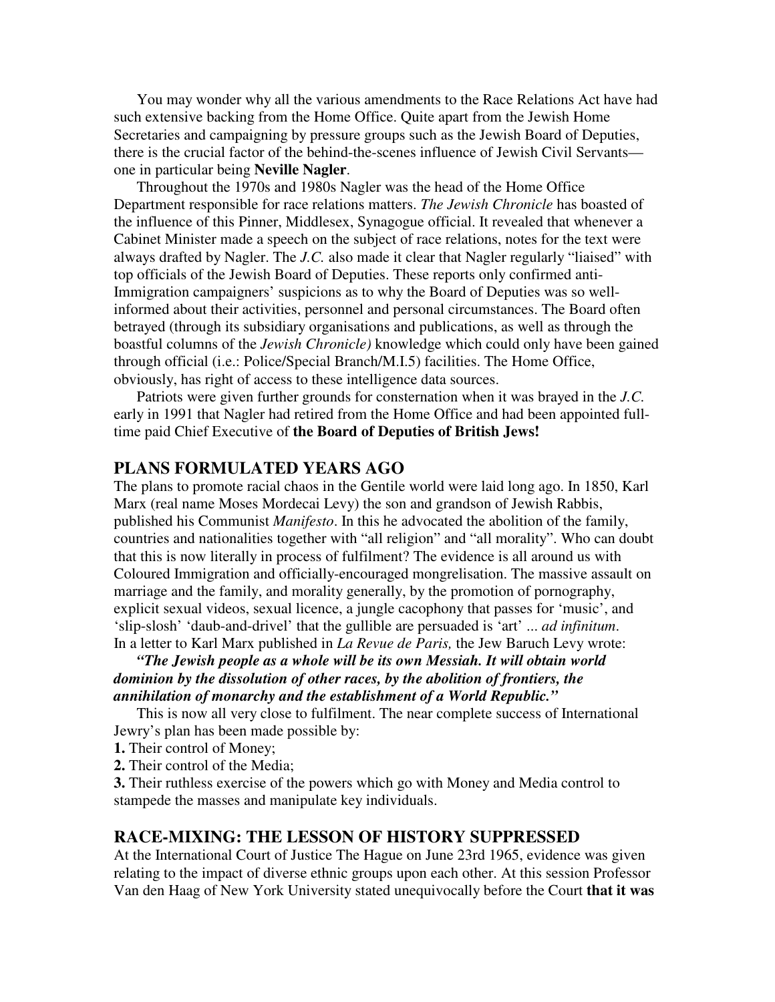You may wonder why all the various amendments to the Race Relations Act have had such extensive backing from the Home Office. Quite apart from the Jewish Home Secretaries and campaigning by pressure groups such as the Jewish Board of Deputies, there is the crucial factor of the behind-the-scenes influence of Jewish Civil Servants one in particular being **Neville Nagler**.

 Throughout the 1970s and 1980s Nagler was the head of the Home Office Department responsible for race relations matters. *The Jewish Chronicle* has boasted of the influence of this Pinner, Middlesex, Synagogue official. It revealed that whenever a Cabinet Minister made a speech on the subject of race relations, notes for the text were always drafted by Nagler. The *J.C.* also made it clear that Nagler regularly "liaised" with top officials of the Jewish Board of Deputies. These reports only confirmed anti-Immigration campaigners' suspicions as to why the Board of Deputies was so wellinformed about their activities, personnel and personal circumstances. The Board often betrayed (through its subsidiary organisations and publications, as well as through the boastful columns of the *Jewish Chronicle)* knowledge which could only have been gained through official (i.e.: Police/Special Branch/M.I.5) facilities. The Home Office, obviously, has right of access to these intelligence data sources.

 Patriots were given further grounds for consternation when it was brayed in the *J.C.* early in 1991 that Nagler had retired from the Home Office and had been appointed fulltime paid Chief Executive of **the Board of Deputies of British Jews!**

#### **PLANS FORMULATED YEARS AGO**

The plans to promote racial chaos in the Gentile world were laid long ago. In 1850, Karl Marx (real name Moses Mordecai Levy) the son and grandson of Jewish Rabbis, published his Communist *Manifesto*. In this he advocated the abolition of the family, countries and nationalities together with "all religion" and "all morality". Who can doubt that this is now literally in process of fulfilment? The evidence is all around us with Coloured Immigration and officially-encouraged mongrelisation. The massive assault on marriage and the family, and morality generally, by the promotion of pornography, explicit sexual videos, sexual licence, a jungle cacophony that passes for 'music', and 'slip-slosh' 'daub-and-drivel' that the gullible are persuaded is 'art' ... *ad infinitum*. In a letter to Karl Marx published in *La Revue de Paris,* the Jew Baruch Levy wrote:

 *"The Jewish people as a whole will be its own Messiah. It will obtain world dominion by the dissolution of other races, by the abolition of frontiers, the annihilation of monarchy and the establishment of a World Republic."*

 This is now all very close to fulfilment. The near complete success of International Jewry's plan has been made possible by:

- **1.** Their control of Money;
- **2.** Their control of the Media;

**3.** Their ruthless exercise of the powers which go with Money and Media control to stampede the masses and manipulate key individuals.

#### **RACE-MIXING: THE LESSON OF HISTORY SUPPRESSED**

At the International Court of Justice The Hague on June 23rd 1965, evidence was given relating to the impact of diverse ethnic groups upon each other. At this session Professor Van den Haag of New York University stated unequivocally before the Court **that it was**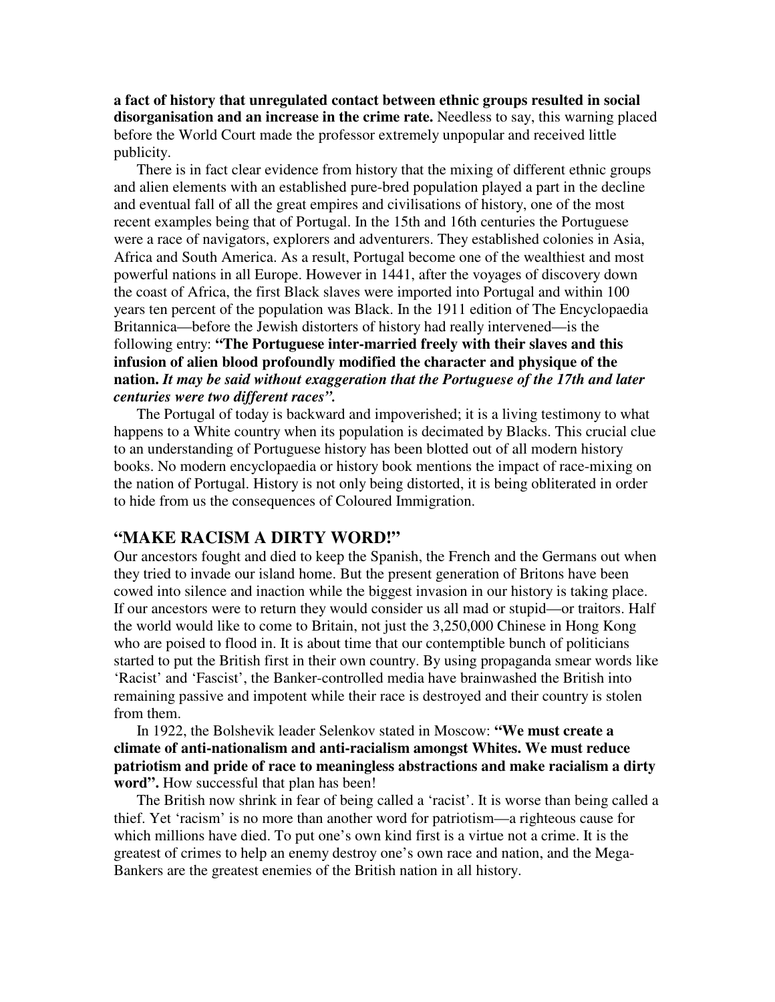**a fact of history that unregulated contact between ethnic groups resulted in social disorganisation and an increase in the crime rate.** Needless to say, this warning placed before the World Court made the professor extremely unpopular and received little publicity.

 There is in fact clear evidence from history that the mixing of different ethnic groups and alien elements with an established pure-bred population played a part in the decline and eventual fall of all the great empires and civilisations of history, one of the most recent examples being that of Portugal. In the 15th and 16th centuries the Portuguese were a race of navigators, explorers and adventurers. They established colonies in Asia, Africa and South America. As a result, Portugal become one of the wealthiest and most powerful nations in all Europe. However in 1441, after the voyages of discovery down the coast of Africa, the first Black slaves were imported into Portugal and within 100 years ten percent of the population was Black. In the 1911 edition of The Encyclopaedia Britannica—before the Jewish distorters of history had really intervened—is the following entry: **"The Portuguese inter-married freely with their slaves and this infusion of alien blood profoundly modified the character and physique of the nation.** *It may be said without exaggeration that the Portuguese of the 17th and later centuries were two different races".*

 The Portugal of today is backward and impoverished; it is a living testimony to what happens to a White country when its population is decimated by Blacks. This crucial clue to an understanding of Portuguese history has been blotted out of all modern history books. No modern encyclopaedia or history book mentions the impact of race-mixing on the nation of Portugal. History is not only being distorted, it is being obliterated in order to hide from us the consequences of Coloured Immigration.

#### **"MAKE RACISM A DIRTY WORD!"**

Our ancestors fought and died to keep the Spanish, the French and the Germans out when they tried to invade our island home. But the present generation of Britons have been cowed into silence and inaction while the biggest invasion in our history is taking place. If our ancestors were to return they would consider us all mad or stupid—or traitors. Half the world would like to come to Britain, not just the 3,250,000 Chinese in Hong Kong who are poised to flood in. It is about time that our contemptible bunch of politicians started to put the British first in their own country. By using propaganda smear words like 'Racist' and 'Fascist', the Banker-controlled media have brainwashed the British into remaining passive and impotent while their race is destroyed and their country is stolen from them.

 In 1922, the Bolshevik leader Selenkov stated in Moscow: **"We must create a climate of anti-nationalism and anti-racialism amongst Whites. We must reduce patriotism and pride of race to meaningless abstractions and make racialism a dirty word".** How successful that plan has been!

 The British now shrink in fear of being called a 'racist'. It is worse than being called a thief. Yet 'racism' is no more than another word for patriotism—a righteous cause for which millions have died. To put one's own kind first is a virtue not a crime. It is the greatest of crimes to help an enemy destroy one's own race and nation, and the Mega-Bankers are the greatest enemies of the British nation in all history.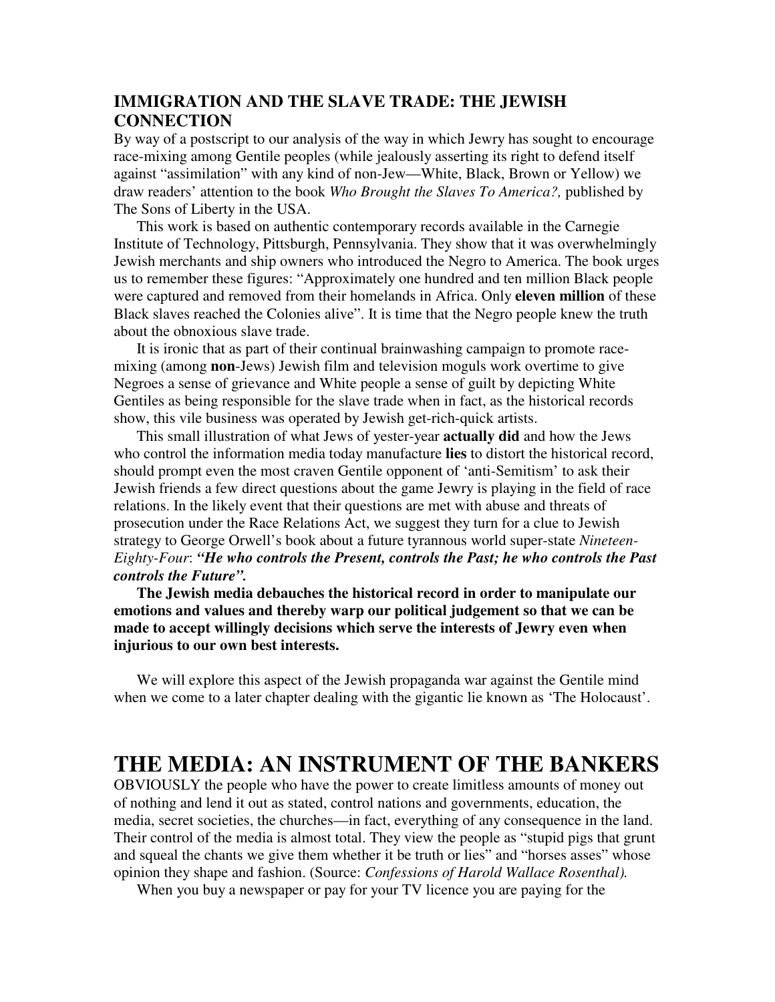#### **IMMIGRATION AND THE SLAVE TRADE: THE JEWISH CONNECTION**

By way of a postscript to our analysis of the way in which Jewry has sought to encourage race-mixing among Gentile peoples (while jealously asserting its right to defend itself against "assimilation" with any kind of non-Jew—White, Black, Brown or Yellow) we draw readers' attention to the book *Who Brought the Slaves To America?,* published by The Sons of Liberty in the USA.

 This work is based on authentic contemporary records available in the Carnegie Institute of Technology, Pittsburgh, Pennsylvania. They show that it was overwhelmingly Jewish merchants and ship owners who introduced the Negro to America. The book urges us to remember these figures: "Approximately one hundred and ten million Black people were captured and removed from their homelands in Africa. Only **eleven million** of these Black slaves reached the Colonies alive". It is time that the Negro people knew the truth about the obnoxious slave trade.

 It is ironic that as part of their continual brainwashing campaign to promote racemixing (among **non**-Jews) Jewish film and television moguls work overtime to give Negroes a sense of grievance and White people a sense of guilt by depicting White Gentiles as being responsible for the slave trade when in fact, as the historical records show, this vile business was operated by Jewish get-rich-quick artists.

 This small illustration of what Jews of yester-year **actually did** and how the Jews who control the information media today manufacture **lies** to distort the historical record, should prompt even the most craven Gentile opponent of 'anti-Semitism' to ask their Jewish friends a few direct questions about the game Jewry is playing in the field of race relations. In the likely event that their questions are met with abuse and threats of prosecution under the Race Relations Act, we suggest they turn for a clue to Jewish strategy to George Orwell's book about a future tyrannous world super-state *Nineteen-Eighty-Four*: *"He who controls the Present, controls the Past; he who controls the Past controls the Future".*

 **The Jewish media debauches the historical record in order to manipulate our emotions and values and thereby warp our political judgement so that we can be made to accept willingly decisions which serve the interests of Jewry even when injurious to our own best interests.**

 We will explore this aspect of the Jewish propaganda war against the Gentile mind when we come to a later chapter dealing with the gigantic lie known as 'The Holocaust'.

### **THE MEDIA: AN INSTRUMENT OF THE BANKERS**

OBVIOUSLY the people who have the power to create limitless amounts of money out of nothing and lend it out as stated, control nations and governments, education, the media, secret societies, the churches—in fact, everything of any consequence in the land. Their control of the media is almost total. They view the people as "stupid pigs that grunt and squeal the chants we give them whether it be truth or lies" and "horses asses" whose opinion they shape and fashion. (Source: *Confessions of Harold Wallace Rosenthal).*

When you buy a newspaper or pay for your TV licence you are paying for the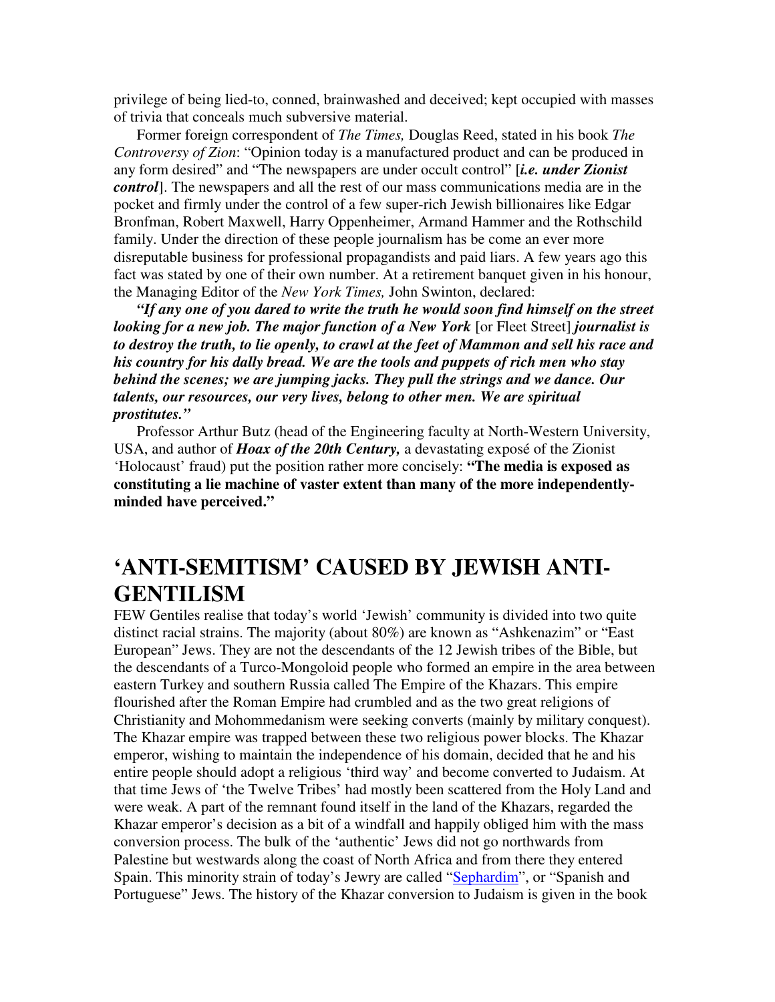privilege of being lied-to, conned, brainwashed and deceived; kept occupied with masses of trivia that conceals much subversive material.

 Former foreign correspondent of *The Times,* Douglas Reed, stated in his book *The Controversy of Zion*: "Opinion today is a manufactured product and can be produced in any form desired" and "The newspapers are under occult control" [*i.e. under Zionist control*]. The newspapers and all the rest of our mass communications media are in the pocket and firmly under the control of a few super-rich Jewish billionaires like Edgar Bronfman, Robert Maxwell, Harry Oppenheimer, Armand Hammer and the Rothschild family. Under the direction of these people journalism has be come an ever more disreputable business for professional propagandists and paid liars. A few years ago this fact was stated by one of their own number. At a retirement banquet given in his honour, the Managing Editor of the *New York Times,* John Swinton, declared:

 *"If any one of you dared to write the truth he would soon find himself on the street looking for a new job. The major function of a New York* [or Fleet Street] *journalist is to destroy the truth, to lie openly, to crawl at the feet of Mammon and sell his race and his country for his dally bread. We are the tools and puppets of rich men who stay behind the scenes; we are jumping jacks. They pull the strings and we dance. Our talents, our resources, our very lives, belong to other men. We are spiritual prostitutes."*

 Professor Arthur Butz (head of the Engineering faculty at North-Western University, USA, and author of *Hoax of the 20th Century,* a devastating exposé of the Zionist 'Holocaust' fraud) put the position rather more concisely: **"The media is exposed as constituting a lie machine of vaster extent than many of the more independentlyminded have perceived."**

# **'ANTI-SEMITISM' CAUSED BY JEWISH ANTI-GENTILISM**

FEW Gentiles realise that today's world 'Jewish' community is divided into two quite distinct racial strains. The majority (about 80%) are known as "Ashkenazim" or "East European" Jews. They are not the descendants of the 12 Jewish tribes of the Bible, but the descendants of a Turco-Mongoloid people who formed an empire in the area between eastern Turkey and southern Russia called The Empire of the Khazars. This empire flourished after the Roman Empire had crumbled and as the two great religions of Christianity and Mohommedanism were seeking converts (mainly by military conquest). The Khazar empire was trapped between these two religious power blocks. The Khazar emperor, wishing to maintain the independence of his domain, decided that he and his entire people should adopt a religious 'third way' and become converted to Judaism. At that time Jews of 'the Twelve Tribes' had mostly been scattered from the Holy Land and were weak. A part of the remnant found itself in the land of the Khazars, regarded the Khazar emperor's decision as a bit of a windfall and happily obliged him with the mass conversion process. The bulk of the 'authentic' Jews did not go northwards from Palestine but westwards along the coast of North Africa and from there they entered Spain. This minority strain of today's Jewry are called "Sephardim", or "Spanish and Portuguese" Jews. The history of the Khazar conversion to Judaism is given in the book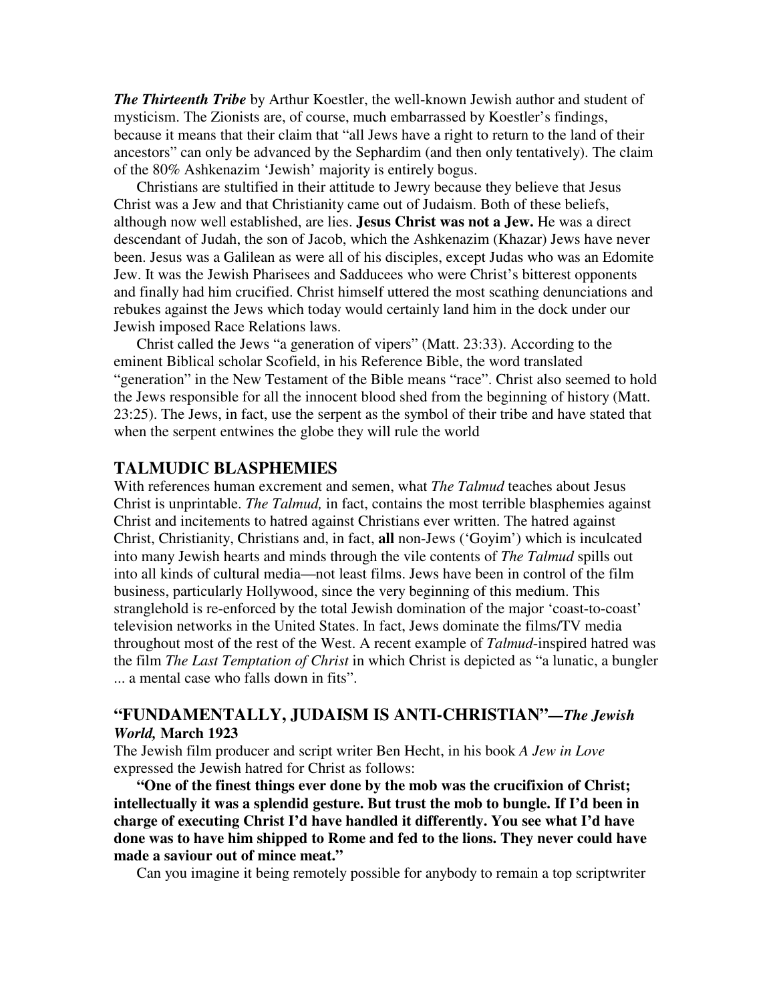*The Thirteenth Tribe* by Arthur Koestler, the well-known Jewish author and student of mysticism. The Zionists are, of course, much embarrassed by Koestler's findings, because it means that their claim that "all Jews have a right to return to the land of their ancestors" can only be advanced by the Sephardim (and then only tentatively). The claim of the 80% Ashkenazim 'Jewish' majority is entirely bogus.

 Christians are stultified in their attitude to Jewry because they believe that Jesus Christ was a Jew and that Christianity came out of Judaism. Both of these beliefs, although now well established, are lies. **Jesus Christ was not a Jew.** He was a direct descendant of Judah, the son of Jacob, which the Ashkenazim (Khazar) Jews have never been. Jesus was a Galilean as were all of his disciples, except Judas who was an Edomite Jew. It was the Jewish Pharisees and Sadducees who were Christ's bitterest opponents and finally had him crucified. Christ himself uttered the most scathing denunciations and rebukes against the Jews which today would certainly land him in the dock under our Jewish imposed Race Relations laws.

 Christ called the Jews "a generation of vipers" (Matt. 23:33). According to the eminent Biblical scholar Scofield, in his Reference Bible, the word translated "generation" in the New Testament of the Bible means "race". Christ also seemed to hold the Jews responsible for all the innocent blood shed from the beginning of history (Matt. 23:25). The Jews, in fact, use the serpent as the symbol of their tribe and have stated that when the serpent entwines the globe they will rule the world

#### **TALMUDIC BLASPHEMIES**

With references human excrement and semen, what *The Talmud* teaches about Jesus Christ is unprintable. *The Talmud,* in fact, contains the most terrible blasphemies against Christ and incitements to hatred against Christians ever written. The hatred against Christ, Christianity, Christians and, in fact, **all** non-Jews ('Goyim') which is inculcated into many Jewish hearts and minds through the vile contents of *The Talmud* spills out into all kinds of cultural media—not least films. Jews have been in control of the film business, particularly Hollywood, since the very beginning of this medium. This stranglehold is re-enforced by the total Jewish domination of the major 'coast-to-coast' television networks in the United States. In fact, Jews dominate the films/TV media throughout most of the rest of the West. A recent example of *Talmud*-inspired hatred was the film *The Last Temptation of Christ* in which Christ is depicted as "a lunatic, a bungler ... a mental case who falls down in fits".

#### **"FUNDAMENTALLY, JUDAISM IS ANTI-CHRISTIAN"***—The Jewish World,* **March 1923**

The Jewish film producer and script writer Ben Hecht, in his book *A Jew in Love* expressed the Jewish hatred for Christ as follows:

 **"One of the finest things ever done by the mob was the crucifixion of Christ; intellectually it was a splendid gesture. But trust the mob to bungle. If I'd been in charge of executing Christ I'd have handled it differently. You see what I'd have done was to have him shipped to Rome and fed to the lions. They never could have made a saviour out of mince meat."**

Can you imagine it being remotely possible for anybody to remain a top scriptwriter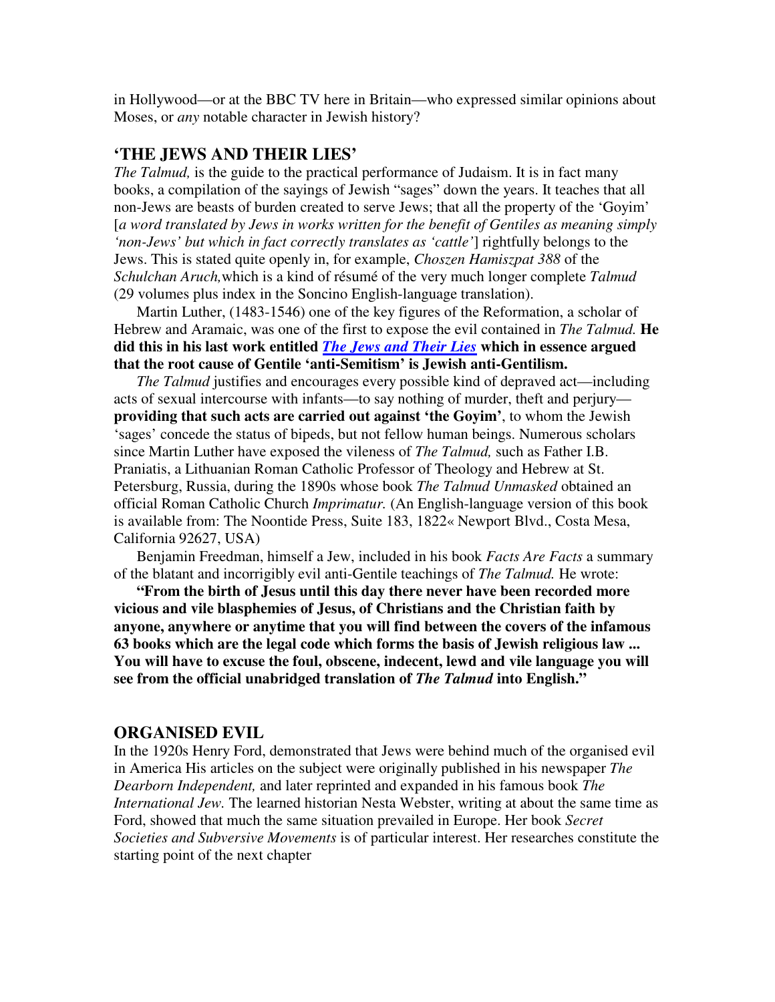in Hollywood—or at the BBC TV here in Britain—who expressed similar opinions about Moses, or *any* notable character in Jewish history?

#### **'THE JEWS AND THEIR LIES'**

*The Talmud,* is the guide to the practical performance of Judaism. It is in fact many books, a compilation of the sayings of Jewish "sages" down the years. It teaches that all non-Jews are beasts of burden created to serve Jews; that all the property of the 'Goyim' [*a word translated by Jews in works written for the benefit of Gentiles as meaning simply 'non-Jews' but which in fact correctly translates as 'cattle'*] rightfully belongs to the Jews. This is stated quite openly in, for example, *Choszen Hamiszpat 388* of the *Schulchan Aruch,*which is a kind of résumé of the very much longer complete *Talmud* (29 volumes plus index in the Soncino English-language translation).

 Martin Luther, (1483-1546) one of the key figures of the Reformation, a scholar of Hebrew and Aramaic, was one of the first to expose the evil contained in *The Talmud.* **He did this in his last work entitled** *The Jews and Their Lies* **which in essence argued that the root cause of Gentile 'anti-Semitism' is Jewish anti-Gentilism.**

 *The Talmud* justifies and encourages every possible kind of depraved act—including acts of sexual intercourse with infants—to say nothing of murder, theft and perjury **providing that such acts are carried out against 'the Goyim'**, to whom the Jewish 'sages' concede the status of bipeds, but not fellow human beings. Numerous scholars since Martin Luther have exposed the vileness of *The Talmud,* such as Father I.B. Praniatis, a Lithuanian Roman Catholic Professor of Theology and Hebrew at St. Petersburg, Russia, during the 1890s whose book *The Talmud Unmasked* obtained an official Roman Catholic Church *Imprimatur.* (An English-language version of this book is available from: The Noontide Press, Suite 183, 1822« Newport Blvd., Costa Mesa, California 92627, USA)

 Benjamin Freedman, himself a Jew, included in his book *Facts Are Facts* a summary of the blatant and incorrigibly evil anti-Gentile teachings of *The Talmud.* He wrote:

 **"From the birth of Jesus until this day there never have been recorded more vicious and vile blasphemies of Jesus, of Christians and the Christian faith by anyone, anywhere or anytime that you will find between the covers of the infamous 63 books which are the legal code which forms the basis of Jewish religious law ... You will have to excuse the foul, obscene, indecent, lewd and vile language you will see from the official unabridged translation of** *The Talmud* **into English."**

#### **ORGANISED EVIL**

In the 1920s Henry Ford, demonstrated that Jews were behind much of the organised evil in America His articles on the subject were originally published in his newspaper *The Dearborn Independent,* and later reprinted and expanded in his famous book *The International Jew.* The learned historian Nesta Webster, writing at about the same time as Ford, showed that much the same situation prevailed in Europe. Her book *Secret Societies and Subversive Movements* is of particular interest. Her researches constitute the starting point of the next chapter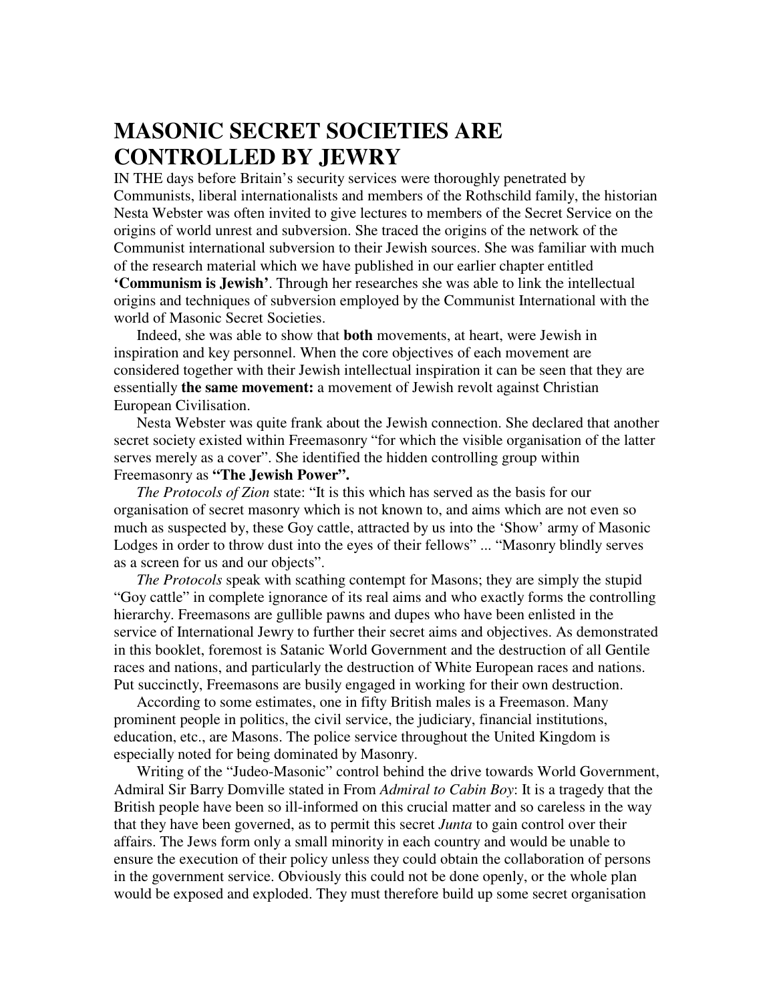# **MASONIC SECRET SOCIETIES ARE CONTROLLED BY JEWRY**

IN THE days before Britain's security services were thoroughly penetrated by Communists, liberal internationalists and members of the Rothschild family, the historian Nesta Webster was often invited to give lectures to members of the Secret Service on the origins of world unrest and subversion. She traced the origins of the network of the Communist international subversion to their Jewish sources. She was familiar with much of the research material which we have published in our earlier chapter entitled **'Communism is Jewish'**. Through her researches she was able to link the intellectual origins and techniques of subversion employed by the Communist International with the world of Masonic Secret Societies.

 Indeed, she was able to show that **both** movements, at heart, were Jewish in inspiration and key personnel. When the core objectives of each movement are considered together with their Jewish intellectual inspiration it can be seen that they are essentially **the same movement:** a movement of Jewish revolt against Christian European Civilisation.

 Nesta Webster was quite frank about the Jewish connection. She declared that another secret society existed within Freemasonry "for which the visible organisation of the latter serves merely as a cover". She identified the hidden controlling group within Freemasonry as **"The Jewish Power".**

 *The Protocols of Zion* state: "It is this which has served as the basis for our organisation of secret masonry which is not known to, and aims which are not even so much as suspected by, these Goy cattle, attracted by us into the 'Show' army of Masonic Lodges in order to throw dust into the eyes of their fellows" ... "Masonry blindly serves as a screen for us and our objects".

 *The Protocols* speak with scathing contempt for Masons; they are simply the stupid "Goy cattle" in complete ignorance of its real aims and who exactly forms the controlling hierarchy. Freemasons are gullible pawns and dupes who have been enlisted in the service of International Jewry to further their secret aims and objectives. As demonstrated in this booklet, foremost is Satanic World Government and the destruction of all Gentile races and nations, and particularly the destruction of White European races and nations. Put succinctly, Freemasons are busily engaged in working for their own destruction.

 According to some estimates, one in fifty British males is a Freemason. Many prominent people in politics, the civil service, the judiciary, financial institutions, education, etc., are Masons. The police service throughout the United Kingdom is especially noted for being dominated by Masonry.

 Writing of the "Judeo-Masonic" control behind the drive towards World Government, Admiral Sir Barry Domville stated in From *Admiral to Cabin Boy*: It is a tragedy that the British people have been so ill-informed on this crucial matter and so careless in the way that they have been governed, as to permit this secret *Junta* to gain control over their affairs. The Jews form only a small minority in each country and would be unable to ensure the execution of their policy unless they could obtain the collaboration of persons in the government service. Obviously this could not be done openly, or the whole plan would be exposed and exploded. They must therefore build up some secret organisation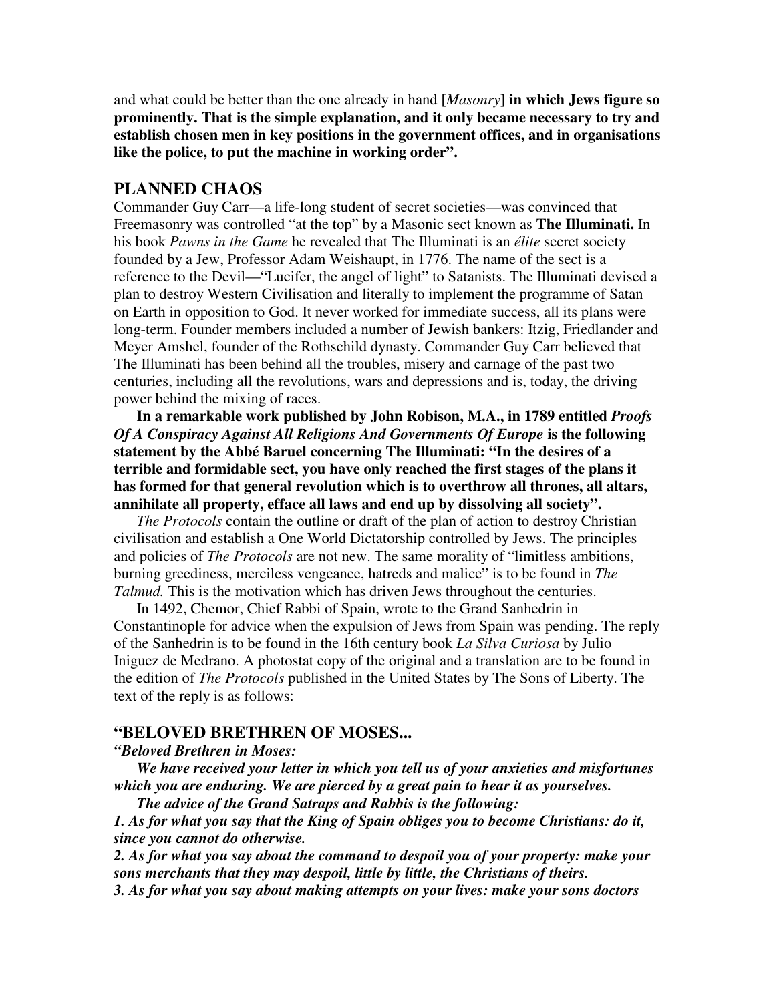and what could be better than the one already in hand [*Masonry*] **in which Jews figure so prominently. That is the simple explanation, and it only became necessary to try and establish chosen men in key positions in the government offices, and in organisations like the police, to put the machine in working order".**

#### **PLANNED CHAOS**

Commander Guy Carr—a life-long student of secret societies—was convinced that Freemasonry was controlled "at the top" by a Masonic sect known as **The Illuminati.** In his book *Pawns in the Game* he revealed that The Illuminati is an *élite* secret society founded by a Jew, Professor Adam Weishaupt, in 1776. The name of the sect is a reference to the Devil—"Lucifer, the angel of light" to Satanists. The Illuminati devised a plan to destroy Western Civilisation and literally to implement the programme of Satan on Earth in opposition to God. It never worked for immediate success, all its plans were long-term. Founder members included a number of Jewish bankers: Itzig, Friedlander and Meyer Amshel, founder of the Rothschild dynasty. Commander Guy Carr believed that The Illuminati has been behind all the troubles, misery and carnage of the past two centuries, including all the revolutions, wars and depressions and is, today, the driving power behind the mixing of races.

 **In a remarkable work published by John Robison, M.A., in 1789 entitled** *Proofs Of A Conspiracy Against All Religions And Governments Of Europe* **is the following statement by the Abbé Baruel concerning The Illuminati: "In the desires of a terrible and formidable sect, you have only reached the first stages of the plans it has formed for that general revolution which is to overthrow all thrones, all altars, annihilate all property, efface all laws and end up by dissolving all society".**

 *The Protocols* contain the outline or draft of the plan of action to destroy Christian civilisation and establish a One World Dictatorship controlled by Jews. The principles and policies of *The Protocols* are not new. The same morality of "limitless ambitions, burning greediness, merciless vengeance, hatreds and malice" is to be found in *The Talmud.* This is the motivation which has driven Jews throughout the centuries.

 In 1492, Chemor, Chief Rabbi of Spain, wrote to the Grand Sanhedrin in Constantinople for advice when the expulsion of Jews from Spain was pending. The reply of the Sanhedrin is to be found in the 16th century book *La Silva Curiosa* by Julio Iniguez de Medrano. A photostat copy of the original and a translation are to be found in the edition of *The Protocols* published in the United States by The Sons of Liberty. The text of the reply is as follows:

#### **"BELOVED BRETHREN OF MOSES...**

*"Beloved Brethren in Moses:* 

 *We have received your letter in which you tell us of your anxieties and misfortunes which you are enduring. We are pierced by a great pain to hear it as yourselves.* 

 *The advice of the Grand Satraps and Rabbis is the following:* 

*1. As for what you say that the King of Spain obliges you to become Christians: do it, since you cannot do otherwise.* 

*2. As for what you say about the command to despoil you of your property: make your sons merchants that they may despoil, little by little, the Christians of theirs.* 

*3. As for what you say about making attempts on your lives: make your sons doctors*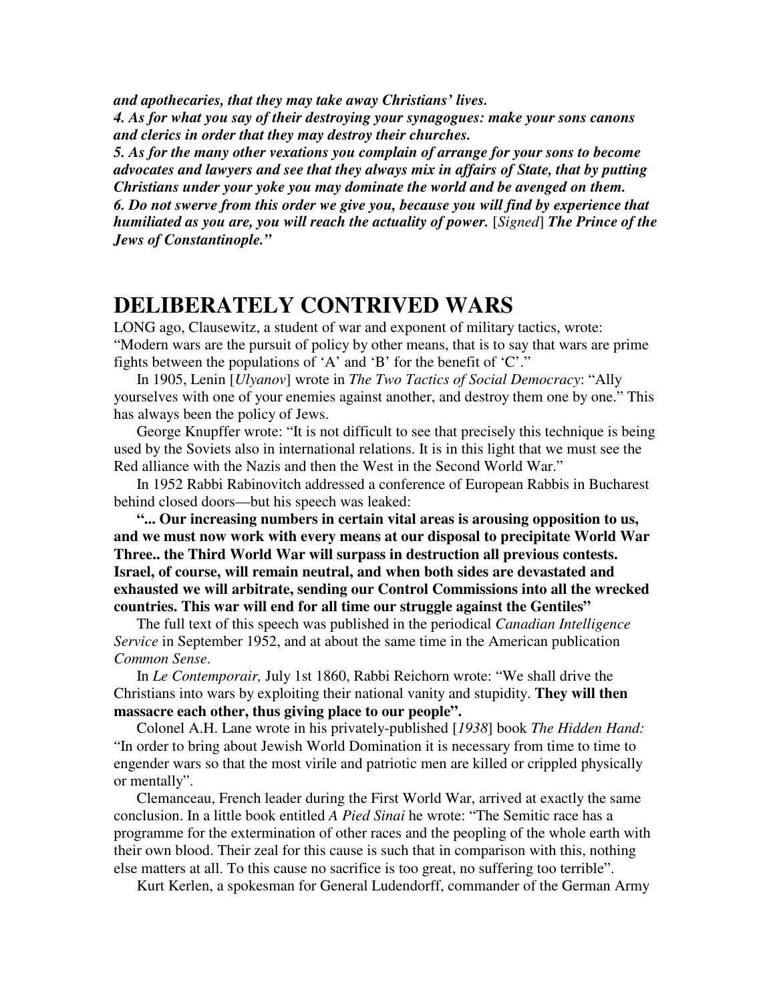*and apothecaries, that they may take away Christians' lives.* 

*4. As for what you say of their destroying your synagogues: make your sons canons and clerics in order that they may destroy their churches.* 

*5. As for the many other vexations you complain of arrange for your sons to become advocates and lawyers and see that they always mix in affairs of State, that by putting Christians under your yoke you may dominate the world and be avenged on them. 6. Do not swerve from this order we give you, because you will find by experience that humiliated as you are, you will reach the actuality of power.* [*Signed*] *The Prince of the Jews of Constantinople."*

# **DELIBERATELY CONTRIVED WARS**

LONG ago, Clausewitz, a student of war and exponent of military tactics, wrote: "Modern wars are the pursuit of policy by other means, that is to say that wars are prime fights between the populations of 'A' and 'B' for the benefit of 'C'."

 In 1905, Lenin [*Ulyanov*] wrote in *The Two Tactics of Social Democracy*: "Ally yourselves with one of your enemies against another, and destroy them one by one." This has always been the policy of Jews.

 George Knupffer wrote: "It is not difficult to see that precisely this technique is being used by the Soviets also in international relations. It is in this light that we must see the Red alliance with the Nazis and then the West in the Second World War."

 In 1952 Rabbi Rabinovitch addressed a conference of European Rabbis in Bucharest behind closed doors—but his speech was leaked:

 **"... Our increasing numbers in certain vital areas is arousing opposition to us, and we must now work with every means at our disposal to precipitate World War Three.. the Third World War will surpass in destruction all previous contests. Israel, of course, will remain neutral, and when both sides are devastated and exhausted we will arbitrate, sending our Control Commissions into all the wrecked countries. This war will end for all time our struggle against the Gentiles"**

 The full text of this speech was published in the periodical *Canadian Intelligence Service* in September 1952, and at about the same time in the American publication *Common Sense*.

 In *Le Contemporair,* July 1st 1860, Rabbi Reichorn wrote: "We shall drive the Christians into wars by exploiting their national vanity and stupidity. **They will then massacre each other, thus giving place to our people".**

 Colonel A.H. Lane wrote in his privately-published [*1938*] book *The Hidden Hand:* "In order to bring about Jewish World Domination it is necessary from time to time to engender wars so that the most virile and patriotic men are killed or crippled physically or mentally".

 Clemanceau, French leader during the First World War, arrived at exactly the same conclusion. In a little book entitled *A Pied Sinai* he wrote: "The Semitic race has a programme for the extermination of other races and the peopling of the whole earth with their own blood. Their zeal for this cause is such that in comparison with this, nothing else matters at all. To this cause no sacrifice is too great, no suffering too terrible".

Kurt Kerlen, a spokesman for General Ludendorff, commander of the German Army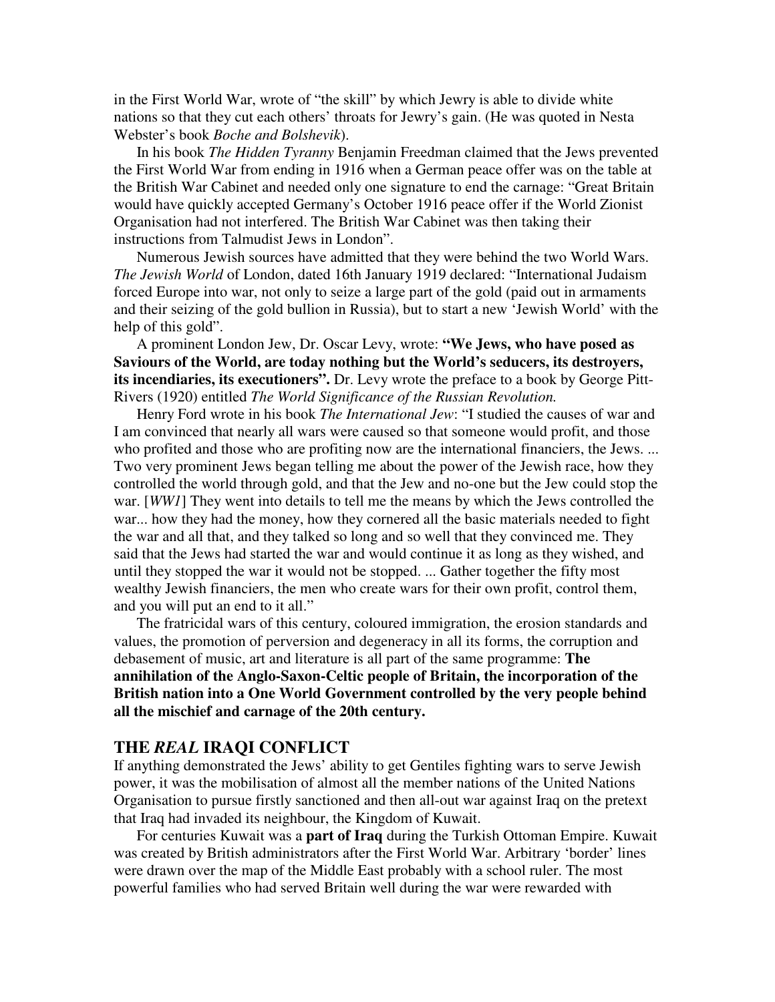in the First World War, wrote of "the skill" by which Jewry is able to divide white nations so that they cut each others' throats for Jewry's gain. (He was quoted in Nesta Webster's book *Boche and Bolshevik*).

 In his book *The Hidden Tyranny* Benjamin Freedman claimed that the Jews prevented the First World War from ending in 1916 when a German peace offer was on the table at the British War Cabinet and needed only one signature to end the carnage: "Great Britain would have quickly accepted Germany's October 1916 peace offer if the World Zionist Organisation had not interfered. The British War Cabinet was then taking their instructions from Talmudist Jews in London".

 Numerous Jewish sources have admitted that they were behind the two World Wars. *The Jewish World* of London, dated 16th January 1919 declared: "International Judaism forced Europe into war, not only to seize a large part of the gold (paid out in armaments and their seizing of the gold bullion in Russia), but to start a new 'Jewish World' with the help of this gold".

 A prominent London Jew, Dr. Oscar Levy, wrote: **"We Jews, who have posed as Saviours of the World, are today nothing but the World's seducers, its destroyers, its incendiaries, its executioners".** Dr. Levy wrote the preface to a book by George Pitt-Rivers (1920) entitled *The World Significance of the Russian Revolution.*

 Henry Ford wrote in his book *The International Jew*: "I studied the causes of war and I am convinced that nearly all wars were caused so that someone would profit, and those who profited and those who are profiting now are the international financiers, the Jews. ... Two very prominent Jews began telling me about the power of the Jewish race, how they controlled the world through gold, and that the Jew and no-one but the Jew could stop the war. [*WW1*] They went into details to tell me the means by which the Jews controlled the war... how they had the money, how they cornered all the basic materials needed to fight the war and all that, and they talked so long and so well that they convinced me. They said that the Jews had started the war and would continue it as long as they wished, and until they stopped the war it would not be stopped. ... Gather together the fifty most wealthy Jewish financiers, the men who create wars for their own profit, control them, and you will put an end to it all."

 The fratricidal wars of this century, coloured immigration, the erosion standards and values, the promotion of perversion and degeneracy in all its forms, the corruption and debasement of music, art and literature is all part of the same programme: **The annihilation of the Anglo-Saxon-Celtic people of Britain, the incorporation of the British nation into a One World Government controlled by the very people behind all the mischief and carnage of the 20th century.**

#### **THE** *REAL* **IRAQI CONFLICT**

If anything demonstrated the Jews' ability to get Gentiles fighting wars to serve Jewish power, it was the mobilisation of almost all the member nations of the United Nations Organisation to pursue firstly sanctioned and then all-out war against Iraq on the pretext that Iraq had invaded its neighbour, the Kingdom of Kuwait.

 For centuries Kuwait was a **part of Iraq** during the Turkish Ottoman Empire. Kuwait was created by British administrators after the First World War. Arbitrary 'border' lines were drawn over the map of the Middle East probably with a school ruler. The most powerful families who had served Britain well during the war were rewarded with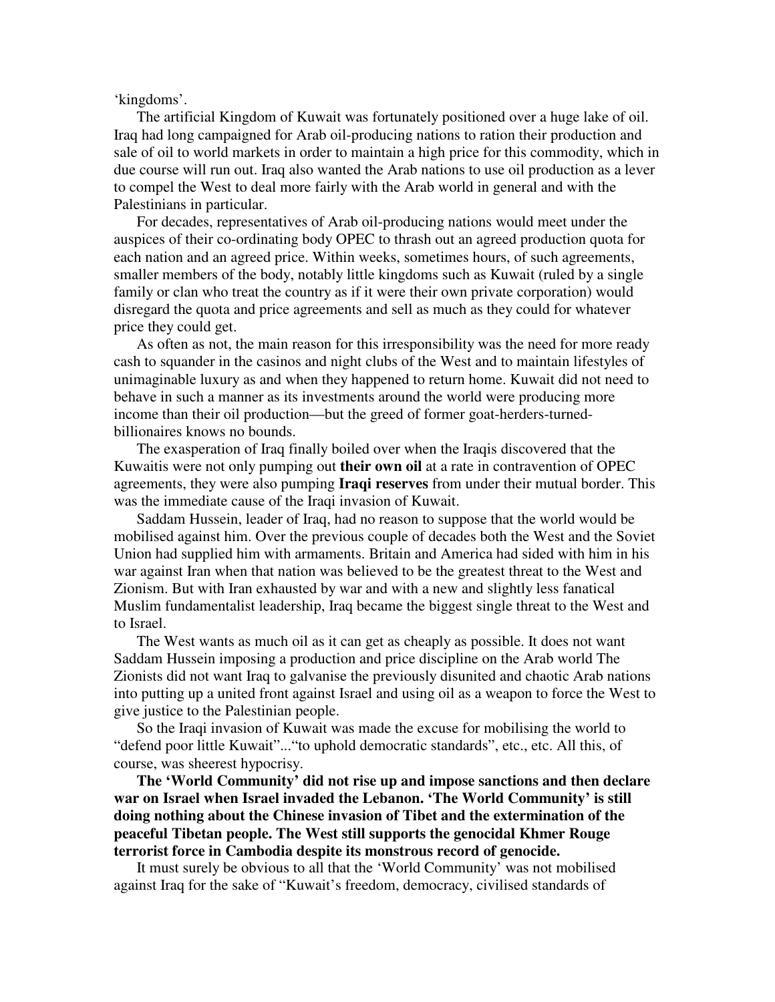#### 'kingdoms'.

 The artificial Kingdom of Kuwait was fortunately positioned over a huge lake of oil. Iraq had long campaigned for Arab oil-producing nations to ration their production and sale of oil to world markets in order to maintain a high price for this commodity, which in due course will run out. Iraq also wanted the Arab nations to use oil production as a lever to compel the West to deal more fairly with the Arab world in general and with the Palestinians in particular.

 For decades, representatives of Arab oil-producing nations would meet under the auspices of their co-ordinating body OPEC to thrash out an agreed production quota for each nation and an agreed price. Within weeks, sometimes hours, of such agreements, smaller members of the body, notably little kingdoms such as Kuwait (ruled by a single family or clan who treat the country as if it were their own private corporation) would disregard the quota and price agreements and sell as much as they could for whatever price they could get.

 As often as not, the main reason for this irresponsibility was the need for more ready cash to squander in the casinos and night clubs of the West and to maintain lifestyles of unimaginable luxury as and when they happened to return home. Kuwait did not need to behave in such a manner as its investments around the world were producing more income than their oil production—but the greed of former goat-herders-turnedbillionaires knows no bounds.

 The exasperation of Iraq finally boiled over when the Iraqis discovered that the Kuwaitis were not only pumping out **their own oil** at a rate in contravention of OPEC agreements, they were also pumping **Iraqi reserves** from under their mutual border. This was the immediate cause of the Iraqi invasion of Kuwait.

 Saddam Hussein, leader of Iraq, had no reason to suppose that the world would be mobilised against him. Over the previous couple of decades both the West and the Soviet Union had supplied him with armaments. Britain and America had sided with him in his war against Iran when that nation was believed to be the greatest threat to the West and Zionism. But with Iran exhausted by war and with a new and slightly less fanatical Muslim fundamentalist leadership, Iraq became the biggest single threat to the West and to Israel.

 The West wants as much oil as it can get as cheaply as possible. It does not want Saddam Hussein imposing a production and price discipline on the Arab world The Zionists did not want Iraq to galvanise the previously disunited and chaotic Arab nations into putting up a united front against Israel and using oil as a weapon to force the West to give justice to the Palestinian people.

 So the Iraqi invasion of Kuwait was made the excuse for mobilising the world to "defend poor little Kuwait"..."to uphold democratic standards", etc., etc. All this, of course, was sheerest hypocrisy.

 **The 'World Community' did not rise up and impose sanctions and then declare war on Israel when Israel invaded the Lebanon. 'The World Community' is still doing nothing about the Chinese invasion of Tibet and the extermination of the peaceful Tibetan people. The West still supports the genocidal Khmer Rouge terrorist force in Cambodia despite its monstrous record of genocide.**

 It must surely be obvious to all that the 'World Community' was not mobilised against Iraq for the sake of "Kuwait's freedom, democracy, civilised standards of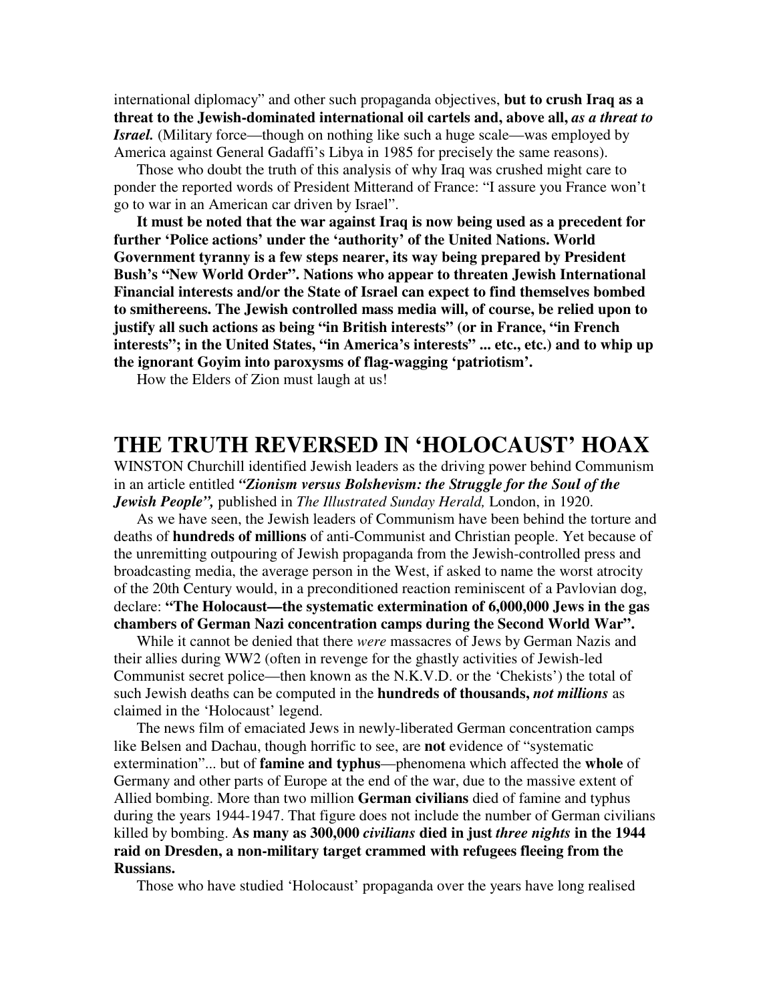international diplomacy" and other such propaganda objectives, **but to crush Iraq as a threat to the Jewish-dominated international oil cartels and, above all,** *as a threat to Israel.* (Military force—though on nothing like such a huge scale—was employed by America against General Gadaffi's Libya in 1985 for precisely the same reasons).

 Those who doubt the truth of this analysis of why Iraq was crushed might care to ponder the reported words of President Mitterand of France: "I assure you France won't go to war in an American car driven by Israel".

 **It must be noted that the war against Iraq is now being used as a precedent for further 'Police actions' under the 'authority' of the United Nations. World Government tyranny is a few steps nearer, its way being prepared by President Bush's "New World Order". Nations who appear to threaten Jewish International Financial interests and/or the State of Israel can expect to find themselves bombed to smithereens. The Jewish controlled mass media will, of course, be relied upon to justify all such actions as being "in British interests" (or in France, "in French interests"; in the United States, "in America's interests" ... etc., etc.) and to whip up the ignorant Goyim into paroxysms of flag-wagging 'patriotism'.**

How the Elders of Zion must laugh at us!

### **THE TRUTH REVERSED IN 'HOLOCAUST' HOAX**

WINSTON Churchill identified Jewish leaders as the driving power behind Communism in an article entitled *"Zionism versus Bolshevism: the Struggle for the Soul of the Jewish People",* published in *The Illustrated Sunday Herald,* London, in 1920.

 As we have seen, the Jewish leaders of Communism have been behind the torture and deaths of **hundreds of millions** of anti-Communist and Christian people. Yet because of the unremitting outpouring of Jewish propaganda from the Jewish-controlled press and broadcasting media, the average person in the West, if asked to name the worst atrocity of the 20th Century would, in a preconditioned reaction reminiscent of a Pavlovian dog, declare: **"The Holocaust—the systematic extermination of 6,000,000 Jews in the gas chambers of German Nazi concentration camps during the Second World War".**

 While it cannot be denied that there *were* massacres of Jews by German Nazis and their allies during WW2 (often in revenge for the ghastly activities of Jewish-led Communist secret police—then known as the N.K.V.D. or the 'Chekists') the total of such Jewish deaths can be computed in the **hundreds of thousands,** *not millions* as claimed in the 'Holocaust' legend.

 The news film of emaciated Jews in newly-liberated German concentration camps like Belsen and Dachau, though horrific to see, are **not** evidence of "systematic extermination"... but of **famine and typhus**—phenomena which affected the **whole** of Germany and other parts of Europe at the end of the war, due to the massive extent of Allied bombing. More than two million **German civilians** died of famine and typhus during the years 1944-1947. That figure does not include the number of German civilians killed by bombing. **As many as 300,000** *civilians* **died in just** *three nights* **in the 1944 raid on Dresden, a non-military target crammed with refugees fleeing from the Russians.**

Those who have studied 'Holocaust' propaganda over the years have long realised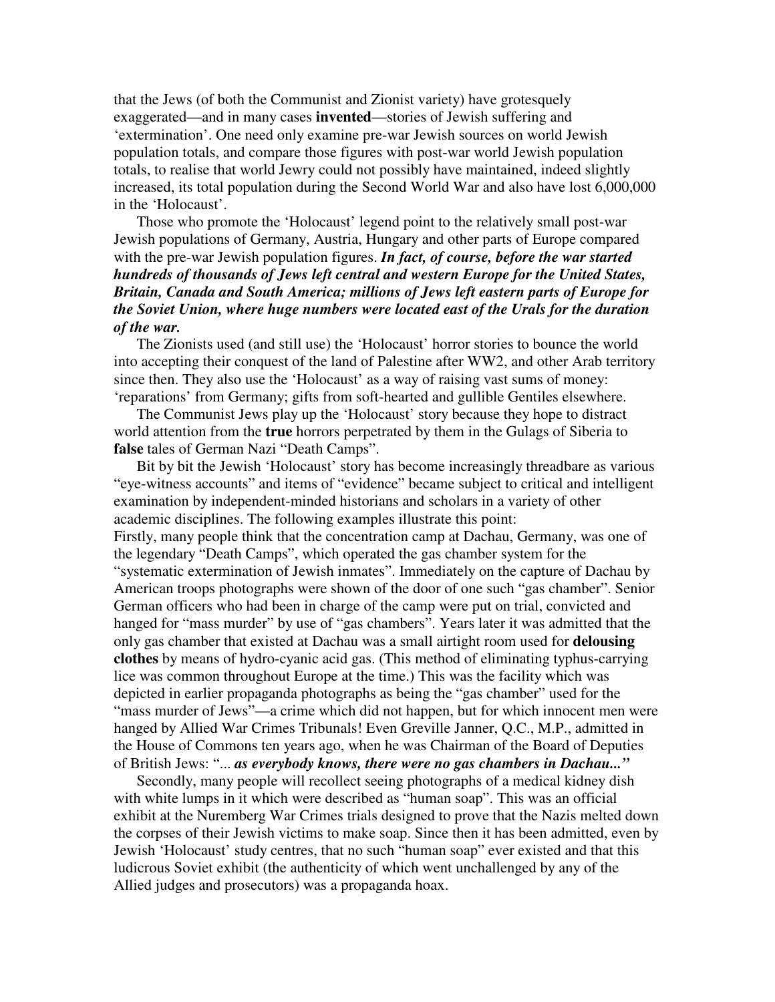that the Jews (of both the Communist and Zionist variety) have grotesquely exaggerated—and in many cases **invented**—stories of Jewish suffering and 'extermination'. One need only examine pre-war Jewish sources on world Jewish population totals, and compare those figures with post-war world Jewish population totals, to realise that world Jewry could not possibly have maintained, indeed slightly increased, its total population during the Second World War and also have lost 6,000,000 in the 'Holocaust'.

 Those who promote the 'Holocaust' legend point to the relatively small post-war Jewish populations of Germany, Austria, Hungary and other parts of Europe compared with the pre-war Jewish population figures. *In fact, of course, before the war started hundreds of thousands of Jews left central and western Europe for the United States, Britain, Canada and South America; millions of Jews left eastern parts of Europe for the Soviet Union, where huge numbers were located east of the Urals for the duration of the war.*

 The Zionists used (and still use) the 'Holocaust' horror stories to bounce the world into accepting their conquest of the land of Palestine after WW2, and other Arab territory since then. They also use the 'Holocaust' as a way of raising vast sums of money: 'reparations' from Germany; gifts from soft-hearted and gullible Gentiles elsewhere.

 The Communist Jews play up the 'Holocaust' story because they hope to distract world attention from the **true** horrors perpetrated by them in the Gulags of Siberia to **false** tales of German Nazi "Death Camps".

 Bit by bit the Jewish 'Holocaust' story has become increasingly threadbare as various "eye-witness accounts" and items of "evidence" became subject to critical and intelligent examination by independent-minded historians and scholars in a variety of other academic disciplines. The following examples illustrate this point: Firstly, many people think that the concentration camp at Dachau, Germany, was one of the legendary "Death Camps", which operated the gas chamber system for the "systematic extermination of Jewish inmates". Immediately on the capture of Dachau by American troops photographs were shown of the door of one such "gas chamber". Senior German officers who had been in charge of the camp were put on trial, convicted and hanged for "mass murder" by use of "gas chambers". Years later it was admitted that the only gas chamber that existed at Dachau was a small airtight room used for **delousing clothes** by means of hydro-cyanic acid gas. (This method of eliminating typhus-carrying lice was common throughout Europe at the time.) This was the facility which was depicted in earlier propaganda photographs as being the "gas chamber" used for the "mass murder of Jews"—a crime which did not happen, but for which innocent men were hanged by Allied War Crimes Tribunals! Even Greville Janner, Q.C., M.P., admitted in the House of Commons ten years ago, when he was Chairman of the Board of Deputies of British Jews: "... *as everybody knows, there were no gas chambers in Dachau..."*

 Secondly, many people will recollect seeing photographs of a medical kidney dish with white lumps in it which were described as "human soap". This was an official exhibit at the Nuremberg War Crimes trials designed to prove that the Nazis melted down the corpses of their Jewish victims to make soap. Since then it has been admitted, even by Jewish 'Holocaust' study centres, that no such "human soap" ever existed and that this ludicrous Soviet exhibit (the authenticity of which went unchallenged by any of the Allied judges and prosecutors) was a propaganda hoax.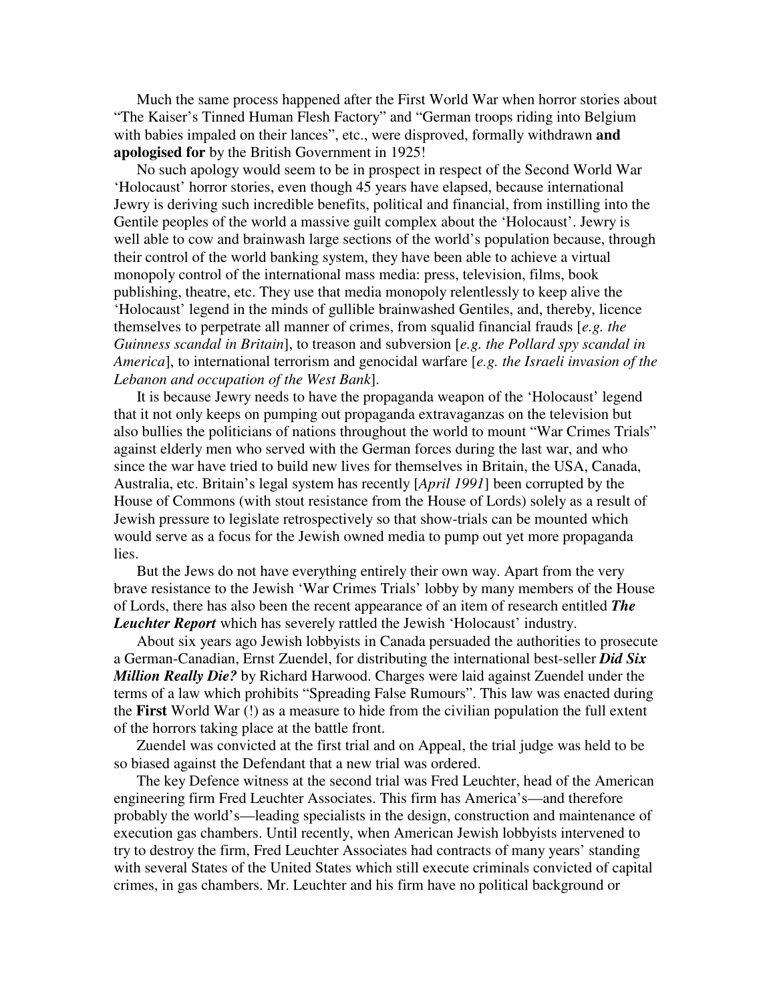Much the same process happened after the First World War when horror stories about "The Kaiser's Tinned Human Flesh Factory" and "German troops riding into Belgium with babies impaled on their lances", etc., were disproved, formally withdrawn **and apologised for** by the British Government in 1925!

 No such apology would seem to be in prospect in respect of the Second World War 'Holocaust' horror stories, even though 45 years have elapsed, because international Jewry is deriving such incredible benefits, political and financial, from instilling into the Gentile peoples of the world a massive guilt complex about the 'Holocaust'. Jewry is well able to cow and brainwash large sections of the world's population because, through their control of the world banking system, they have been able to achieve a virtual monopoly control of the international mass media: press, television, films, book publishing, theatre, etc. They use that media monopoly relentlessly to keep alive the 'Holocaust' legend in the minds of gullible brainwashed Gentiles, and, thereby, licence themselves to perpetrate all manner of crimes, from squalid financial frauds [*e.g. the Guinness scandal in Britain*], to treason and subversion [*e.g. the Pollard spy scandal in America*], to international terrorism and genocidal warfare [*e.g. the Israeli invasion of the Lebanon and occupation of the West Bank*].

 It is because Jewry needs to have the propaganda weapon of the 'Holocaust' legend that it not only keeps on pumping out propaganda extravaganzas on the television but also bullies the politicians of nations throughout the world to mount "War Crimes Trials" against elderly men who served with the German forces during the last war, and who since the war have tried to build new lives for themselves in Britain, the USA, Canada, Australia, etc. Britain's legal system has recently [*April 1991*] been corrupted by the House of Commons (with stout resistance from the House of Lords) solely as a result of Jewish pressure to legislate retrospectively so that show-trials can be mounted which would serve as a focus for the Jewish owned media to pump out yet more propaganda lies.

 But the Jews do not have everything entirely their own way. Apart from the very brave resistance to the Jewish 'War Crimes Trials' lobby by many members of the House of Lords, there has also been the recent appearance of an item of research entitled *The Leuchter Report* which has severely rattled the Jewish 'Holocaust' industry.

 About six years ago Jewish lobbyists in Canada persuaded the authorities to prosecute a German-Canadian, Ernst Zuendel, for distributing the international best-seller *Did Six Million Really Die?* by Richard Harwood. Charges were laid against Zuendel under the terms of a law which prohibits "Spreading False Rumours". This law was enacted during the **First** World War (!) as a measure to hide from the civilian population the full extent of the horrors taking place at the battle front.

 Zuendel was convicted at the first trial and on Appeal, the trial judge was held to be so biased against the Defendant that a new trial was ordered.

 The key Defence witness at the second trial was Fred Leuchter, head of the American engineering firm Fred Leuchter Associates. This firm has America's—and therefore probably the world's—leading specialists in the design, construction and maintenance of execution gas chambers. Until recently, when American Jewish lobbyists intervened to try to destroy the firm, Fred Leuchter Associates had contracts of many years' standing with several States of the United States which still execute criminals convicted of capital crimes, in gas chambers. Mr. Leuchter and his firm have no political background or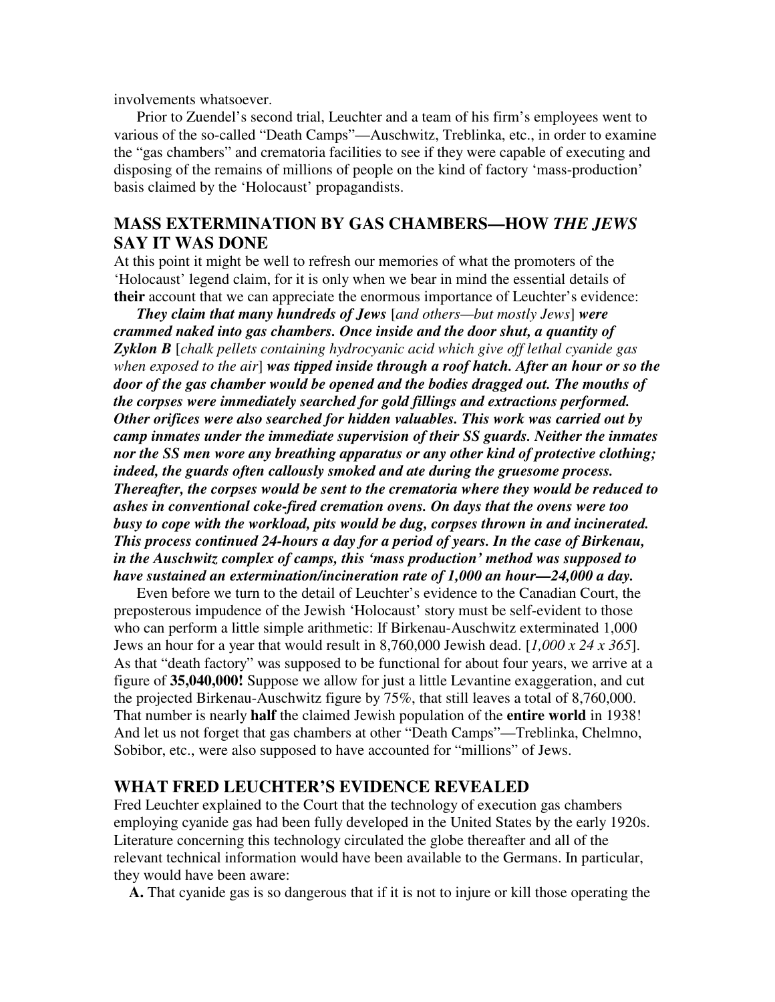involvements whatsoever.

 Prior to Zuendel's second trial, Leuchter and a team of his firm's employees went to various of the so-called "Death Camps"—Auschwitz, Treblinka, etc., in order to examine the "gas chambers" and crematoria facilities to see if they were capable of executing and disposing of the remains of millions of people on the kind of factory 'mass-production' basis claimed by the 'Holocaust' propagandists.

#### **MASS EXTERMINATION BY GAS CHAMBERS—HOW** *THE JEWS* **SAY IT WAS DONE**

At this point it might be well to refresh our memories of what the promoters of the 'Holocaust' legend claim, for it is only when we bear in mind the essential details of **their** account that we can appreciate the enormous importance of Leuchter's evidence:

 *They claim that many hundreds of Jews* [*and others—but mostly Jews*] *were crammed naked into gas chambers. Once inside and the door shut, a quantity of Zyklon B* [*chalk pellets containing hydrocyanic acid which give off lethal cyanide gas when exposed to the air*] *was tipped inside through a roof hatch. After an hour or so the door of the gas chamber would be opened and the bodies dragged out. The mouths of the corpses were immediately searched for gold fillings and extractions performed. Other orifices were also searched for hidden valuables. This work was carried out by camp inmates under the immediate supervision of their SS guards. Neither the inmates nor the SS men wore any breathing apparatus or any other kind of protective clothing; indeed, the guards often callously smoked and ate during the gruesome process. Thereafter, the corpses would be sent to the crematoria where they would be reduced to ashes in conventional coke-fired cremation ovens. On days that the ovens were too busy to cope with the workload, pits would be dug, corpses thrown in and incinerated. This process continued 24-hours a day for a period of years. In the case of Birkenau, in the Auschwitz complex of camps, this 'mass production' method was supposed to have sustained an extermination/incineration rate of 1,000 an hour—24,000 a day.*

 Even before we turn to the detail of Leuchter's evidence to the Canadian Court, the preposterous impudence of the Jewish 'Holocaust' story must be self-evident to those who can perform a little simple arithmetic: If Birkenau-Auschwitz exterminated 1,000 Jews an hour for a year that would result in 8,760,000 Jewish dead. [*1,000 x 24 x 365*]. As that "death factory" was supposed to be functional for about four years, we arrive at a figure of **35,040,000!** Suppose we allow for just a little Levantine exaggeration, and cut the projected Birkenau-Auschwitz figure by 75%, that still leaves a total of 8,760,000. That number is nearly **half** the claimed Jewish population of the **entire world** in 1938! And let us not forget that gas chambers at other "Death Camps"—Treblinka, Chelmno, Sobibor, etc., were also supposed to have accounted for "millions" of Jews.

#### **WHAT FRED LEUCHTER'S EVIDENCE REVEALED**

Fred Leuchter explained to the Court that the technology of execution gas chambers employing cyanide gas had been fully developed in the United States by the early 1920s. Literature concerning this technology circulated the globe thereafter and all of the relevant technical information would have been available to the Germans. In particular, they would have been aware:

**A.** That cyanide gas is so dangerous that if it is not to injure or kill those operating the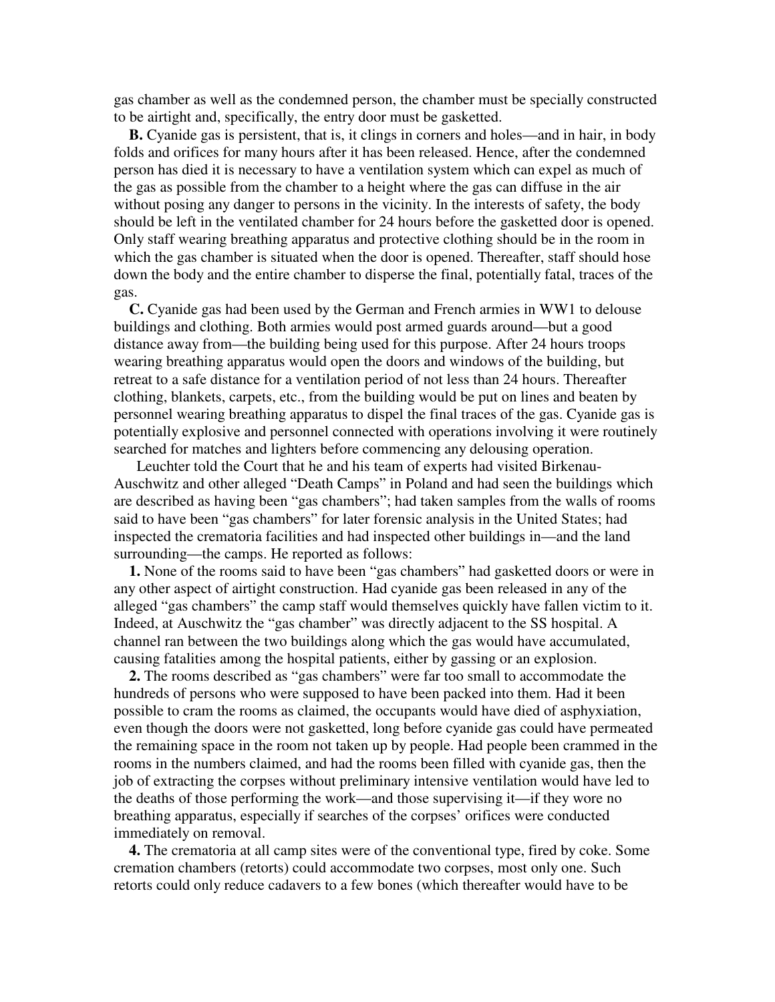gas chamber as well as the condemned person, the chamber must be specially constructed to be airtight and, specifically, the entry door must be gasketted.

 **B.** Cyanide gas is persistent, that is, it clings in corners and holes—and in hair, in body folds and orifices for many hours after it has been released. Hence, after the condemned person has died it is necessary to have a ventilation system which can expel as much of the gas as possible from the chamber to a height where the gas can diffuse in the air without posing any danger to persons in the vicinity. In the interests of safety, the body should be left in the ventilated chamber for 24 hours before the gasketted door is opened. Only staff wearing breathing apparatus and protective clothing should be in the room in which the gas chamber is situated when the door is opened. Thereafter, staff should hose down the body and the entire chamber to disperse the final, potentially fatal, traces of the gas.

 **C.** Cyanide gas had been used by the German and French armies in WW1 to delouse buildings and clothing. Both armies would post armed guards around—but a good distance away from—the building being used for this purpose. After 24 hours troops wearing breathing apparatus would open the doors and windows of the building, but retreat to a safe distance for a ventilation period of not less than 24 hours. Thereafter clothing, blankets, carpets, etc., from the building would be put on lines and beaten by personnel wearing breathing apparatus to dispel the final traces of the gas. Cyanide gas is potentially explosive and personnel connected with operations involving it were routinely searched for matches and lighters before commencing any delousing operation.

 Leuchter told the Court that he and his team of experts had visited Birkenau-Auschwitz and other alleged "Death Camps" in Poland and had seen the buildings which are described as having been "gas chambers"; had taken samples from the walls of rooms said to have been "gas chambers" for later forensic analysis in the United States; had inspected the crematoria facilities and had inspected other buildings in—and the land surrounding—the camps. He reported as follows:

 **1.** None of the rooms said to have been "gas chambers" had gasketted doors or were in any other aspect of airtight construction. Had cyanide gas been released in any of the alleged "gas chambers" the camp staff would themselves quickly have fallen victim to it. Indeed, at Auschwitz the "gas chamber" was directly adjacent to the SS hospital. A channel ran between the two buildings along which the gas would have accumulated, causing fatalities among the hospital patients, either by gassing or an explosion.

 **2.** The rooms described as "gas chambers" were far too small to accommodate the hundreds of persons who were supposed to have been packed into them. Had it been possible to cram the rooms as claimed, the occupants would have died of asphyxiation, even though the doors were not gasketted, long before cyanide gas could have permeated the remaining space in the room not taken up by people. Had people been crammed in the rooms in the numbers claimed, and had the rooms been filled with cyanide gas, then the job of extracting the corpses without preliminary intensive ventilation would have led to the deaths of those performing the work—and those supervising it—if they wore no breathing apparatus, especially if searches of the corpses' orifices were conducted immediately on removal.

 **4.** The crematoria at all camp sites were of the conventional type, fired by coke. Some cremation chambers (retorts) could accommodate two corpses, most only one. Such retorts could only reduce cadavers to a few bones (which thereafter would have to be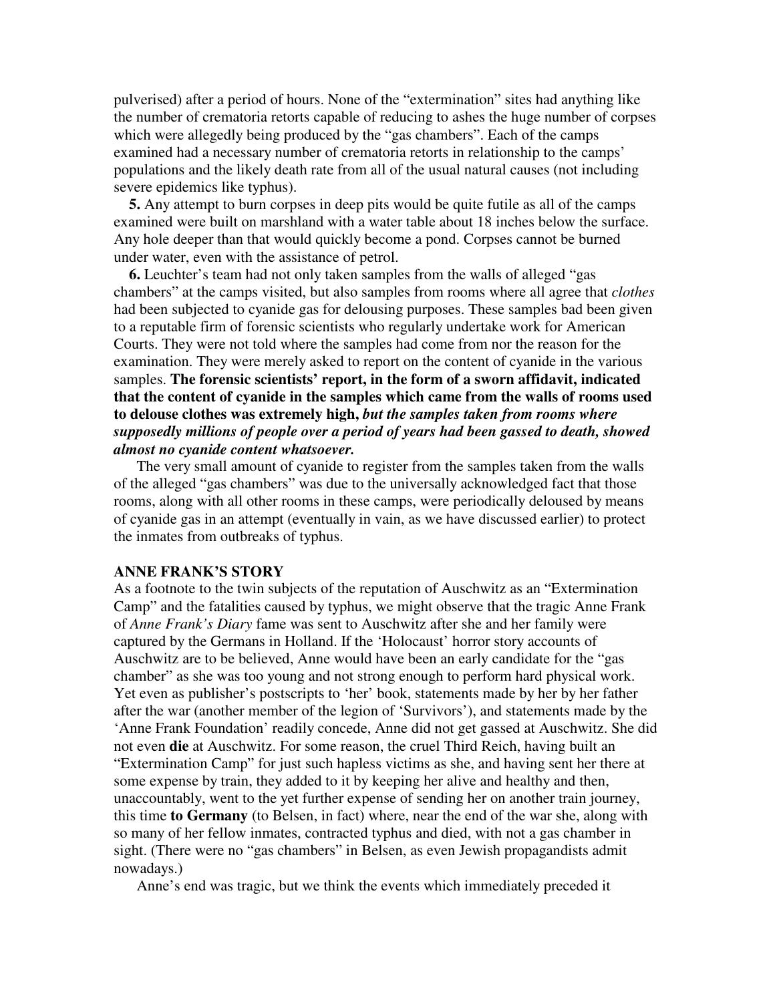pulverised) after a period of hours. None of the "extermination" sites had anything like the number of crematoria retorts capable of reducing to ashes the huge number of corpses which were allegedly being produced by the "gas chambers". Each of the camps examined had a necessary number of crematoria retorts in relationship to the camps' populations and the likely death rate from all of the usual natural causes (not including severe epidemics like typhus).

 **5.** Any attempt to burn corpses in deep pits would be quite futile as all of the camps examined were built on marshland with a water table about 18 inches below the surface. Any hole deeper than that would quickly become a pond. Corpses cannot be burned under water, even with the assistance of petrol.

 **6.** Leuchter's team had not only taken samples from the walls of alleged "gas chambers" at the camps visited, but also samples from rooms where all agree that *clothes* had been subjected to cyanide gas for delousing purposes. These samples bad been given to a reputable firm of forensic scientists who regularly undertake work for American Courts. They were not told where the samples had come from nor the reason for the examination. They were merely asked to report on the content of cyanide in the various samples. **The forensic scientists' report, in the form of a sworn affidavit, indicated that the content of cyanide in the samples which came from the walls of rooms used to delouse clothes was extremely high,** *but the samples taken from rooms where supposedly millions of people over a period of years had been gassed to death, showed almost no cyanide content whatsoever.*

 The very small amount of cyanide to register from the samples taken from the walls of the alleged "gas chambers" was due to the universally acknowledged fact that those rooms, along with all other rooms in these camps, were periodically deloused by means of cyanide gas in an attempt (eventually in vain, as we have discussed earlier) to protect the inmates from outbreaks of typhus.

#### **ANNE FRANK'S STORY**

As a footnote to the twin subjects of the reputation of Auschwitz as an "Extermination Camp" and the fatalities caused by typhus, we might observe that the tragic Anne Frank of *Anne Frank's Diary* fame was sent to Auschwitz after she and her family were captured by the Germans in Holland. If the 'Holocaust' horror story accounts of Auschwitz are to be believed, Anne would have been an early candidate for the "gas chamber" as she was too young and not strong enough to perform hard physical work. Yet even as publisher's postscripts to 'her' book, statements made by her by her father after the war (another member of the legion of 'Survivors'), and statements made by the 'Anne Frank Foundation' readily concede, Anne did not get gassed at Auschwitz. She did not even **die** at Auschwitz. For some reason, the cruel Third Reich, having built an "Extermination Camp" for just such hapless victims as she, and having sent her there at some expense by train, they added to it by keeping her alive and healthy and then, unaccountably, went to the yet further expense of sending her on another train journey, this time **to Germany** (to Belsen, in fact) where, near the end of the war she, along with so many of her fellow inmates, contracted typhus and died, with not a gas chamber in sight. (There were no "gas chambers" in Belsen, as even Jewish propagandists admit nowadays.)

Anne's end was tragic, but we think the events which immediately preceded it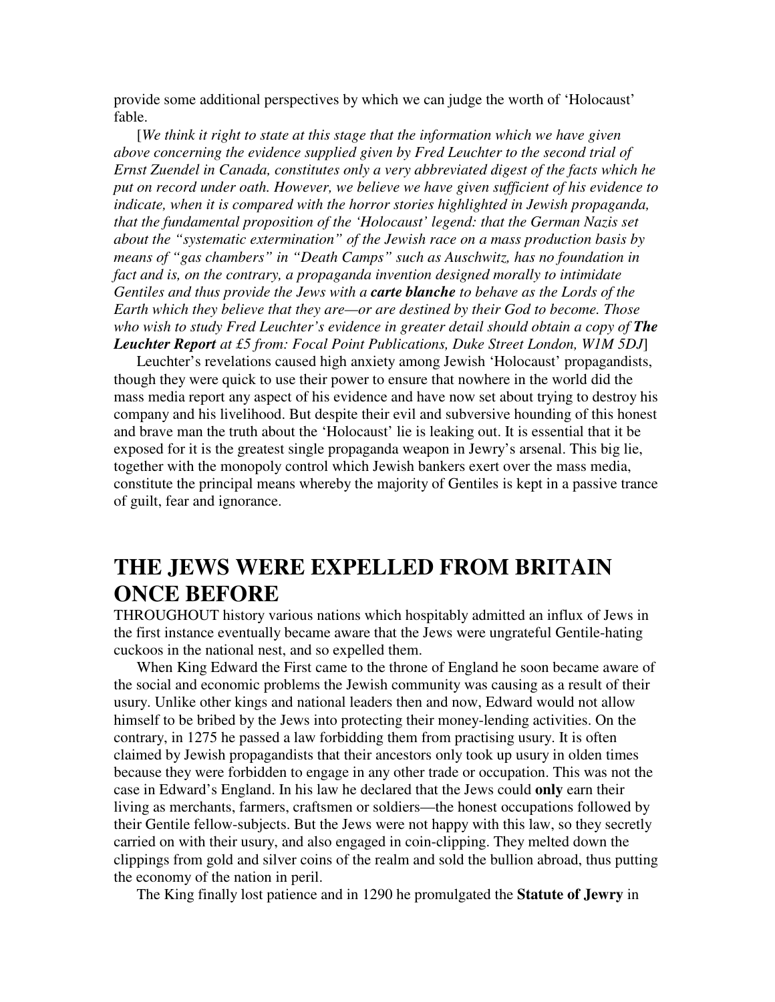provide some additional perspectives by which we can judge the worth of 'Holocaust' fable.

 [*We think it right to state at this stage that the information which we have given above concerning the evidence supplied given by Fred Leuchter to the second trial of Ernst Zuendel in Canada, constitutes only a very abbreviated digest of the facts which he put on record under oath. However, we believe we have given sufficient of his evidence to indicate, when it is compared with the horror stories highlighted in Jewish propaganda, that the fundamental proposition of the 'Holocaust' legend: that the German Nazis set about the "systematic extermination" of the Jewish race on a mass production basis by means of "gas chambers" in "Death Camps" such as Auschwitz, has no foundation in fact and is, on the contrary, a propaganda invention designed morally to intimidate Gentiles and thus provide the Jews with a carte blanche to behave as the Lords of the Earth which they believe that they are—or are destined by their God to become. Those*  who wish to study Fred Leuchter's evidence in greater detail should obtain a copy of **The** *Leuchter Report at £5 from: Focal Point Publications, Duke Street London, W1M 5DJ*]

 Leuchter's revelations caused high anxiety among Jewish 'Holocaust' propagandists, though they were quick to use their power to ensure that nowhere in the world did the mass media report any aspect of his evidence and have now set about trying to destroy his company and his livelihood. But despite their evil and subversive hounding of this honest and brave man the truth about the 'Holocaust' lie is leaking out. It is essential that it be exposed for it is the greatest single propaganda weapon in Jewry's arsenal. This big lie, together with the monopoly control which Jewish bankers exert over the mass media, constitute the principal means whereby the majority of Gentiles is kept in a passive trance of guilt, fear and ignorance.

## **THE JEWS WERE EXPELLED FROM BRITAIN ONCE BEFORE**

THROUGHOUT history various nations which hospitably admitted an influx of Jews in the first instance eventually became aware that the Jews were ungrateful Gentile-hating cuckoos in the national nest, and so expelled them.

 When King Edward the First came to the throne of England he soon became aware of the social and economic problems the Jewish community was causing as a result of their usury. Unlike other kings and national leaders then and now, Edward would not allow himself to be bribed by the Jews into protecting their money-lending activities. On the contrary, in 1275 he passed a law forbidding them from practising usury. It is often claimed by Jewish propagandists that their ancestors only took up usury in olden times because they were forbidden to engage in any other trade or occupation. This was not the case in Edward's England. In his law he declared that the Jews could **only** earn their living as merchants, farmers, craftsmen or soldiers—the honest occupations followed by their Gentile fellow-subjects. But the Jews were not happy with this law, so they secretly carried on with their usury, and also engaged in coin-clipping. They melted down the clippings from gold and silver coins of the realm and sold the bullion abroad, thus putting the economy of the nation in peril.

The King finally lost patience and in 1290 he promulgated the **Statute of Jewry** in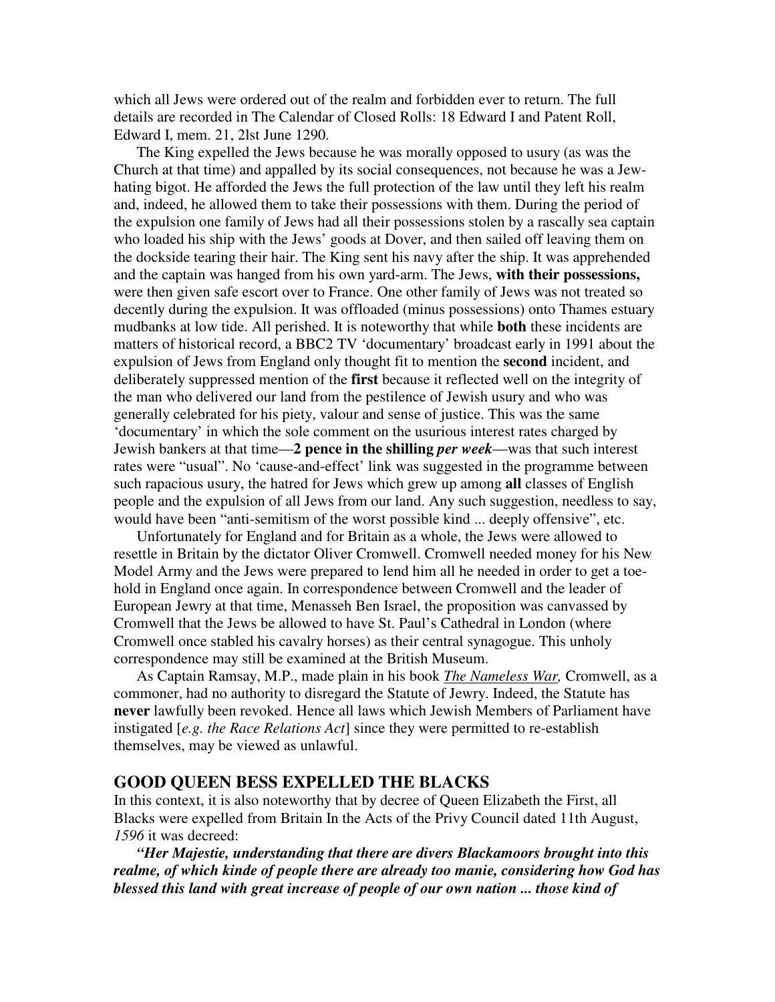which all Jews were ordered out of the realm and forbidden ever to return. The full details are recorded in The Calendar of Closed Rolls: 18 Edward I and Patent Roll, Edward I, mem. 21, 2lst June 1290.

 The King expelled the Jews because he was morally opposed to usury (as was the Church at that time) and appalled by its social consequences, not because he was a Jewhating bigot. He afforded the Jews the full protection of the law until they left his realm and, indeed, he allowed them to take their possessions with them. During the period of the expulsion one family of Jews had all their possessions stolen by a rascally sea captain who loaded his ship with the Jews' goods at Dover, and then sailed off leaving them on the dockside tearing their hair. The King sent his navy after the ship. It was apprehended and the captain was hanged from his own yard-arm. The Jews, **with their possessions,** were then given safe escort over to France. One other family of Jews was not treated so decently during the expulsion. It was offloaded (minus possessions) onto Thames estuary mudbanks at low tide. All perished. It is noteworthy that while **both** these incidents are matters of historical record, a BBC2 TV 'documentary' broadcast early in 1991 about the expulsion of Jews from England only thought fit to mention the **second** incident, and deliberately suppressed mention of the **first** because it reflected well on the integrity of the man who delivered our land from the pestilence of Jewish usury and who was generally celebrated for his piety, valour and sense of justice. This was the same 'documentary' in which the sole comment on the usurious interest rates charged by Jewish bankers at that time—**2 pence in the shilling** *per week*—was that such interest rates were "usual". No 'cause-and-effect' link was suggested in the programme between such rapacious usury, the hatred for Jews which grew up among **all** classes of English people and the expulsion of all Jews from our land. Any such suggestion, needless to say, would have been "anti-semitism of the worst possible kind ... deeply offensive", etc.

 Unfortunately for England and for Britain as a whole, the Jews were allowed to resettle in Britain by the dictator Oliver Cromwell. Cromwell needed money for his New Model Army and the Jews were prepared to lend him all he needed in order to get a toehold in England once again. In correspondence between Cromwell and the leader of European Jewry at that time, Menasseh Ben Israel, the proposition was canvassed by Cromwell that the Jews be allowed to have St. Paul's Cathedral in London (where Cromwell once stabled his cavalry horses) as their central synagogue. This unholy correspondence may still be examined at the British Museum.

 As Captain Ramsay, M.P., made plain in his book *The Nameless War,* Cromwell, as a commoner, had no authority to disregard the Statute of Jewry. Indeed, the Statute has **never** lawfully been revoked. Hence all laws which Jewish Members of Parliament have instigated [*e.g. the Race Relations Act*] since they were permitted to re-establish themselves, may be viewed as unlawful.

#### **GOOD QUEEN BESS EXPELLED THE BLACKS**

In this context, it is also noteworthy that by decree of Queen Elizabeth the First, all Blacks were expelled from Britain In the Acts of the Privy Council dated 11th August, *1596* it was decreed:

 *"Her Majestie, understanding that there are divers Blackamoors brought into this realme, of which kinde of people there are already too manie, considering how God has blessed this land with great increase of people of our own nation ... those kind of*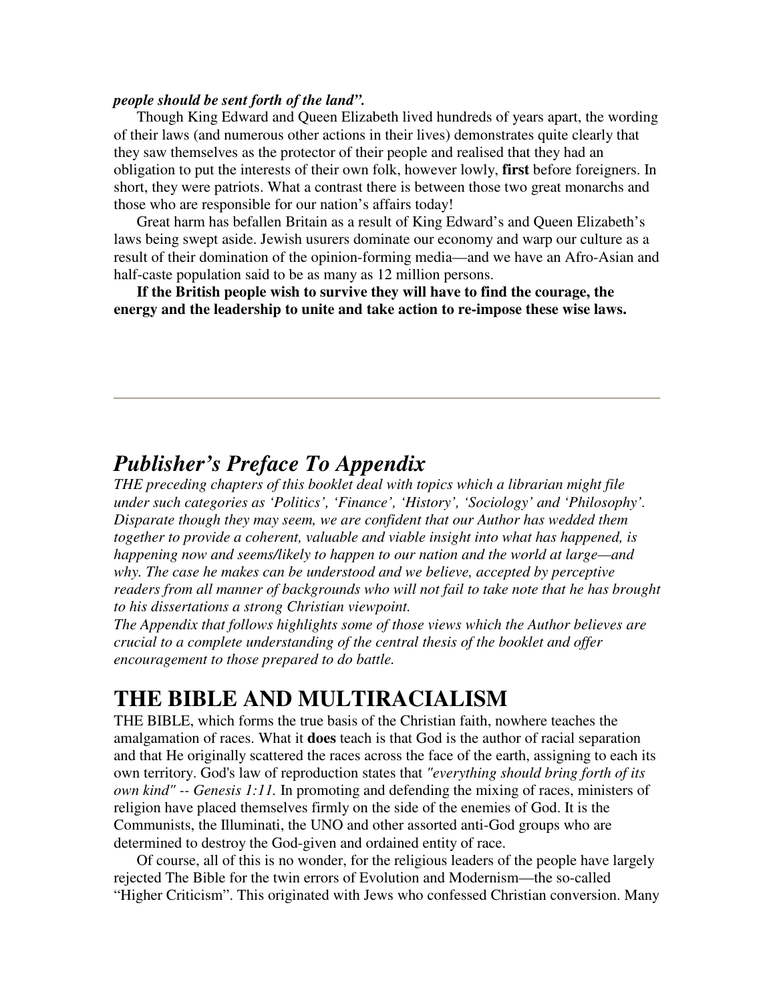#### *people should be sent forth of the land".*

 Though King Edward and Queen Elizabeth lived hundreds of years apart, the wording of their laws (and numerous other actions in their lives) demonstrates quite clearly that they saw themselves as the protector of their people and realised that they had an obligation to put the interests of their own folk, however lowly, **first** before foreigners. In short, they were patriots. What a contrast there is between those two great monarchs and those who are responsible for our nation's affairs today!

 Great harm has befallen Britain as a result of King Edward's and Queen Elizabeth's laws being swept aside. Jewish usurers dominate our economy and warp our culture as a result of their domination of the opinion-forming media—and we have an Afro-Asian and half-caste population said to be as many as 12 million persons.

 **If the British people wish to survive they will have to find the courage, the energy and the leadership to unite and take action to re-impose these wise laws.**

### *Publisher's Preface To Appendix*

*THE preceding chapters of this booklet deal with topics which a librarian might file under such categories as 'Politics', 'Finance', 'History', 'Sociology' and 'Philosophy'. Disparate though they may seem, we are confident that our Author has wedded them together to provide a coherent, valuable and viable insight into what has happened, is happening now and seems/likely to happen to our nation and the world at large—and why. The case he makes can be understood and we believe, accepted by perceptive readers from all manner of backgrounds who will not fail to take note that he has brought to his dissertations a strong Christian viewpoint.* 

*The Appendix that follows highlights some of those views which the Author believes are crucial to a complete understanding of the central thesis of the booklet and offer encouragement to those prepared to do battle.*

### **THE BIBLE AND MULTIRACIALISM**

THE BIBLE, which forms the true basis of the Christian faith, nowhere teaches the amalgamation of races. What it **does** teach is that God is the author of racial separation and that He originally scattered the races across the face of the earth, assigning to each its own territory. God's law of reproduction states that *"everything should bring forth of its own kind" -- Genesis 1:11.* In promoting and defending the mixing of races, ministers of religion have placed themselves firmly on the side of the enemies of God. It is the Communists, the Illuminati, the UNO and other assorted anti-God groups who are determined to destroy the God-given and ordained entity of race.

 Of course, all of this is no wonder, for the religious leaders of the people have largely rejected The Bible for the twin errors of Evolution and Modernism—the so-called "Higher Criticism". This originated with Jews who confessed Christian conversion. Many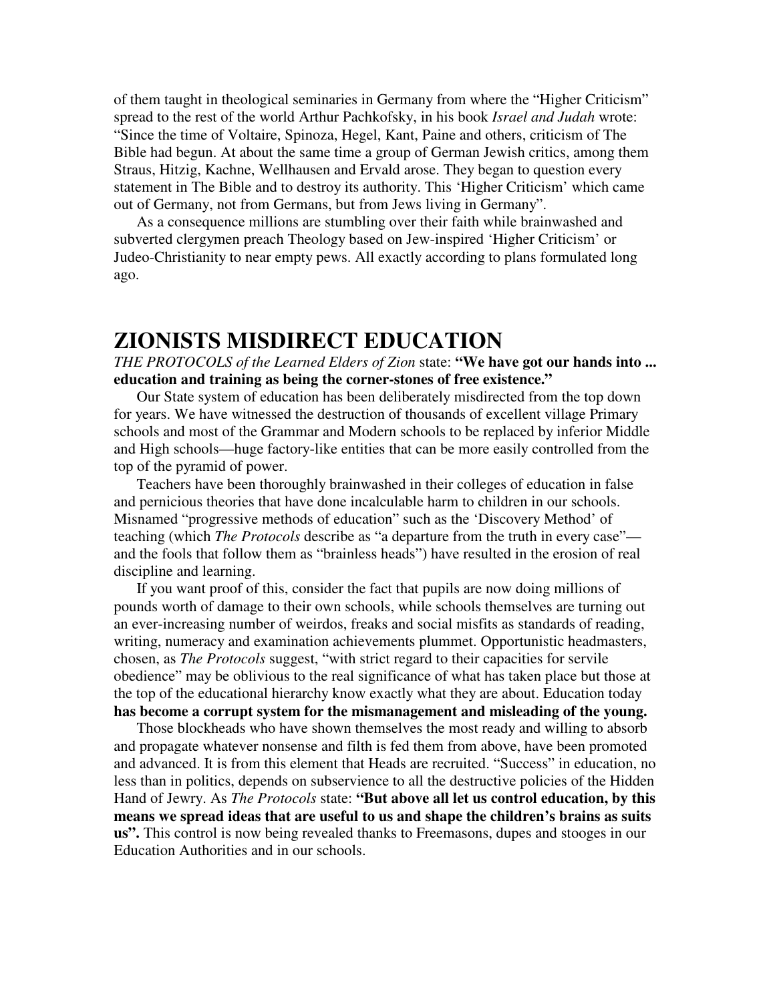of them taught in theological seminaries in Germany from where the "Higher Criticism" spread to the rest of the world Arthur Pachkofsky, in his book *Israel and Judah* wrote: "Since the time of Voltaire, Spinoza, Hegel, Kant, Paine and others, criticism of The Bible had begun. At about the same time a group of German Jewish critics, among them Straus, Hitzig, Kachne, Wellhausen and Ervald arose. They began to question every statement in The Bible and to destroy its authority. This 'Higher Criticism' which came out of Germany, not from Germans, but from Jews living in Germany".

 As a consequence millions are stumbling over their faith while brainwashed and subverted clergymen preach Theology based on Jew-inspired 'Higher Criticism' or Judeo-Christianity to near empty pews. All exactly according to plans formulated long ago.

### **ZIONISTS MISDIRECT EDUCATION**

*THE PROTOCOLS of the Learned Elders of Zion* state: **"We have got our hands into ... education and training as being the corner-stones of free existence."**

 Our State system of education has been deliberately misdirected from the top down for years. We have witnessed the destruction of thousands of excellent village Primary schools and most of the Grammar and Modern schools to be replaced by inferior Middle and High schools—huge factory-like entities that can be more easily controlled from the top of the pyramid of power.

 Teachers have been thoroughly brainwashed in their colleges of education in false and pernicious theories that have done incalculable harm to children in our schools. Misnamed "progressive methods of education" such as the 'Discovery Method' of teaching (which *The Protocols* describe as "a departure from the truth in every case" and the fools that follow them as "brainless heads") have resulted in the erosion of real discipline and learning.

 If you want proof of this, consider the fact that pupils are now doing millions of pounds worth of damage to their own schools, while schools themselves are turning out an ever-increasing number of weirdos, freaks and social misfits as standards of reading, writing, numeracy and examination achievements plummet. Opportunistic headmasters, chosen, as *The Protocols* suggest, "with strict regard to their capacities for servile obedience" may be oblivious to the real significance of what has taken place but those at the top of the educational hierarchy know exactly what they are about. Education today **has become a corrupt system for the mismanagement and misleading of the young.**

 Those blockheads who have shown themselves the most ready and willing to absorb and propagate whatever nonsense and filth is fed them from above, have been promoted and advanced. It is from this element that Heads are recruited. "Success" in education, no less than in politics, depends on subservience to all the destructive policies of the Hidden Hand of Jewry. As *The Protocols* state: **"But above all let us control education, by this means we spread ideas that are useful to us and shape the children's brains as suits us".** This control is now being revealed thanks to Freemasons, dupes and stooges in our Education Authorities and in our schools.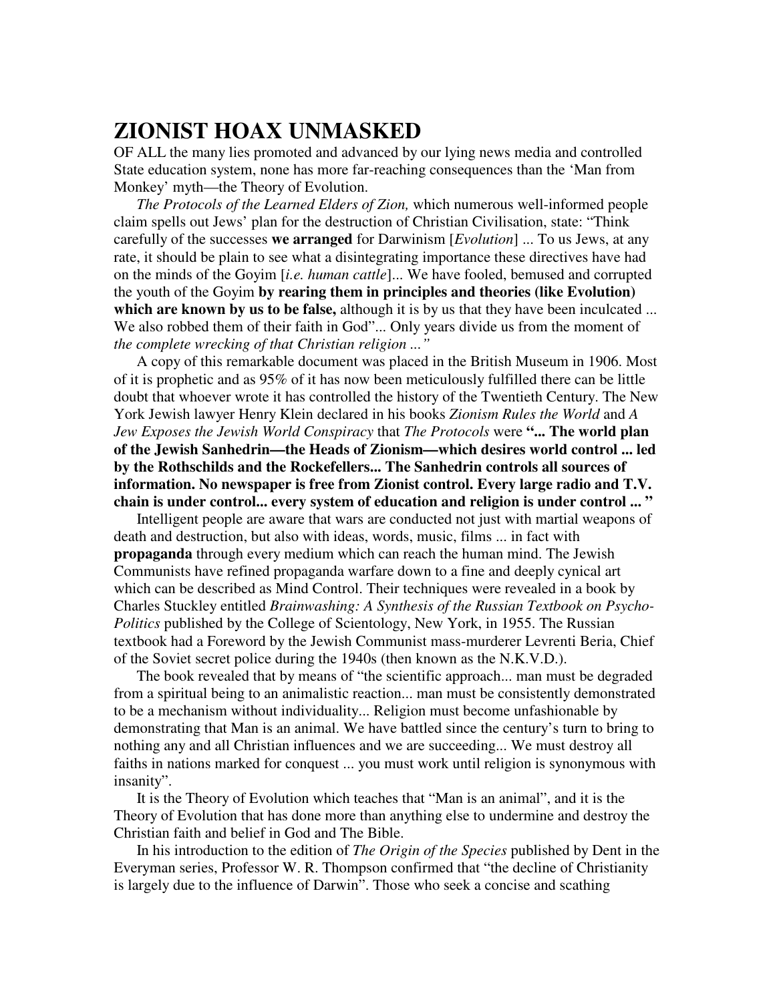### **ZIONIST HOAX UNMASKED**

OF ALL the many lies promoted and advanced by our lying news media and controlled State education system, none has more far-reaching consequences than the 'Man from Monkey' myth—the Theory of Evolution.

 *The Protocols of the Learned Elders of Zion,* which numerous well-informed people claim spells out Jews' plan for the destruction of Christian Civilisation, state: "Think carefully of the successes **we arranged** for Darwinism [*Evolution*] ... To us Jews, at any rate, it should be plain to see what a disintegrating importance these directives have had on the minds of the Goyim [*i.e. human cattle*]... We have fooled, bemused and corrupted the youth of the Goyim **by rearing them in principles and theories (like Evolution) which are known by us to be false,** although it is by us that they have been inculcated ... We also robbed them of their faith in God"... Only years divide us from the moment of *the complete wrecking of that Christian religion ..."*

 A copy of this remarkable document was placed in the British Museum in 1906. Most of it is prophetic and as 95% of it has now been meticulously fulfilled there can be little doubt that whoever wrote it has controlled the history of the Twentieth Century. The New York Jewish lawyer Henry Klein declared in his books *Zionism Rules the World* and *A Jew Exposes the Jewish World Conspiracy* that *The Protocols* were **"... The world plan of the Jewish Sanhedrin—the Heads of Zionism—which desires world control ... led by the Rothschilds and the Rockefellers... The Sanhedrin controls all sources of information. No newspaper is free from Zionist control. Every large radio and T.V. chain is under control... every system of education and religion is under control ... "**

 Intelligent people are aware that wars are conducted not just with martial weapons of death and destruction, but also with ideas, words, music, films ... in fact with **propaganda** through every medium which can reach the human mind. The Jewish Communists have refined propaganda warfare down to a fine and deeply cynical art which can be described as Mind Control. Their techniques were revealed in a book by Charles Stuckley entitled *Brainwashing: A Synthesis of the Russian Textbook on Psycho-Politics* published by the College of Scientology, New York, in 1955. The Russian textbook had a Foreword by the Jewish Communist mass-murderer Levrenti Beria, Chief of the Soviet secret police during the 1940s (then known as the N.K.V.D.).

 The book revealed that by means of "the scientific approach... man must be degraded from a spiritual being to an animalistic reaction... man must be consistently demonstrated to be a mechanism without individuality... Religion must become unfashionable by demonstrating that Man is an animal. We have battled since the century's turn to bring to nothing any and all Christian influences and we are succeeding... We must destroy all faiths in nations marked for conquest ... you must work until religion is synonymous with insanity".

 It is the Theory of Evolution which teaches that "Man is an animal", and it is the Theory of Evolution that has done more than anything else to undermine and destroy the Christian faith and belief in God and The Bible.

 In his introduction to the edition of *The Origin of the Species* published by Dent in the Everyman series, Professor W. R. Thompson confirmed that "the decline of Christianity is largely due to the influence of Darwin". Those who seek a concise and scathing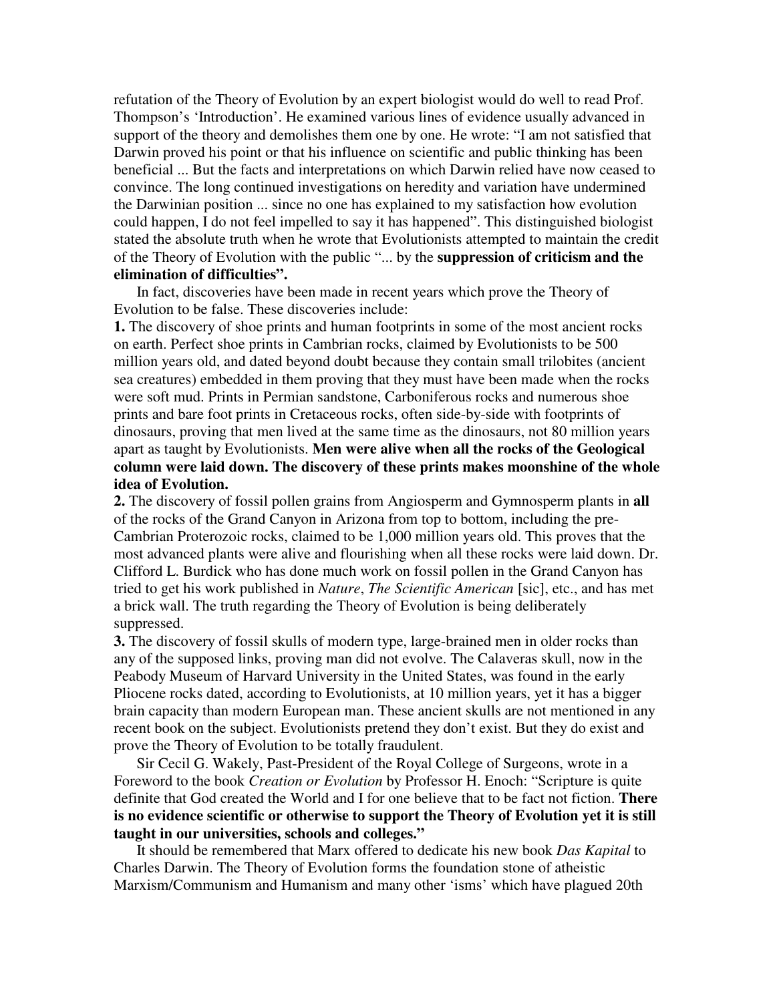refutation of the Theory of Evolution by an expert biologist would do well to read Prof. Thompson's 'Introduction'. He examined various lines of evidence usually advanced in support of the theory and demolishes them one by one. He wrote: "I am not satisfied that Darwin proved his point or that his influence on scientific and public thinking has been beneficial ... But the facts and interpretations on which Darwin relied have now ceased to convince. The long continued investigations on heredity and variation have undermined the Darwinian position ... since no one has explained to my satisfaction how evolution could happen, I do not feel impelled to say it has happened". This distinguished biologist stated the absolute truth when he wrote that Evolutionists attempted to maintain the credit of the Theory of Evolution with the public "... by the **suppression of criticism and the elimination of difficulties".**

 In fact, discoveries have been made in recent years which prove the Theory of Evolution to be false. These discoveries include:

**1.** The discovery of shoe prints and human footprints in some of the most ancient rocks on earth. Perfect shoe prints in Cambrian rocks, claimed by Evolutionists to be 500 million years old, and dated beyond doubt because they contain small trilobites (ancient sea creatures) embedded in them proving that they must have been made when the rocks were soft mud. Prints in Permian sandstone, Carboniferous rocks and numerous shoe prints and bare foot prints in Cretaceous rocks, often side-by-side with footprints of dinosaurs, proving that men lived at the same time as the dinosaurs, not 80 million years apart as taught by Evolutionists. **Men were alive when all the rocks of the Geological column were laid down. The discovery of these prints makes moonshine of the whole idea of Evolution.**

**2.** The discovery of fossil pollen grains from Angiosperm and Gymnosperm plants in **all** of the rocks of the Grand Canyon in Arizona from top to bottom, including the pre-Cambrian Proterozoic rocks, claimed to be 1,000 million years old. This proves that the most advanced plants were alive and flourishing when all these rocks were laid down. Dr. Clifford L. Burdick who has done much work on fossil pollen in the Grand Canyon has tried to get his work published in *Nature*, *The Scientific American* [sic], etc., and has met a brick wall. The truth regarding the Theory of Evolution is being deliberately suppressed.

**3.** The discovery of fossil skulls of modern type, large-brained men in older rocks than any of the supposed links, proving man did not evolve. The Calaveras skull, now in the Peabody Museum of Harvard University in the United States, was found in the early Pliocene rocks dated, according to Evolutionists, at 10 million years, yet it has a bigger brain capacity than modern European man. These ancient skulls are not mentioned in any recent book on the subject. Evolutionists pretend they don't exist. But they do exist and prove the Theory of Evolution to be totally fraudulent.

 Sir Cecil G. Wakely, Past-President of the Royal College of Surgeons, wrote in a Foreword to the book *Creation or Evolution* by Professor H. Enoch: "Scripture is quite definite that God created the World and I for one believe that to be fact not fiction. **There is no evidence scientific or otherwise to support the Theory of Evolution yet it is still taught in our universities, schools and colleges."**

 It should be remembered that Marx offered to dedicate his new book *Das Kapital* to Charles Darwin. The Theory of Evolution forms the foundation stone of atheistic Marxism/Communism and Humanism and many other 'isms' which have plagued 20th